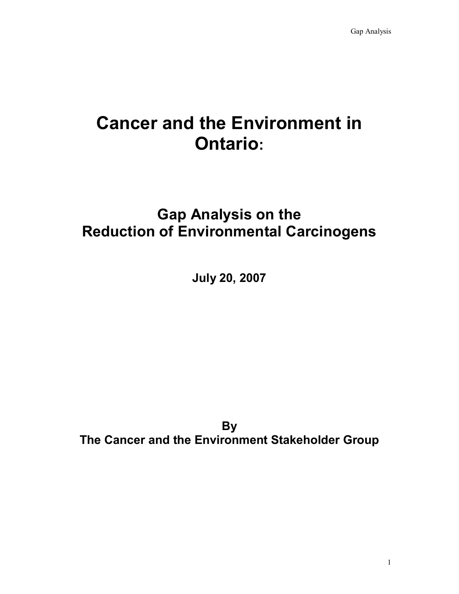# **Cancer and the Environment in Ontario:**

# **Gap Analysis on the Reduction of Environmental Carcinogens**

**July 20, 2007** 

**By The Cancer and the Environment Stakeholder Group**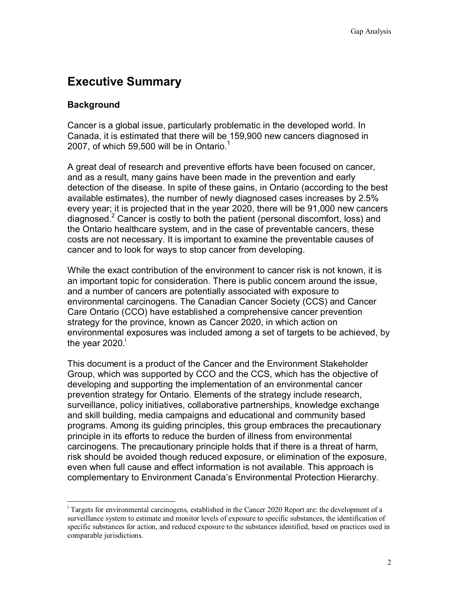# **Executive Summary**

### **Background**

 $\overline{a}$ 

Cancer is a global issue, particularly problematic in the developed world. In Canada, it is estimated that there will be 159,900 new cancers diagnosed in 2007, of which 59,500 will be in Ontario.<sup>1</sup>

A great deal of research and preventive efforts have been focused on cancer, and as a result, many gains have been made in the prevention and early detection of the disease. In spite of these gains, in Ontario (according to the best available estimates), the number of newly diagnosed cases increases by 2.5% every year; it is projected that in the year 2020, there will be 91,000 new cancers diagnosed.2 Cancer is costly to both the patient (personal discomfort, loss) and the Ontario healthcare system, and in the case of preventable cancers, these costs are not necessary. It is important to examine the preventable causes of cancer and to look for ways to stop cancer from developing.

While the exact contribution of the environment to cancer risk is not known, it is an important topic for consideration. There is public concern around the issue, and a number of cancers are potentially associated with exposure to environmental carcinogens. The Canadian Cancer Society (CCS) and Cancer Care Ontario (CCO) have established a comprehensive cancer prevention strategy for the province, known as Cancer 2020, in which action on environmental exposures was included among a set of targets to be achieved, by the year  $2020$ .

This document is a product of the Cancer and the Environment Stakeholder Group, which was supported by CCO and the CCS, which has the objective of developing and supporting the implementation of an environmental cancer prevention strategy for Ontario. Elements of the strategy include research, surveillance, policy initiatives, collaborative partnerships, knowledge exchange and skill building, media campaigns and educational and community based programs. Among its guiding principles, this group embraces the precautionary principle in its efforts to reduce the burden of illness from environmental carcinogens. The precautionary principle holds that if there is a threat of harm, risk should be avoided though reduced exposure, or elimination of the exposure, even when full cause and effect information is not available. This approach is complementary to Environment Canada's Environmental Protection Hierarchy.

<sup>&</sup>lt;sup>i</sup> Targets for environmental carcinogens, established in the Cancer 2020 Report are: the development of a surveillance system to estimate and monitor levels of exposure to specific substances, the identification of specific substances for action, and reduced exposure to the substances identified, based on practices used in comparable jurisdictions.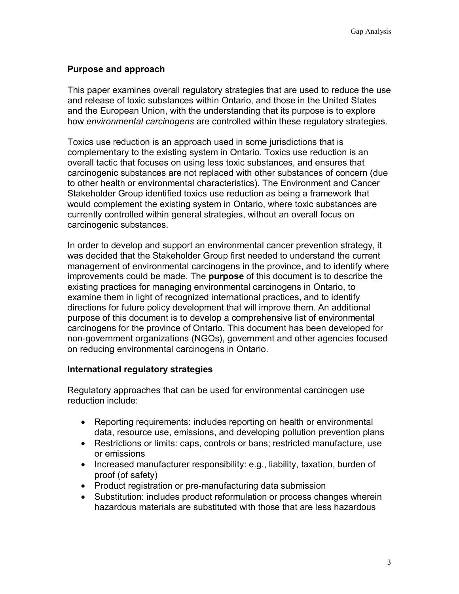### **Purpose and approach**

This paper examines overall regulatory strategies that are used to reduce the use and release of toxic substances within Ontario, and those in the United States and the European Union, with the understanding that its purpose is to explore how *environmental carcinogens* are controlled within these regulatory strategies.

Toxics use reduction is an approach used in some jurisdictions that is complementary to the existing system in Ontario. Toxics use reduction is an overall tactic that focuses on using less toxic substances, and ensures that carcinogenic substances are not replaced with other substances of concern (due to other health or environmental characteristics). The Environment and Cancer Stakeholder Group identified toxics use reduction as being a framework that would complement the existing system in Ontario, where toxic substances are currently controlled within general strategies, without an overall focus on carcinogenic substances.

In order to develop and support an environmental cancer prevention strategy, it was decided that the Stakeholder Group first needed to understand the current management of environmental carcinogens in the province, and to identify where improvements could be made. The **purpose** of this document is to describe the existing practices for managing environmental carcinogens in Ontario, to examine them in light of recognized international practices, and to identify directions for future policy development that will improve them. An additional purpose of this document is to develop a comprehensive list of environmental carcinogens for the province of Ontario. This document has been developed for non-government organizations (NGOs), government and other agencies focused on reducing environmental carcinogens in Ontario.

### **International regulatory strategies**

Regulatory approaches that can be used for environmental carcinogen use reduction include:

- Reporting requirements: includes reporting on health or environmental data, resource use, emissions, and developing pollution prevention plans
- Restrictions or limits: caps, controls or bans; restricted manufacture, use or emissions
- Increased manufacturer responsibility: e.g., liability, taxation, burden of proof (of safety)
- Product registration or pre-manufacturing data submission
- Substitution: includes product reformulation or process changes wherein hazardous materials are substituted with those that are less hazardous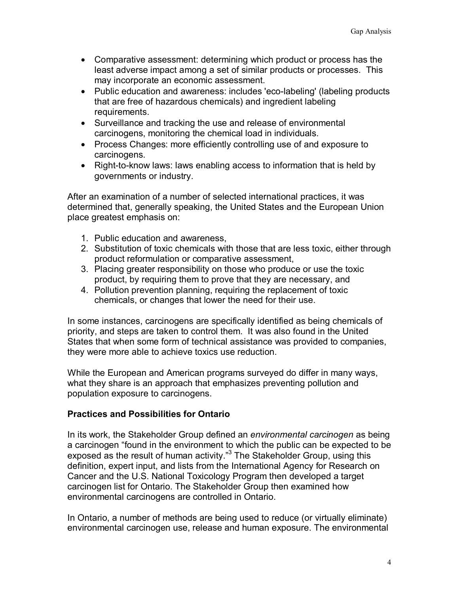- Comparative assessment: determining which product or process has the least adverse impact among a set of similar products or processes. This may incorporate an economic assessment.
- Public education and awareness: includes 'eco-labeling' (labeling products that are free of hazardous chemicals) and ingredient labeling requirements.
- Surveillance and tracking the use and release of environmental carcinogens, monitoring the chemical load in individuals.
- Process Changes: more efficiently controlling use of and exposure to carcinogens.
- Right-to-know laws: laws enabling access to information that is held by governments or industry.

After an examination of a number of selected international practices, it was determined that, generally speaking, the United States and the European Union place greatest emphasis on:

- 1. Public education and awareness,
- 2. Substitution of toxic chemicals with those that are less toxic, either through product reformulation or comparative assessment,
- 3. Placing greater responsibility on those who produce or use the toxic product, by requiring them to prove that they are necessary, and
- 4. Pollution prevention planning, requiring the replacement of toxic chemicals, or changes that lower the need for their use.

In some instances, carcinogens are specifically identified as being chemicals of priority, and steps are taken to control them. It was also found in the United States that when some form of technical assistance was provided to companies, they were more able to achieve toxics use reduction.

While the European and American programs surveyed do differ in many ways, what they share is an approach that emphasizes preventing pollution and population exposure to carcinogens.

### **Practices and Possibilities for Ontario**

In its work, the Stakeholder Group defined an *environmental carcinogen* as being a carcinogen "found in the environment to which the public can be expected to be exposed as the result of human activity."<sup>3</sup> The Stakeholder Group, using this definition, expert input, and lists from the International Agency for Research on Cancer and the U.S. National Toxicology Program then developed a target carcinogen list for Ontario. The Stakeholder Group then examined how environmental carcinogens are controlled in Ontario.

In Ontario, a number of methods are being used to reduce (or virtually eliminate) environmental carcinogen use, release and human exposure. The environmental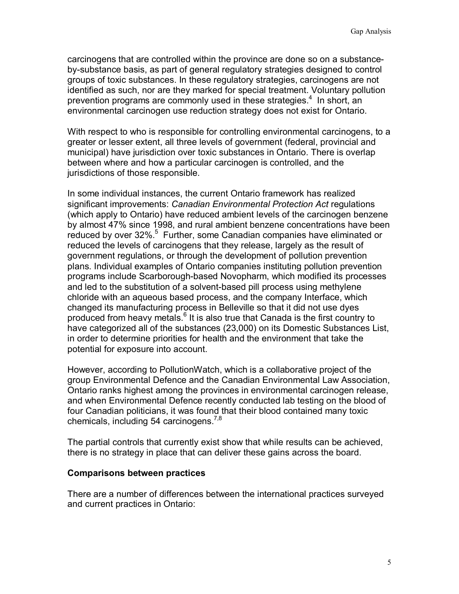carcinogens that are controlled within the province are done so on a substanceby-substance basis, as part of general regulatory strategies designed to control groups of toxic substances. In these regulatory strategies, carcinogens are not identified as such, nor are they marked for special treatment. Voluntary pollution prevention programs are commonly used in these strategies.<sup>4</sup> In short, an environmental carcinogen use reduction strategy does not exist for Ontario.

With respect to who is responsible for controlling environmental carcinogens, to a greater or lesser extent, all three levels of government (federal, provincial and municipal) have jurisdiction over toxic substances in Ontario. There is overlap between where and how a particular carcinogen is controlled, and the jurisdictions of those responsible.

In some individual instances, the current Ontario framework has realized significant improvements: *Canadian Environmental Protection Act* regulations (which apply to Ontario) have reduced ambient levels of the carcinogen benzene by almost 47% since 1998, and rural ambient benzene concentrations have been reduced by over 32%.<sup>5</sup> Further, some Canadian companies have eliminated or reduced the levels of carcinogens that they release, largely as the result of government regulations, or through the development of pollution prevention plans. Individual examples of Ontario companies instituting pollution prevention programs include Scarborough-based Novopharm, which modified its processes and led to the substitution of a solvent-based pill process using methylene chloride with an aqueous based process, and the company Interface, which changed its manufacturing process in Belleville so that it did not use dyes produced from heavy metals.<sup>6</sup> It is also true that Canada is the first country to have categorized all of the substances (23,000) on its Domestic Substances List, in order to determine priorities for health and the environment that take the potential for exposure into account.

However, according to PollutionWatch, which is a collaborative project of the group Environmental Defence and the Canadian Environmental Law Association, Ontario ranks highest among the provinces in environmental carcinogen release, and when Environmental Defence recently conducted lab testing on the blood of four Canadian politicians, it was found that their blood contained many toxic chemicals, including 54 carcinogens.<sup>7,8</sup>

The partial controls that currently exist show that while results can be achieved, there is no strategy in place that can deliver these gains across the board.

#### **Comparisons between practices**

There are a number of differences between the international practices surveyed and current practices in Ontario: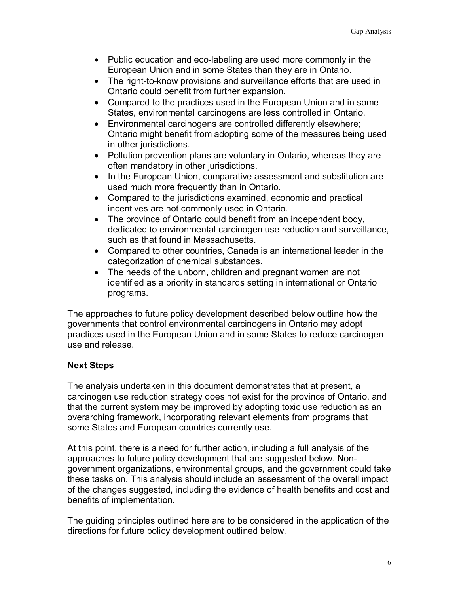- Public education and eco-labeling are used more commonly in the European Union and in some States than they are in Ontario.
- The right-to-know provisions and surveillance efforts that are used in Ontario could benefit from further expansion.
- Compared to the practices used in the European Union and in some States, environmental carcinogens are less controlled in Ontario.
- Environmental carcinogens are controlled differently elsewhere; Ontario might benefit from adopting some of the measures being used in other jurisdictions.
- Pollution prevention plans are voluntary in Ontario, whereas they are often mandatory in other jurisdictions.
- In the European Union, comparative assessment and substitution are used much more frequently than in Ontario.
- Compared to the jurisdictions examined, economic and practical incentives are not commonly used in Ontario.
- The province of Ontario could benefit from an independent body, dedicated to environmental carcinogen use reduction and surveillance, such as that found in Massachusetts.
- Compared to other countries, Canada is an international leader in the categorization of chemical substances.
- The needs of the unborn, children and pregnant women are not identified as a priority in standards setting in international or Ontario programs.

The approaches to future policy development described below outline how the governments that control environmental carcinogens in Ontario may adopt practices used in the European Union and in some States to reduce carcinogen use and release.

# **Next Steps**

The analysis undertaken in this document demonstrates that at present, a carcinogen use reduction strategy does not exist for the province of Ontario, and that the current system may be improved by adopting toxic use reduction as an overarching framework, incorporating relevant elements from programs that some States and European countries currently use.

At this point, there is a need for further action, including a full analysis of the approaches to future policy development that are suggested below. Nongovernment organizations, environmental groups, and the government could take these tasks on. This analysis should include an assessment of the overall impact of the changes suggested, including the evidence of health benefits and cost and benefits of implementation.

The guiding principles outlined here are to be considered in the application of the directions for future policy development outlined below.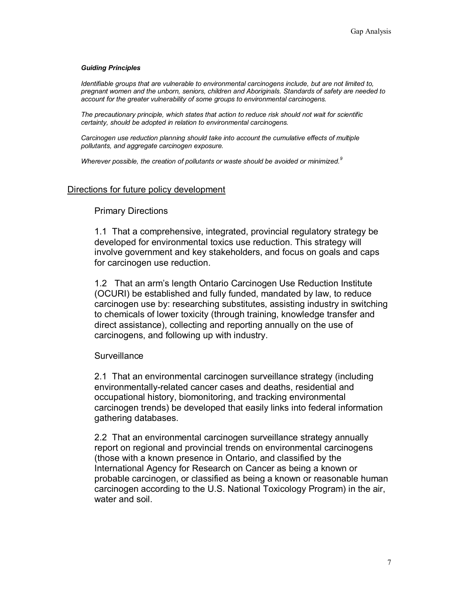#### *Guiding Principles*

*Identifiable groups that are vulnerable to environmental carcinogens include, but are not limited to, pregnant women and the unborn, seniors, children and Aboriginals. Standards of safety are needed to account for the greater vulnerability of some groups to environmental carcinogens.* 

*The precautionary principle, which states that action to reduce risk should not wait for scientific certainty, should be adopted in relation to environmental carcinogens.* 

*Carcinogen use reduction planning should take into account the cumulative effects of multiple pollutants, and aggregate carcinogen exposure.* 

*Wherever possible, the creation of pollutants or waste should be avoided or minimized.<sup>9</sup>*

#### Directions for future policy development

#### Primary Directions

1.1 That a comprehensive, integrated, provincial regulatory strategy be developed for environmental toxics use reduction. This strategy will involve government and key stakeholders, and focus on goals and caps for carcinogen use reduction.

1.2 That an arm's length Ontario Carcinogen Use Reduction Institute (OCURI) be established and fully funded, mandated by law, to reduce carcinogen use by: researching substitutes, assisting industry in switching to chemicals of lower toxicity (through training, knowledge transfer and direct assistance), collecting and reporting annually on the use of carcinogens, and following up with industry.

#### **Surveillance**

2.1 That an environmental carcinogen surveillance strategy (including environmentally-related cancer cases and deaths, residential and occupational history, biomonitoring, and tracking environmental carcinogen trends) be developed that easily links into federal information gathering databases.

2.2 That an environmental carcinogen surveillance strategy annually report on regional and provincial trends on environmental carcinogens (those with a known presence in Ontario, and classified by the International Agency for Research on Cancer as being a known or probable carcinogen, or classified as being a known or reasonable human carcinogen according to the U.S. National Toxicology Program) in the air, water and soil.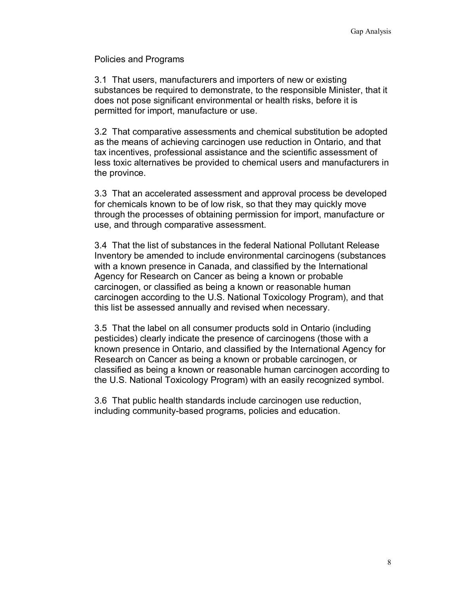Policies and Programs

3.1 That users, manufacturers and importers of new or existing substances be required to demonstrate, to the responsible Minister, that it does not pose significant environmental or health risks, before it is permitted for import, manufacture or use.

3.2 That comparative assessments and chemical substitution be adopted as the means of achieving carcinogen use reduction in Ontario, and that tax incentives, professional assistance and the scientific assessment of less toxic alternatives be provided to chemical users and manufacturers in the province.

3.3 That an accelerated assessment and approval process be developed for chemicals known to be of low risk, so that they may quickly move through the processes of obtaining permission for import, manufacture or use, and through comparative assessment.

3.4 That the list of substances in the federal National Pollutant Release Inventory be amended to include environmental carcinogens (substances with a known presence in Canada, and classified by the International Agency for Research on Cancer as being a known or probable carcinogen, or classified as being a known or reasonable human carcinogen according to the U.S. National Toxicology Program), and that this list be assessed annually and revised when necessary.

3.5 That the label on all consumer products sold in Ontario (including pesticides) clearly indicate the presence of carcinogens (those with a known presence in Ontario, and classified by the International Agency for Research on Cancer as being a known or probable carcinogen, or classified as being a known or reasonable human carcinogen according to the U.S. National Toxicology Program) with an easily recognized symbol.

3.6 That public health standards include carcinogen use reduction, including community-based programs, policies and education.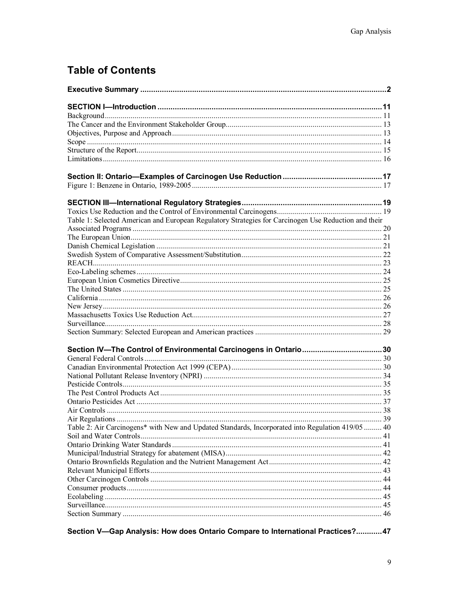# **Table of Contents**

| Table 1: Selected American and European Regulatory Strategies for Carcinogen Use Reduction and their |  |
|------------------------------------------------------------------------------------------------------|--|
|                                                                                                      |  |
|                                                                                                      |  |
|                                                                                                      |  |
|                                                                                                      |  |
|                                                                                                      |  |
|                                                                                                      |  |
|                                                                                                      |  |
|                                                                                                      |  |
|                                                                                                      |  |
|                                                                                                      |  |
|                                                                                                      |  |
|                                                                                                      |  |
| Section IV-The Control of Environmental Carcinogens in Ontario30                                     |  |
|                                                                                                      |  |
|                                                                                                      |  |
|                                                                                                      |  |
|                                                                                                      |  |
|                                                                                                      |  |
|                                                                                                      |  |
|                                                                                                      |  |
|                                                                                                      |  |
| Table 2: Air Carcinogens* with New and Updated Standards, Incorporated into Regulation 419/05  40    |  |
|                                                                                                      |  |
|                                                                                                      |  |
|                                                                                                      |  |
|                                                                                                      |  |
|                                                                                                      |  |
|                                                                                                      |  |
|                                                                                                      |  |
|                                                                                                      |  |
|                                                                                                      |  |
|                                                                                                      |  |

Section V-Gap Analysis: How does Ontario Compare to International Practices?............47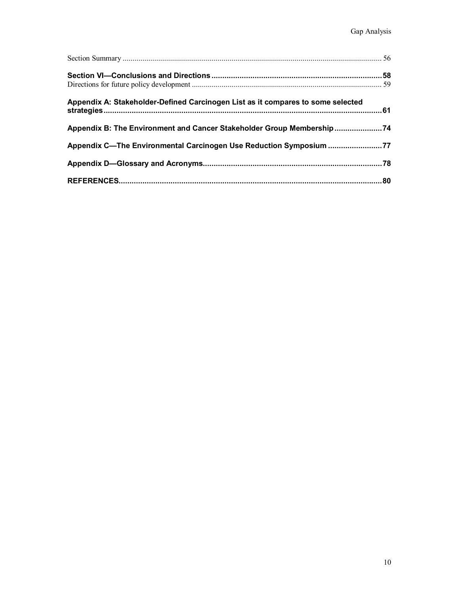| Appendix A: Stakeholder-Defined Carcinogen List as it compares to some selected |  |
|---------------------------------------------------------------------------------|--|
| Appendix B: The Environment and Cancer Stakeholder Group Membership             |  |
| Appendix C-The Environmental Carcinogen Use Reduction Symposium 77              |  |
|                                                                                 |  |
|                                                                                 |  |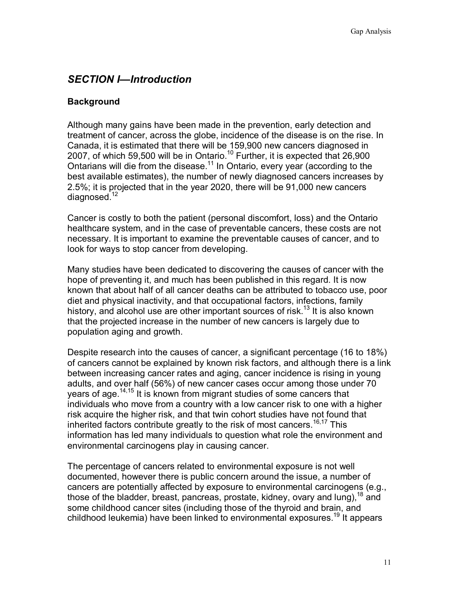# *SECTION I—Introduction*

### **Background**

Although many gains have been made in the prevention, early detection and treatment of cancer, across the globe, incidence of the disease is on the rise. In Canada, it is estimated that there will be 159,900 new cancers diagnosed in 2007, of which 59,500 will be in Ontario.<sup>10</sup> Further, it is expected that 26,900 Ontarians will die from the disease.11 In Ontario, every year (according to the best available estimates), the number of newly diagnosed cancers increases by 2.5%; it is projected that in the year 2020, there will be 91,000 new cancers diagnosed.<sup>12</sup>

Cancer is costly to both the patient (personal discomfort, loss) and the Ontario healthcare system, and in the case of preventable cancers, these costs are not necessary. It is important to examine the preventable causes of cancer, and to look for ways to stop cancer from developing.

Many studies have been dedicated to discovering the causes of cancer with the hope of preventing it, and much has been published in this regard. It is now known that about half of all cancer deaths can be attributed to tobacco use, poor diet and physical inactivity, and that occupational factors, infections, family history, and alcohol use are other important sources of risk.<sup>13</sup> It is also known that the projected increase in the number of new cancers is largely due to population aging and growth.

Despite research into the causes of cancer, a significant percentage (16 to 18%) of cancers cannot be explained by known risk factors, and although there is a link between increasing cancer rates and aging, cancer incidence is rising in young adults, and over half (56%) of new cancer cases occur among those under 70 years of age.<sup>14,15</sup> It is known from migrant studies of some cancers that individuals who move from a country with a low cancer risk to one with a higher risk acquire the higher risk, and that twin cohort studies have not found that inherited factors contribute greatly to the risk of most cancers.<sup>16,17</sup> This information has led many individuals to question what role the environment and environmental carcinogens play in causing cancer.

The percentage of cancers related to environmental exposure is not well documented, however there is public concern around the issue, a number of cancers are potentially affected by exposure to environmental carcinogens (e.g., those of the bladder, breast, pancreas, prostate, kidney, ovary and lung),  $^{18}$  and some childhood cancer sites (including those of the thyroid and brain, and childhood leukemia) have been linked to environmental exposures.<sup>19</sup> It appears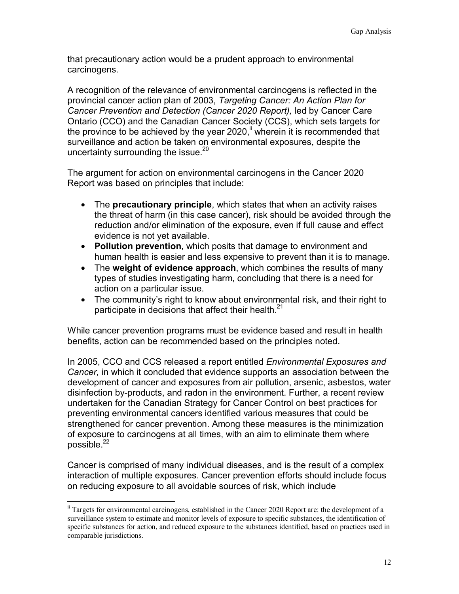that precautionary action would be a prudent approach to environmental carcinogens.

A recognition of the relevance of environmental carcinogens is reflected in the provincial cancer action plan of 2003, *Targeting Cancer: An Action Plan for Cancer Prevention and Detection (Cancer 2020 Report),* led by Cancer Care Ontario (CCO) and the Canadian Cancer Society (CCS), which sets targets for the province to be achieved by the year 2020, $\mathbf{u}$  wherein it is recommended that surveillance and action be taken on environmental exposures, despite the uncertainty surrounding the issue.<sup>20</sup>

The argument for action on environmental carcinogens in the Cancer 2020 Report was based on principles that include:

- The **precautionary principle**, which states that when an activity raises the threat of harm (in this case cancer), risk should be avoided through the reduction and/or elimination of the exposure, even if full cause and effect evidence is not yet available.
- **Pollution prevention**, which posits that damage to environment and human health is easier and less expensive to prevent than it is to manage.
- The **weight of evidence approach**, which combines the results of many types of studies investigating harm, concluding that there is a need for action on a particular issue.
- The community's right to know about environmental risk, and their right to participate in decisions that affect their health. $^{21}$

While cancer prevention programs must be evidence based and result in health benefits, action can be recommended based on the principles noted.

In 2005, CCO and CCS released a report entitled *Environmental Exposures and Cancer,* in which it concluded that evidence supports an association between the development of cancer and exposures from air pollution, arsenic, asbestos, water disinfection by-products, and radon in the environment. Further, a recent review undertaken for the Canadian Strategy for Cancer Control on best practices for preventing environmental cancers identified various measures that could be strengthened for cancer prevention. Among these measures is the minimization of exposure to carcinogens at all times, with an aim to eliminate them where possible. $^{22}$ 

Cancer is comprised of many individual diseases, and is the result of a complex interaction of multiple exposures. Cancer prevention efforts should include focus on reducing exposure to all avoidable sources of risk, which include

 $\overline{a}$ 

 $\frac{1}{10}$  Targets for environmental carcinogens, established in the Cancer 2020 Report are: the development of a surveillance system to estimate and monitor levels of exposure to specific substances, the identification of specific substances for action, and reduced exposure to the substances identified, based on practices used in comparable jurisdictions.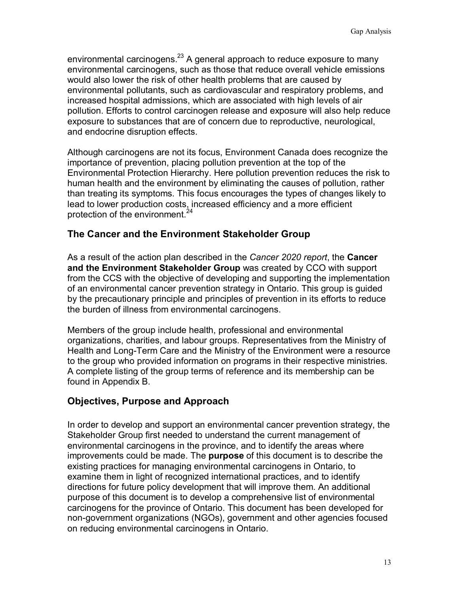environmental carcinogens. $^{23}$  A general approach to reduce exposure to many environmental carcinogens, such as those that reduce overall vehicle emissions would also lower the risk of other health problems that are caused by environmental pollutants, such as cardiovascular and respiratory problems, and increased hospital admissions, which are associated with high levels of air pollution. Efforts to control carcinogen release and exposure will also help reduce exposure to substances that are of concern due to reproductive, neurological, and endocrine disruption effects.

Although carcinogens are not its focus, Environment Canada does recognize the importance of prevention, placing pollution prevention at the top of the Environmental Protection Hierarchy. Here pollution prevention reduces the risk to human health and the environment by eliminating the causes of pollution, rather than treating its symptoms. This focus encourages the types of changes likely to lead to lower production costs, increased efficiency and a more efficient protection of the environment.<sup>24</sup>

# **The Cancer and the Environment Stakeholder Group**

As a result of the action plan described in the *Cancer 2020 report*, the **Cancer and the Environment Stakeholder Group** was created by CCO with support from the CCS with the objective of developing and supporting the implementation of an environmental cancer prevention strategy in Ontario. This group is guided by the precautionary principle and principles of prevention in its efforts to reduce the burden of illness from environmental carcinogens.

Members of the group include health, professional and environmental organizations, charities, and labour groups. Representatives from the Ministry of Health and Long-Term Care and the Ministry of the Environment were a resource to the group who provided information on programs in their respective ministries. A complete listing of the group terms of reference and its membership can be found in Appendix B.

# **Objectives, Purpose and Approach**

In order to develop and support an environmental cancer prevention strategy, the Stakeholder Group first needed to understand the current management of environmental carcinogens in the province, and to identify the areas where improvements could be made. The **purpose** of this document is to describe the existing practices for managing environmental carcinogens in Ontario, to examine them in light of recognized international practices, and to identify directions for future policy development that will improve them. An additional purpose of this document is to develop a comprehensive list of environmental carcinogens for the province of Ontario. This document has been developed for non-government organizations (NGOs), government and other agencies focused on reducing environmental carcinogens in Ontario.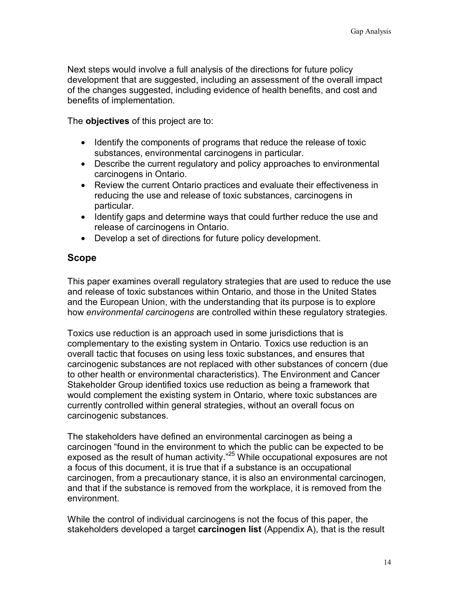Next steps would involve a full analysis of the directions for future policy development that are suggested, including an assessment of the overall impact of the changes suggested, including evidence of health benefits, and cost and benefits of implementation.

The **objectives** of this project are to:

- Identify the components of programs that reduce the release of toxic substances, environmental carcinogens in particular.
- Describe the current regulatory and policy approaches to environmental carcinogens in Ontario.
- Review the current Ontario practices and evaluate their effectiveness in reducing the use and release of toxic substances, carcinogens in particular.
- Identify gaps and determine ways that could further reduce the use and release of carcinogens in Ontario.
- Develop a set of directions for future policy development.

### **Scope**

This paper examines overall regulatory strategies that are used to reduce the use and release of toxic substances within Ontario, and those in the United States and the European Union, with the understanding that its purpose is to explore how *environmental carcinogens* are controlled within these regulatory strategies.

Toxics use reduction is an approach used in some jurisdictions that is complementary to the existing system in Ontario. Toxics use reduction is an overall tactic that focuses on using less toxic substances, and ensures that carcinogenic substances are not replaced with other substances of concern (due to other health or environmental characteristics). The Environment and Cancer Stakeholder Group identified toxics use reduction as being a framework that would complement the existing system in Ontario, where toxic substances are currently controlled within general strategies, without an overall focus on carcinogenic substances.

The stakeholders have defined an environmental carcinogen as being a carcinogen "found in the environment to which the public can be expected to be exposed as the result of human activity."<sup>25</sup> While occupational exposures are not a focus of this document, it is true that if a substance is an occupational carcinogen, from a precautionary stance, it is also an environmental carcinogen, and that if the substance is removed from the workplace, it is removed from the environment.

While the control of individual carcinogens is not the focus of this paper, the stakeholders developed a target **carcinogen list** (Appendix A), that is the result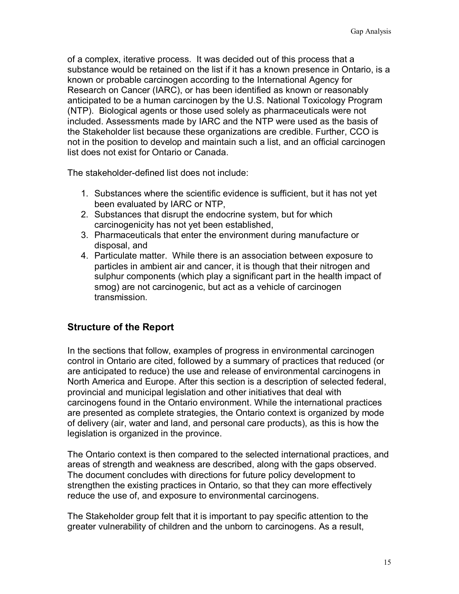of a complex, iterative process. It was decided out of this process that a substance would be retained on the list if it has a known presence in Ontario, is a known or probable carcinogen according to the International Agency for Research on Cancer (IARC), or has been identified as known or reasonably anticipated to be a human carcinogen by the U.S. National Toxicology Program (NTP). Biological agents or those used solely as pharmaceuticals were not included. Assessments made by IARC and the NTP were used as the basis of the Stakeholder list because these organizations are credible. Further, CCO is not in the position to develop and maintain such a list, and an official carcinogen list does not exist for Ontario or Canada.

The stakeholder-defined list does not include:

- 1. Substances where the scientific evidence is sufficient, but it has not yet been evaluated by IARC or NTP,
- 2. Substances that disrupt the endocrine system, but for which carcinogenicity has not yet been established,
- 3. Pharmaceuticals that enter the environment during manufacture or disposal, and
- 4. Particulate matter. While there is an association between exposure to particles in ambient air and cancer, it is though that their nitrogen and sulphur components (which play a significant part in the health impact of smog) are not carcinogenic, but act as a vehicle of carcinogen transmission.

# **Structure of the Report**

In the sections that follow, examples of progress in environmental carcinogen control in Ontario are cited, followed by a summary of practices that reduced (or are anticipated to reduce) the use and release of environmental carcinogens in North America and Europe. After this section is a description of selected federal, provincial and municipal legislation and other initiatives that deal with carcinogens found in the Ontario environment. While the international practices are presented as complete strategies, the Ontario context is organized by mode of delivery (air, water and land, and personal care products), as this is how the legislation is organized in the province.

The Ontario context is then compared to the selected international practices, and areas of strength and weakness are described, along with the gaps observed. The document concludes with directions for future policy development to strengthen the existing practices in Ontario, so that they can more effectively reduce the use of, and exposure to environmental carcinogens.

The Stakeholder group felt that it is important to pay specific attention to the greater vulnerability of children and the unborn to carcinogens. As a result,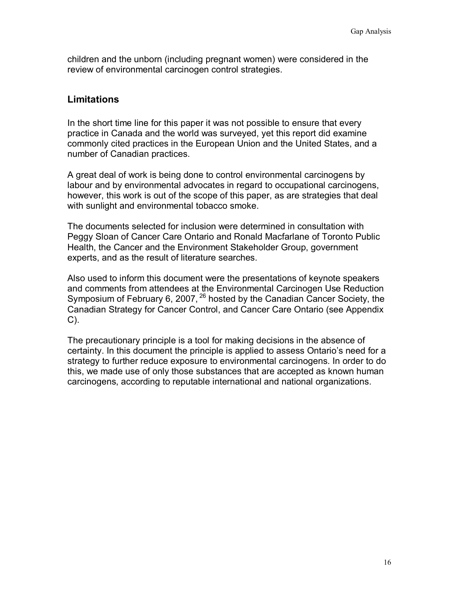children and the unborn (including pregnant women) were considered in the review of environmental carcinogen control strategies.

### **Limitations**

In the short time line for this paper it was not possible to ensure that every practice in Canada and the world was surveyed, yet this report did examine commonly cited practices in the European Union and the United States, and a number of Canadian practices.

A great deal of work is being done to control environmental carcinogens by labour and by environmental advocates in regard to occupational carcinogens, however, this work is out of the scope of this paper, as are strategies that deal with sunlight and environmental tobacco smoke.

The documents selected for inclusion were determined in consultation with Peggy Sloan of Cancer Care Ontario and Ronald Macfarlane of Toronto Public Health, the Cancer and the Environment Stakeholder Group, government experts, and as the result of literature searches.

Also used to inform this document were the presentations of keynote speakers and comments from attendees at the Environmental Carcinogen Use Reduction Symposium of February 6, 2007,  $^{26}$  hosted by the Canadian Cancer Society, the Canadian Strategy for Cancer Control, and Cancer Care Ontario (see Appendix C).

The precautionary principle is a tool for making decisions in the absence of certainty. In this document the principle is applied to assess Ontario's need for a strategy to further reduce exposure to environmental carcinogens. In order to do this, we made use of only those substances that are accepted as known human carcinogens, according to reputable international and national organizations.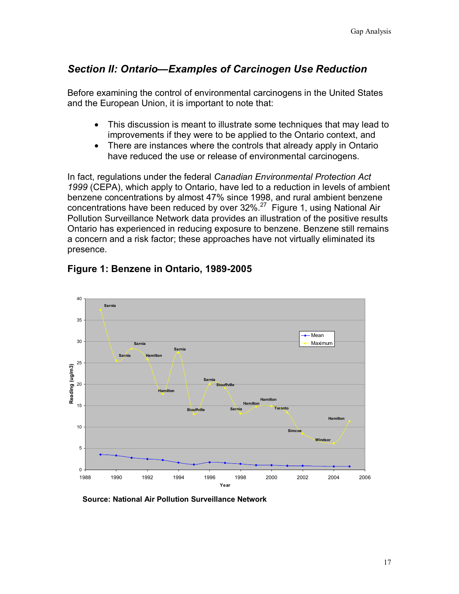# *Section II: Ontario—Examples of Carcinogen Use Reduction*

Before examining the control of environmental carcinogens in the United States and the European Union, it is important to note that:

- This discussion is meant to illustrate some techniques that may lead to improvements if they were to be applied to the Ontario context, and
- There are instances where the controls that already apply in Ontario have reduced the use or release of environmental carcinogens.

In fact, regulations under the federal *Canadian Environmental Protection Act 1999* (CEPA), which apply to Ontario, have led to a reduction in levels of ambient benzene concentrations by almost 47% since 1998, and rural ambient benzene concentrations have been reduced by over  $32\%$ .<sup>27</sup> Figure 1, using National Air Pollution Surveillance Network data provides an illustration of the positive results Ontario has experienced in reducing exposure to benzene. Benzene still remains a concern and a risk factor; these approaches have not virtually eliminated its presence.



# **Figure 1: Benzene in Ontario, 1989-2005**

**Source: National Air Pollution Surveillance Network**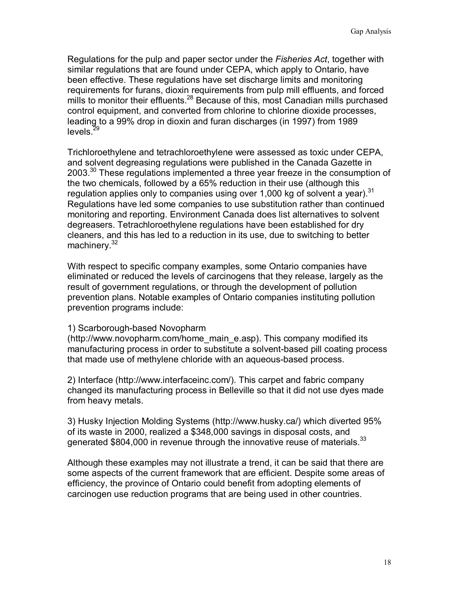Regulations for the pulp and paper sector under the *Fisheries Act*, together with similar regulations that are found under CEPA, which apply to Ontario, have been effective. These regulations have set discharge limits and monitoring requirements for furans, dioxin requirements from pulp mill effluents, and forced mills to monitor their effluents.<sup>28</sup> Because of this, most Canadian mills purchased control equipment, and converted from chlorine to chlorine dioxide processes, leading to a 99% drop in dioxin and furan discharges (in 1997) from 1989  $levels.<sup>29</sup>$ 

Trichloroethylene and tetrachloroethylene were assessed as toxic under CEPA, and solvent degreasing regulations were published in the Canada Gazette in 2003.<sup>30</sup> These regulations implemented a three year freeze in the consumption of the two chemicals, followed by a 65% reduction in their use (although this regulation applies only to companies using over 1,000 kg of solvent a year).  $31$ Regulations have led some companies to use substitution rather than continued monitoring and reporting. Environment Canada does list alternatives to solvent degreasers. Tetrachloroethylene regulations have been established for dry cleaners, and this has led to a reduction in its use, due to switching to better machinery.<sup>32</sup>

With respect to specific company examples, some Ontario companies have eliminated or reduced the levels of carcinogens that they release, largely as the result of government regulations, or through the development of pollution prevention plans. Notable examples of Ontario companies instituting pollution prevention programs include:

#### 1) Scarborough-based Novopharm

(http://www.novopharm.com/home\_main\_e.asp). This company modified its manufacturing process in order to substitute a solvent-based pill coating process that made use of methylene chloride with an aqueous-based process.

2) Interface (http://www.interfaceinc.com/). This carpet and fabric company changed its manufacturing process in Belleville so that it did not use dyes made from heavy metals.

3) Husky Injection Molding Systems (http://www.husky.ca/) which diverted 95% of its waste in 2000, realized a \$348,000 savings in disposal costs, and generated \$804,000 in revenue through the innovative reuse of materials.<sup>33</sup>

Although these examples may not illustrate a trend, it can be said that there are some aspects of the current framework that are efficient. Despite some areas of efficiency, the province of Ontario could benefit from adopting elements of carcinogen use reduction programs that are being used in other countries.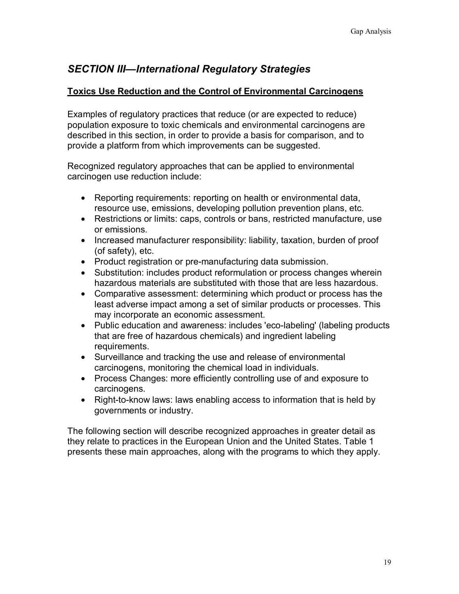# *SECTION III—International Regulatory Strategies*

### **Toxics Use Reduction and the Control of Environmental Carcinogens**

Examples of regulatory practices that reduce (or are expected to reduce) population exposure to toxic chemicals and environmental carcinogens are described in this section, in order to provide a basis for comparison, and to provide a platform from which improvements can be suggested.

Recognized regulatory approaches that can be applied to environmental carcinogen use reduction include:

- Reporting requirements: reporting on health or environmental data, resource use, emissions, developing pollution prevention plans, etc.
- Restrictions or limits: caps, controls or bans, restricted manufacture, use or emissions.
- Increased manufacturer responsibility: liability, taxation, burden of proof (of safety), etc.
- Product registration or pre-manufacturing data submission.
- Substitution: includes product reformulation or process changes wherein hazardous materials are substituted with those that are less hazardous.
- Comparative assessment: determining which product or process has the least adverse impact among a set of similar products or processes. This may incorporate an economic assessment.
- Public education and awareness: includes 'eco-labeling' (labeling products that are free of hazardous chemicals) and ingredient labeling requirements.
- Surveillance and tracking the use and release of environmental carcinogens, monitoring the chemical load in individuals.
- Process Changes: more efficiently controlling use of and exposure to carcinogens.
- Right-to-know laws: laws enabling access to information that is held by governments or industry.

The following section will describe recognized approaches in greater detail as they relate to practices in the European Union and the United States. Table 1 presents these main approaches, along with the programs to which they apply.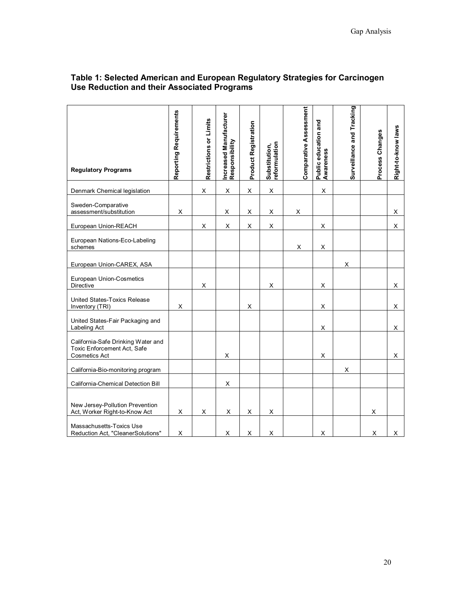| <b>Regulatory Programs</b>                                                                | Reporting Requirements | Restrictions or Limits | Increased Manufacturer<br>Responsibility | <b>Product Registration</b> | Substitution,<br>reformulation | Comparative Assessment | Public education and<br>Awareness | Surveillance and Tracking | Process Changes | Right-to-know laws |
|-------------------------------------------------------------------------------------------|------------------------|------------------------|------------------------------------------|-----------------------------|--------------------------------|------------------------|-----------------------------------|---------------------------|-----------------|--------------------|
| Denmark Chemical legislation                                                              |                        | X                      | X                                        | X                           | X                              |                        | X                                 |                           |                 |                    |
| Sweden-Comparative<br>assessment/substitution                                             | X                      |                        | X                                        | X                           | X                              | Χ                      |                                   |                           |                 | X                  |
| European Union-REACH                                                                      |                        | X                      | X                                        | X                           | $\mathsf X$                    |                        | X                                 |                           |                 | X                  |
| European Nations-Eco-Labeling<br>schemes                                                  |                        |                        |                                          |                             |                                | X                      | Х                                 |                           |                 |                    |
| European Union-CAREX, ASA                                                                 |                        |                        |                                          |                             |                                |                        |                                   | X                         |                 |                    |
| European Union-Cosmetics<br>Directive                                                     |                        | X                      |                                          |                             | X                              |                        | X                                 |                           |                 | X                  |
| United States-Toxics Release<br>Inventory (TRI)                                           | X                      |                        |                                          | X                           |                                |                        | X                                 |                           |                 | X                  |
| United States-Fair Packaging and<br>Labeling Act                                          |                        |                        |                                          |                             |                                |                        | X                                 |                           |                 | х                  |
| California-Safe Drinking Water and<br>Toxic Enforcement Act, Safe<br><b>Cosmetics Act</b> |                        |                        | X                                        |                             |                                |                        | X                                 |                           |                 | X                  |
| California-Bio-monitoring program                                                         |                        |                        |                                          |                             |                                |                        |                                   | X                         |                 |                    |
| California-Chemical Detection Bill                                                        |                        |                        | X                                        |                             |                                |                        |                                   |                           |                 |                    |
| New Jersey-Pollution Prevention<br>Act, Worker Right-to-Know Act                          | X                      | X                      | X                                        | X                           | X                              |                        |                                   |                           | х               |                    |
| Massachusetts-Toxics Use<br>Reduction Act, "CleanerSolutions"                             | X                      |                        | X                                        | X                           | X                              |                        | X                                 |                           | X               | X                  |

#### **Table 1: Selected American and European Regulatory Strategies for Carcinogen Use Reduction and their Associated Programs**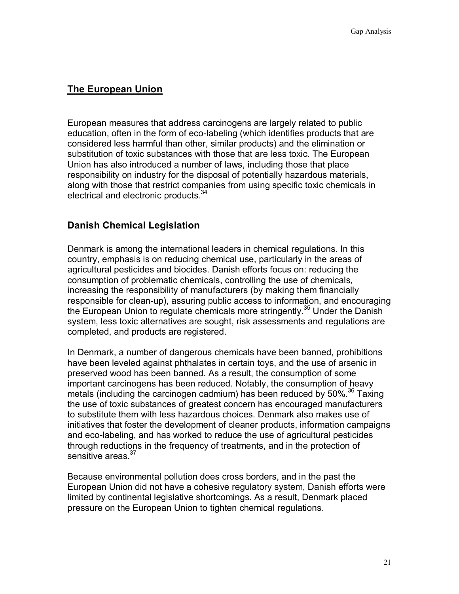# **The European Union**

European measures that address carcinogens are largely related to public education, often in the form of eco-labeling (which identifies products that are considered less harmful than other, similar products) and the elimination or substitution of toxic substances with those that are less toxic. The European Union has also introduced a number of laws, including those that place responsibility on industry for the disposal of potentially hazardous materials, along with those that restrict companies from using specific toxic chemicals in electrical and electronic products.<sup>34</sup>

# **Danish Chemical Legislation**

Denmark is among the international leaders in chemical regulations. In this country, emphasis is on reducing chemical use, particularly in the areas of agricultural pesticides and biocides. Danish efforts focus on: reducing the consumption of problematic chemicals, controlling the use of chemicals, increasing the responsibility of manufacturers (by making them financially responsible for clean-up), assuring public access to information, and encouraging the European Union to regulate chemicals more stringently.<sup>35</sup> Under the Danish system, less toxic alternatives are sought, risk assessments and regulations are completed, and products are registered.

In Denmark, a number of dangerous chemicals have been banned, prohibitions have been leveled against phthalates in certain toys, and the use of arsenic in preserved wood has been banned. As a result, the consumption of some important carcinogens has been reduced. Notably, the consumption of heavy metals (including the carcinogen cadmium) has been reduced by 50%.<sup>36</sup> Taxing the use of toxic substances of greatest concern has encouraged manufacturers to substitute them with less hazardous choices. Denmark also makes use of initiatives that foster the development of cleaner products, information campaigns and eco-labeling, and has worked to reduce the use of agricultural pesticides through reductions in the frequency of treatments, and in the protection of sensitive areas.<sup>37</sup>

Because environmental pollution does cross borders, and in the past the European Union did not have a cohesive regulatory system, Danish efforts were limited by continental legislative shortcomings. As a result, Denmark placed pressure on the European Union to tighten chemical regulations.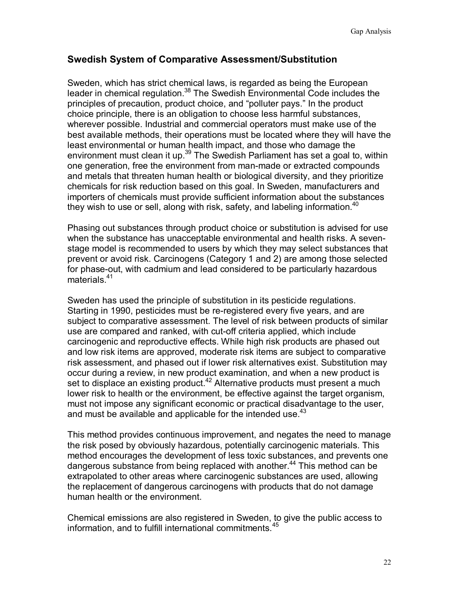# **Swedish System of Comparative Assessment/Substitution**

Sweden, which has strict chemical laws, is regarded as being the European leader in chemical regulation.<sup>38</sup> The Swedish Environmental Code includes the principles of precaution, product choice, and "polluter pays." In the product choice principle, there is an obligation to choose less harmful substances, wherever possible. Industrial and commercial operators must make use of the best available methods, their operations must be located where they will have the least environmental or human health impact, and those who damage the environment must clean it up.<sup>39</sup> The Swedish Parliament has set a goal to, within one generation, free the environment from man-made or extracted compounds and metals that threaten human health or biological diversity, and they prioritize chemicals for risk reduction based on this goal. In Sweden, manufacturers and importers of chemicals must provide sufficient information about the substances they wish to use or sell, along with risk, safety, and labeling information.<sup>40</sup>

Phasing out substances through product choice or substitution is advised for use when the substance has unacceptable environmental and health risks. A sevenstage model is recommended to users by which they may select substances that prevent or avoid risk. Carcinogens (Category 1 and 2) are among those selected for phase-out, with cadmium and lead considered to be particularly hazardous materials.<sup>41</sup>

Sweden has used the principle of substitution in its pesticide regulations. Starting in 1990, pesticides must be re-registered every five years, and are subject to comparative assessment. The level of risk between products of similar use are compared and ranked, with cut-off criteria applied, which include carcinogenic and reproductive effects. While high risk products are phased out and low risk items are approved, moderate risk items are subject to comparative risk assessment, and phased out if lower risk alternatives exist. Substitution may occur during a review, in new product examination, and when a new product is set to displace an existing product.<sup>42</sup> Alternative products must present a much lower risk to health or the environment, be effective against the target organism, must not impose any significant economic or practical disadvantage to the user, and must be available and applicable for the intended use. $43$ 

This method provides continuous improvement, and negates the need to manage the risk posed by obviously hazardous, potentially carcinogenic materials. This method encourages the development of less toxic substances, and prevents one dangerous substance from being replaced with another.<sup>44</sup> This method can be extrapolated to other areas where carcinogenic substances are used, allowing the replacement of dangerous carcinogens with products that do not damage human health or the environment.

Chemical emissions are also registered in Sweden, to give the public access to information, and to fulfill international commitments.<sup>45</sup>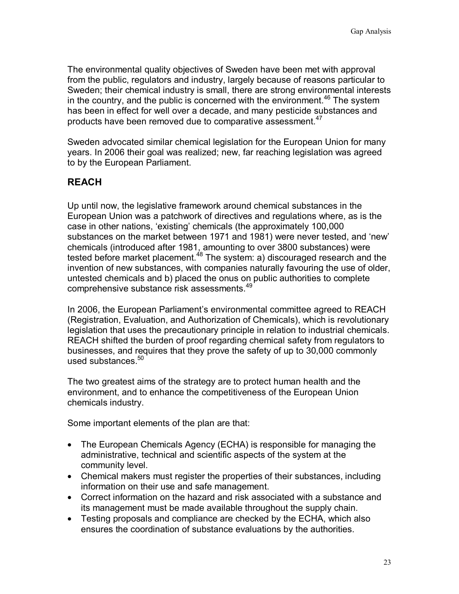The environmental quality objectives of Sweden have been met with approval from the public, regulators and industry, largely because of reasons particular to Sweden; their chemical industry is small, there are strong environmental interests in the country, and the public is concerned with the environment.<sup>46</sup> The system has been in effect for well over a decade, and many pesticide substances and products have been removed due to comparative assessment.<sup>47</sup>

Sweden advocated similar chemical legislation for the European Union for many years. In 2006 their goal was realized; new, far reaching legislation was agreed to by the European Parliament.

# **REACH**

Up until now, the legislative framework around chemical substances in the European Union was a patchwork of directives and regulations where, as is the case in other nations, 'existing' chemicals (the approximately 100,000 substances on the market between 1971 and 1981) were never tested, and 'new' chemicals (introduced after 1981, amounting to over 3800 substances) were tested before market placement.<sup>48</sup> The system: a) discouraged research and the invention of new substances, with companies naturally favouring the use of older, untested chemicals and b) placed the onus on public authorities to complete comprehensive substance risk assessments.49

In 2006, the European Parliament's environmental committee agreed to REACH (Registration, Evaluation, and Authorization of Chemicals), which is revolutionary legislation that uses the precautionary principle in relation to industrial chemicals. REACH shifted the burden of proof regarding chemical safety from regulators to businesses, and requires that they prove the safety of up to 30,000 commonly used substances.<sup>50</sup>

The two greatest aims of the strategy are to protect human health and the environment, and to enhance the competitiveness of the European Union chemicals industry.

Some important elements of the plan are that:

- The European Chemicals Agency (ECHA) is responsible for managing the administrative, technical and scientific aspects of the system at the community level.
- Chemical makers must register the properties of their substances, including information on their use and safe management.
- Correct information on the hazard and risk associated with a substance and its management must be made available throughout the supply chain.
- Testing proposals and compliance are checked by the ECHA, which also ensures the coordination of substance evaluations by the authorities.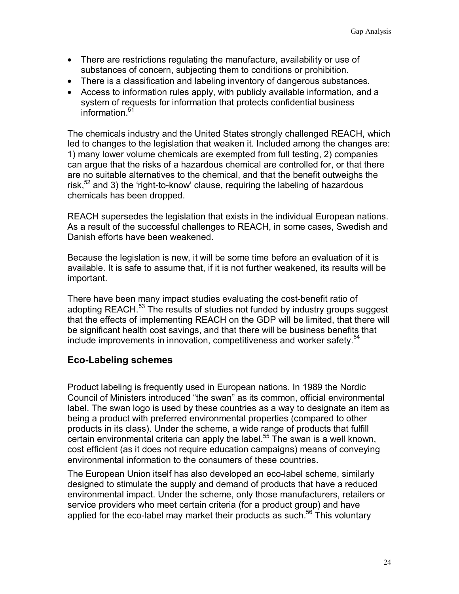- There are restrictions regulating the manufacture, availability or use of substances of concern, subjecting them to conditions or prohibition.
- There is a classification and labeling inventory of dangerous substances.
- Access to information rules apply, with publicly available information, and a system of requests for information that protects confidential business information.<sup>51</sup>

The chemicals industry and the United States strongly challenged REACH, which led to changes to the legislation that weaken it. Included among the changes are: 1) many lower volume chemicals are exempted from full testing, 2) companies can argue that the risks of a hazardous chemical are controlled for, or that there are no suitable alternatives to the chemical, and that the benefit outweighs the risk,  $52$  and 3) the 'right-to-know' clause, requiring the labeling of hazardous chemicals has been dropped.

REACH supersedes the legislation that exists in the individual European nations. As a result of the successful challenges to REACH, in some cases, Swedish and Danish efforts have been weakened.

Because the legislation is new, it will be some time before an evaluation of it is available. It is safe to assume that, if it is not further weakened, its results will be important.

There have been many impact studies evaluating the cost-benefit ratio of adopting REACH.<sup>53</sup> The results of studies not funded by industry groups suggest that the effects of implementing REACH on the GDP will be limited, that there will be significant health cost savings, and that there will be business benefits that include improvements in innovation, competitiveness and worker safety.<sup>54</sup>

# **Eco-Labeling schemes**

Product labeling is frequently used in European nations. In 1989 the Nordic Council of Ministers introduced "the swan" as its common, official environmental label. The swan logo is used by these countries as a way to designate an item as being a product with preferred environmental properties (compared to other products in its class). Under the scheme, a wide range of products that fulfill certain environmental criteria can apply the label.<sup>55</sup> The swan is a well known, cost efficient (as it does not require education campaigns) means of conveying environmental information to the consumers of these countries.

The European Union itself has also developed an eco-label scheme, similarly designed to stimulate the supply and demand of products that have a reduced environmental impact. Under the scheme, only those manufacturers, retailers or service providers who meet certain criteria (for a product group) and have applied for the eco-label may market their products as such. $56$  This voluntary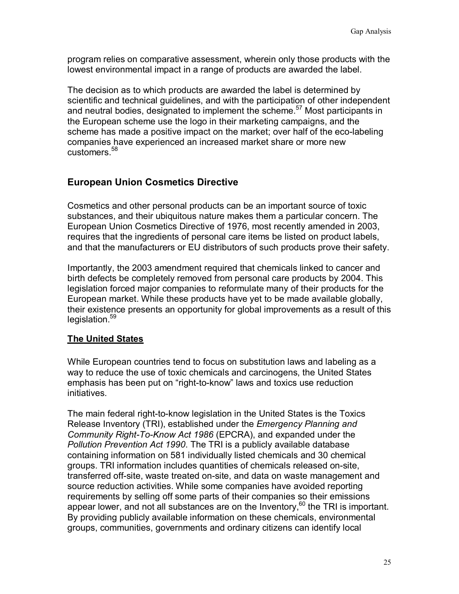program relies on comparative assessment, wherein only those products with the lowest environmental impact in a range of products are awarded the label.

The decision as to which products are awarded the label is determined by scientific and technical guidelines, and with the participation of other independent and neutral bodies, designated to implement the scheme.<sup>57</sup> Most participants in the European scheme use the logo in their marketing campaigns, and the scheme has made a positive impact on the market; over half of the eco-labeling companies have experienced an increased market share or more new customers.<sup>58</sup>

# **European Union Cosmetics Directive**

Cosmetics and other personal products can be an important source of toxic substances, and their ubiquitous nature makes them a particular concern. The European Union Cosmetics Directive of 1976, most recently amended in 2003, requires that the ingredients of personal care items be listed on product labels, and that the manufacturers or EU distributors of such products prove their safety.

Importantly, the 2003 amendment required that chemicals linked to cancer and birth defects be completely removed from personal care products by 2004. This legislation forced major companies to reformulate many of their products for the European market. While these products have yet to be made available globally, their existence presents an opportunity for global improvements as a result of this legislation.<sup>59</sup>

### **The United States**

While European countries tend to focus on substitution laws and labeling as a way to reduce the use of toxic chemicals and carcinogens, the United States emphasis has been put on "right-to-know" laws and toxics use reduction initiatives.

The main federal right-to-know legislation in the United States is the Toxics Release Inventory (TRI), established under the *Emergency Planning and Community Right-To-Know Act 1986* (EPCRA), and expanded under the *Pollution Prevention Act 1990*. The TRI is a publicly available database containing information on 581 individually listed chemicals and 30 chemical groups. TRI information includes quantities of chemicals released on-site, transferred off-site, waste treated on-site, and data on waste management and source reduction activities. While some companies have avoided reporting requirements by selling off some parts of their companies so their emissions appear lower, and not all substances are on the Inventory, $60$  the TRI is important. By providing publicly available information on these chemicals, environmental groups, communities, governments and ordinary citizens can identify local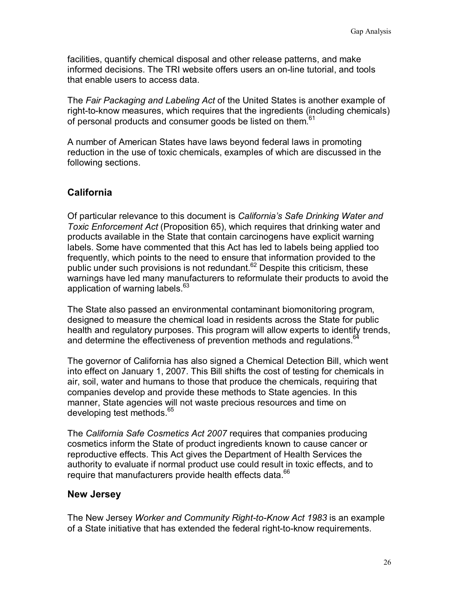facilities, quantify chemical disposal and other release patterns, and make informed decisions. The TRI website offers users an on-line tutorial, and tools that enable users to access data.

The *Fair Packaging and Labeling Act* of the United States is another example of right-to-know measures, which requires that the ingredients (including chemicals) of personal products and consumer goods be listed on them.<sup>61</sup>

A number of American States have laws beyond federal laws in promoting reduction in the use of toxic chemicals, examples of which are discussed in the following sections.

# **California**

Of particular relevance to this document is *California's Safe Drinking Water and Toxic Enforcement Act* (Proposition 65), which requires that drinking water and products available in the State that contain carcinogens have explicit warning labels. Some have commented that this Act has led to labels being applied too frequently, which points to the need to ensure that information provided to the public under such provisions is not redundant. $62$  Despite this criticism, these warnings have led many manufacturers to reformulate their products to avoid the application of warning labels.<sup>63</sup>

The State also passed an environmental contaminant biomonitoring program, designed to measure the chemical load in residents across the State for public health and regulatory purposes. This program will allow experts to identify trends, and determine the effectiveness of prevention methods and regulations.<sup>6</sup>

The governor of California has also signed a Chemical Detection Bill, which went into effect on January 1, 2007. This Bill shifts the cost of testing for chemicals in air, soil, water and humans to those that produce the chemicals, requiring that companies develop and provide these methods to State agencies. In this manner, State agencies will not waste precious resources and time on developing test methods.<sup>65</sup>

The *California Safe Cosmetics Act 2007* requires that companies producing cosmetics inform the State of product ingredients known to cause cancer or reproductive effects. This Act gives the Department of Health Services the authority to evaluate if normal product use could result in toxic effects, and to require that manufacturers provide health effects data.<sup>66</sup>

### **New Jersey**

The New Jersey *Worker and Community Right-to-Know Act 1983* is an example of a State initiative that has extended the federal right-to-know requirements.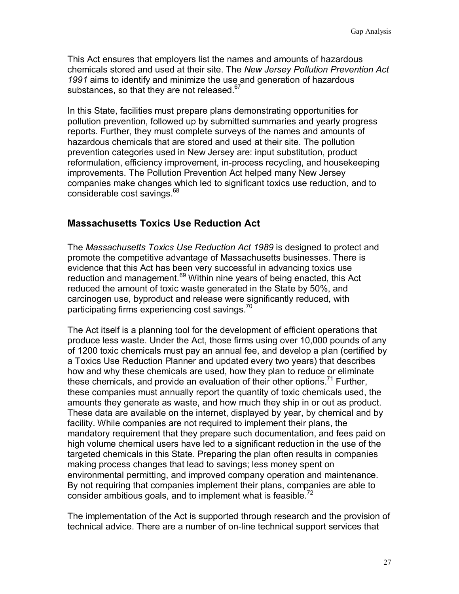This Act ensures that employers list the names and amounts of hazardous chemicals stored and used at their site. The *New Jersey Pollution Prevention Act 1991* aims to identify and minimize the use and generation of hazardous substances, so that they are not released.<sup>67</sup>

In this State, facilities must prepare plans demonstrating opportunities for pollution prevention, followed up by submitted summaries and yearly progress reports. Further, they must complete surveys of the names and amounts of hazardous chemicals that are stored and used at their site. The pollution prevention categories used in New Jersey are: input substitution, product reformulation, efficiency improvement, in-process recycling, and housekeeping improvements. The Pollution Prevention Act helped many New Jersey companies make changes which led to significant toxics use reduction, and to considerable cost savings.<sup>68</sup>

### **Massachusetts Toxics Use Reduction Act**

The *Massachusetts Toxics Use Reduction Act 1989* is designed to protect and promote the competitive advantage of Massachusetts businesses. There is evidence that this Act has been very successful in advancing toxics use reduction and management.<sup>69</sup> Within nine years of being enacted, this Act reduced the amount of toxic waste generated in the State by 50%, and carcinogen use, byproduct and release were significantly reduced, with participating firms experiencing cost savings.<sup>70</sup>

The Act itself is a planning tool for the development of efficient operations that produce less waste. Under the Act, those firms using over 10,000 pounds of any of 1200 toxic chemicals must pay an annual fee, and develop a plan (certified by a Toxics Use Reduction Planner and updated every two years) that describes how and why these chemicals are used, how they plan to reduce or eliminate these chemicals, and provide an evaluation of their other options.<sup>71</sup> Further, these companies must annually report the quantity of toxic chemicals used, the amounts they generate as waste, and how much they ship in or out as product. These data are available on the internet, displayed by year, by chemical and by facility. While companies are not required to implement their plans, the mandatory requirement that they prepare such documentation, and fees paid on high volume chemical users have led to a significant reduction in the use of the targeted chemicals in this State. Preparing the plan often results in companies making process changes that lead to savings; less money spent on environmental permitting, and improved company operation and maintenance. By not requiring that companies implement their plans, companies are able to consider ambitious goals, and to implement what is feasible. $72$ 

The implementation of the Act is supported through research and the provision of technical advice. There are a number of on-line technical support services that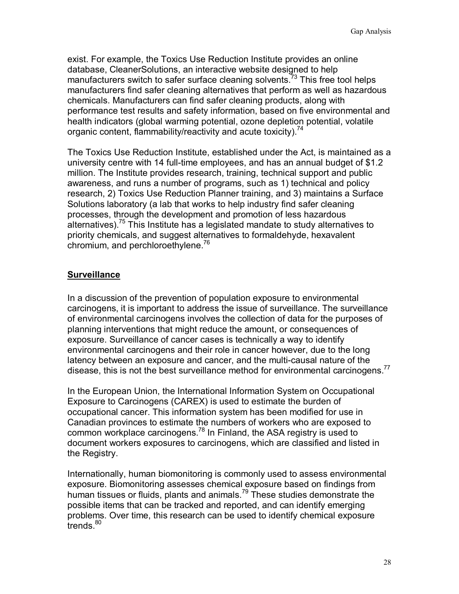exist. For example, the Toxics Use Reduction Institute provides an online database, CleanerSolutions, an interactive website designed to help manufacturers switch to safer surface cleaning solvents.<sup>73</sup> This free tool helps manufacturers find safer cleaning alternatives that perform as well as hazardous chemicals. Manufacturers can find safer cleaning products, along with performance test results and safety information, based on five environmental and health indicators (global warming potential, ozone depletion potential, volatile organic content, flammability/reactivity and acute toxicity).<sup>74</sup>

The Toxics Use Reduction Institute, established under the Act, is maintained as a university centre with 14 full-time employees, and has an annual budget of \$1.2 million. The Institute provides research, training, technical support and public awareness, and runs a number of programs, such as 1) technical and policy research, 2) Toxics Use Reduction Planner training, and 3) maintains a Surface Solutions laboratory (a lab that works to help industry find safer cleaning processes, through the development and promotion of less hazardous alternatives).<sup>75</sup> This Institute has a legislated mandate to study alternatives to priority chemicals, and suggest alternatives to formaldehyde, hexavalent chromium, and perchloroethylene.<sup>76</sup>

# **Surveillance**

In a discussion of the prevention of population exposure to environmental carcinogens, it is important to address the issue of surveillance. The surveillance of environmental carcinogens involves the collection of data for the purposes of planning interventions that might reduce the amount, or consequences of exposure. Surveillance of cancer cases is technically a way to identify environmental carcinogens and their role in cancer however, due to the long latency between an exposure and cancer, and the multi-causal nature of the disease, this is not the best surveillance method for environmental carcinogens.<sup>77</sup>

In the European Union, the International Information System on Occupational Exposure to Carcinogens (CAREX) is used to estimate the burden of occupational cancer. This information system has been modified for use in Canadian provinces to estimate the numbers of workers who are exposed to common workplace carcinogens.78 In Finland, the ASA registry is used to document workers exposures to carcinogens, which are classified and listed in the Registry.

Internationally, human biomonitoring is commonly used to assess environmental exposure. Biomonitoring assesses chemical exposure based on findings from human tissues or fluids, plants and animals.<sup>79</sup> These studies demonstrate the possible items that can be tracked and reported, and can identify emerging problems. Over time, this research can be used to identify chemical exposure  $t$ rends. $80$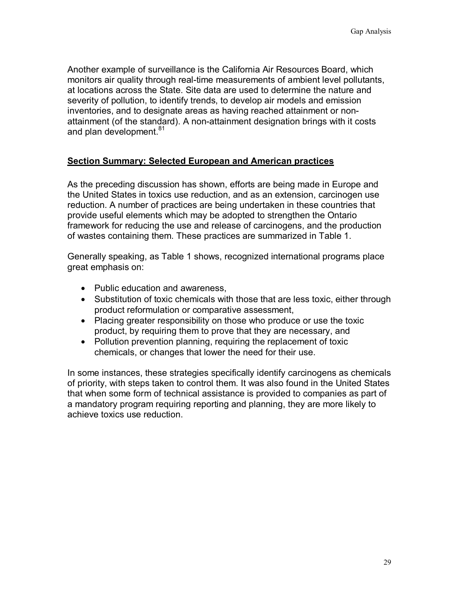Another example of surveillance is the California Air Resources Board, which monitors air quality through real-time measurements of ambient level pollutants, at locations across the State. Site data are used to determine the nature and severity of pollution, to identify trends, to develop air models and emission inventories, and to designate areas as having reached attainment or nonattainment (of the standard). A non-attainment designation brings with it costs and plan development.<sup>81</sup>

### **Section Summary: Selected European and American practices**

As the preceding discussion has shown, efforts are being made in Europe and the United States in toxics use reduction, and as an extension, carcinogen use reduction. A number of practices are being undertaken in these countries that provide useful elements which may be adopted to strengthen the Ontario framework for reducing the use and release of carcinogens, and the production of wastes containing them. These practices are summarized in Table 1.

Generally speaking, as Table 1 shows, recognized international programs place great emphasis on:

- Public education and awareness,
- Substitution of toxic chemicals with those that are less toxic, either through product reformulation or comparative assessment,
- Placing greater responsibility on those who produce or use the toxic product, by requiring them to prove that they are necessary, and
- Pollution prevention planning, requiring the replacement of toxic chemicals, or changes that lower the need for their use.

In some instances, these strategies specifically identify carcinogens as chemicals of priority, with steps taken to control them. It was also found in the United States that when some form of technical assistance is provided to companies as part of a mandatory program requiring reporting and planning, they are more likely to achieve toxics use reduction.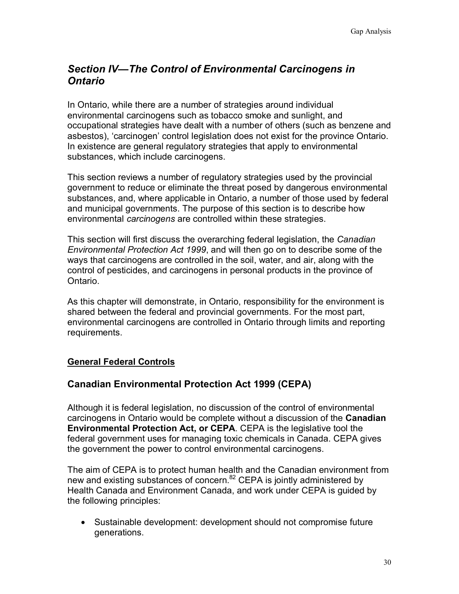# *Section IV—The Control of Environmental Carcinogens in Ontario*

In Ontario, while there are a number of strategies around individual environmental carcinogens such as tobacco smoke and sunlight, and occupational strategies have dealt with a number of others (such as benzene and asbestos), 'carcinogen' control legislation does not exist for the province Ontario. In existence are general regulatory strategies that apply to environmental substances, which include carcinogens.

This section reviews a number of regulatory strategies used by the provincial government to reduce or eliminate the threat posed by dangerous environmental substances, and, where applicable in Ontario, a number of those used by federal and municipal governments. The purpose of this section is to describe how environmental *carcinogens* are controlled within these strategies.

This section will first discuss the overarching federal legislation, the *Canadian Environmental Protection Act 1999*, and will then go on to describe some of the ways that carcinogens are controlled in the soil, water, and air, along with the control of pesticides, and carcinogens in personal products in the province of Ontario.

As this chapter will demonstrate, in Ontario, responsibility for the environment is shared between the federal and provincial governments. For the most part, environmental carcinogens are controlled in Ontario through limits and reporting requirements.

### **General Federal Controls**

# **Canadian Environmental Protection Act 1999 (CEPA)**

Although it is federal legislation, no discussion of the control of environmental carcinogens in Ontario would be complete without a discussion of the **Canadian Environmental Protection Act, or CEPA**. CEPA is the legislative tool the federal government uses for managing toxic chemicals in Canada. CEPA gives the government the power to control environmental carcinogens.

The aim of CEPA is to protect human health and the Canadian environment from new and existing substances of concern.<sup>82</sup> CEPA is jointly administered by Health Canada and Environment Canada, and work under CEPA is guided by the following principles:

• Sustainable development: development should not compromise future generations.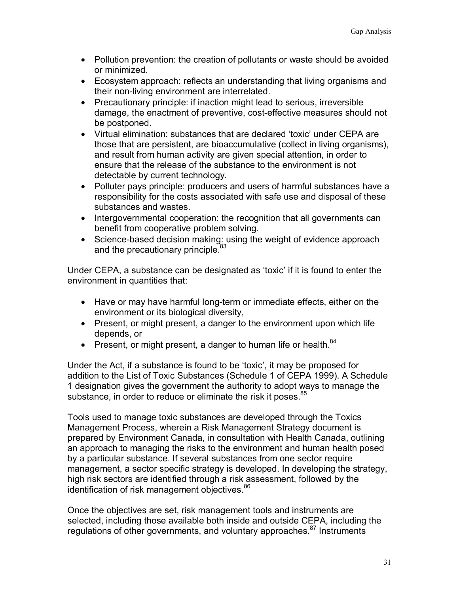- Pollution prevention: the creation of pollutants or waste should be avoided or minimized.
- Ecosystem approach: reflects an understanding that living organisms and their non-living environment are interrelated.
- Precautionary principle: if inaction might lead to serious, irreversible damage, the enactment of preventive, cost-effective measures should not be postponed.
- Virtual elimination: substances that are declared 'toxic' under CEPA are those that are persistent, are bioaccumulative (collect in living organisms), and result from human activity are given special attention, in order to ensure that the release of the substance to the environment is not detectable by current technology.
- Polluter pays principle: producers and users of harmful substances have a responsibility for the costs associated with safe use and disposal of these substances and wastes.
- Intergovernmental cooperation: the recognition that all governments can benefit from cooperative problem solving.
- Science-based decision making: using the weight of evidence approach and the precautionary principle.<sup>83</sup>

Under CEPA, a substance can be designated as 'toxic' if it is found to enter the environment in quantities that:

- Have or may have harmful long-term or immediate effects, either on the environment or its biological diversity,
- Present, or might present, a danger to the environment upon which life depends, or
- Present, or might present, a danger to human life or health. $84$

Under the Act, if a substance is found to be 'toxic', it may be proposed for addition to the List of Toxic Substances (Schedule 1 of CEPA 1999). A Schedule 1 designation gives the government the authority to adopt ways to manage the substance, in order to reduce or eliminate the risk it poses.<sup>85</sup>

Tools used to manage toxic substances are developed through the Toxics Management Process, wherein a Risk Management Strategy document is prepared by Environment Canada, in consultation with Health Canada, outlining an approach to managing the risks to the environment and human health posed by a particular substance. If several substances from one sector require management, a sector specific strategy is developed. In developing the strategy, high risk sectors are identified through a risk assessment, followed by the identification of risk management objectives.<sup>86</sup>

Once the objectives are set, risk management tools and instruments are selected, including those available both inside and outside CEPA, including the regulations of other governments, and voluntary approaches.<sup>87</sup> Instruments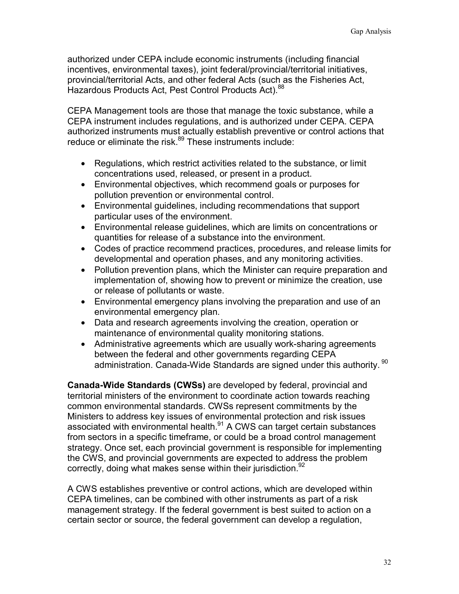authorized under CEPA include economic instruments (including financial incentives, environmental taxes), joint federal/provincial/territorial initiatives, provincial/territorial Acts, and other federal Acts (such as the Fisheries Act, Hazardous Products Act, Pest Control Products Act).<sup>88</sup>

CEPA Management tools are those that manage the toxic substance, while a CEPA instrument includes regulations, and is authorized under CEPA. CEPA authorized instruments must actually establish preventive or control actions that reduce or eliminate the risk.<sup>89</sup> These instruments include:

- Regulations, which restrict activities related to the substance, or limit concentrations used, released, or present in a product.
- Environmental objectives, which recommend goals or purposes for pollution prevention or environmental control.
- Environmental guidelines, including recommendations that support particular uses of the environment.
- Environmental release guidelines, which are limits on concentrations or quantities for release of a substance into the environment.
- Codes of practice recommend practices, procedures, and release limits for developmental and operation phases, and any monitoring activities.
- Pollution prevention plans, which the Minister can require preparation and implementation of, showing how to prevent or minimize the creation, use or release of pollutants or waste.
- Environmental emergency plans involving the preparation and use of an environmental emergency plan.
- Data and research agreements involving the creation, operation or maintenance of environmental quality monitoring stations.
- Administrative agreements which are usually work-sharing agreements between the federal and other governments regarding CEPA administration. Canada-Wide Standards are signed under this authority. <sup>90</sup>

**Canada-Wide Standards (CWSs)** are developed by federal, provincial and territorial ministers of the environment to coordinate action towards reaching common environmental standards. CWSs represent commitments by the Ministers to address key issues of environmental protection and risk issues associated with environmental health.<sup>91</sup> A CWS can target certain substances from sectors in a specific timeframe, or could be a broad control management strategy. Once set, each provincial government is responsible for implementing the CWS, and provincial governments are expected to address the problem correctly, doing what makes sense within their jurisdiction.  $92$ 

A CWS establishes preventive or control actions, which are developed within CEPA timelines, can be combined with other instruments as part of a risk management strategy. If the federal government is best suited to action on a certain sector or source, the federal government can develop a regulation,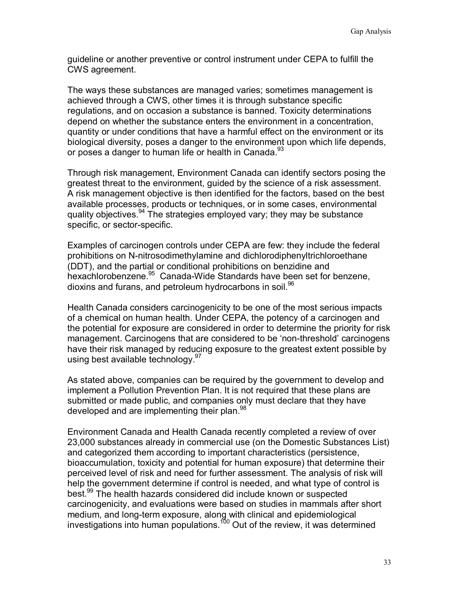guideline or another preventive or control instrument under CEPA to fulfill the CWS agreement.

The ways these substances are managed varies; sometimes management is achieved through a CWS, other times it is through substance specific regulations, and on occasion a substance is banned. Toxicity determinations depend on whether the substance enters the environment in a concentration, quantity or under conditions that have a harmful effect on the environment or its biological diversity, poses a danger to the environment upon which life depends, or poses a danger to human life or health in Canada. $93$ 

Through risk management, Environment Canada can identify sectors posing the greatest threat to the environment, guided by the science of a risk assessment. A risk management objective is then identified for the factors, based on the best available processes, products or techniques, or in some cases, environmental quality objectives.  $94$  The strategies employed vary; they may be substance specific, or sector-specific.

Examples of carcinogen controls under CEPA are few: they include the federal prohibitions on N-nitrosodimethylamine and dichlorodiphenyltrichloroethane (DDT), and the partial or conditional prohibitions on benzidine and hexachlorobenzene.<sup>95</sup> Canada-Wide Standards have been set for benzene, dioxins and furans, and petroleum hydrocarbons in soil.<sup>96</sup>

Health Canada considers carcinogenicity to be one of the most serious impacts of a chemical on human health. Under CEPA, the potency of a carcinogen and the potential for exposure are considered in order to determine the priority for risk management. Carcinogens that are considered to be 'non-threshold' carcinogens have their risk managed by reducing exposure to the greatest extent possible by using best available technology.<sup>97</sup>

As stated above, companies can be required by the government to develop and implement a Pollution Prevention Plan. It is not required that these plans are submitted or made public, and companies only must declare that they have developed and are implementing their plan.<sup>98</sup>

Environment Canada and Health Canada recently completed a review of over 23,000 substances already in commercial use (on the Domestic Substances List) and categorized them according to important characteristics (persistence, bioaccumulation, toxicity and potential for human exposure) that determine their perceived level of risk and need for further assessment. The analysis of risk will help the government determine if control is needed, and what type of control is best.<sup>99</sup> The health hazards considered did include known or suspected carcinogenicity, and evaluations were based on studies in mammals after short medium, and long-term exposure, along with clinical and epidemiological investigations into human populations.<sup>100</sup> Out of the review, it was determined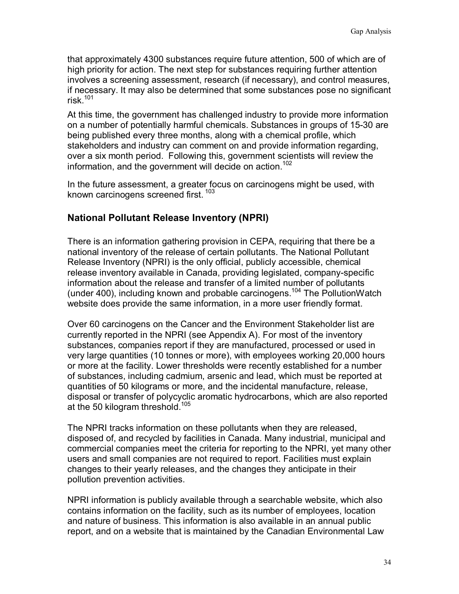that approximately 4300 substances require future attention, 500 of which are of high priority for action. The next step for substances requiring further attention involves a screening assessment, research (if necessary), and control measures, if necessary. It may also be determined that some substances pose no significant risk $101$ 

At this time, the government has challenged industry to provide more information on a number of potentially harmful chemicals. Substances in groups of 15-30 are being published every three months, along with a chemical profile, which stakeholders and industry can comment on and provide information regarding, over a six month period. Following this, government scientists will review the information, and the government will decide on action.<sup>102</sup>

In the future assessment, a greater focus on carcinogens might be used, with known carcinogens screened first.<sup>103</sup>

### **National Pollutant Release Inventory (NPRI)**

There is an information gathering provision in CEPA, requiring that there be a national inventory of the release of certain pollutants. The National Pollutant Release Inventory (NPRI) is the only official, publicly accessible, chemical release inventory available in Canada, providing legislated, company-specific information about the release and transfer of a limited number of pollutants (under 400), including known and probable carcinogens.<sup>104</sup> The PollutionWatch website does provide the same information, in a more user friendly format.

Over 60 carcinogens on the Cancer and the Environment Stakeholder list are currently reported in the NPRI (see Appendix A). For most of the inventory substances, companies report if they are manufactured, processed or used in very large quantities (10 tonnes or more), with employees working 20,000 hours or more at the facility. Lower thresholds were recently established for a number of substances, including cadmium, arsenic and lead, which must be reported at quantities of 50 kilograms or more, and the incidental manufacture, release, disposal or transfer of polycyclic aromatic hydrocarbons, which are also reported at the 50 kilogram threshold.<sup>105</sup>

The NPRI tracks information on these pollutants when they are released, disposed of, and recycled by facilities in Canada. Many industrial, municipal and commercial companies meet the criteria for reporting to the NPRI, yet many other users and small companies are not required to report. Facilities must explain changes to their yearly releases, and the changes they anticipate in their pollution prevention activities.

NPRI information is publicly available through a searchable website, which also contains information on the facility, such as its number of employees, location and nature of business. This information is also available in an annual public report, and on a website that is maintained by the Canadian Environmental Law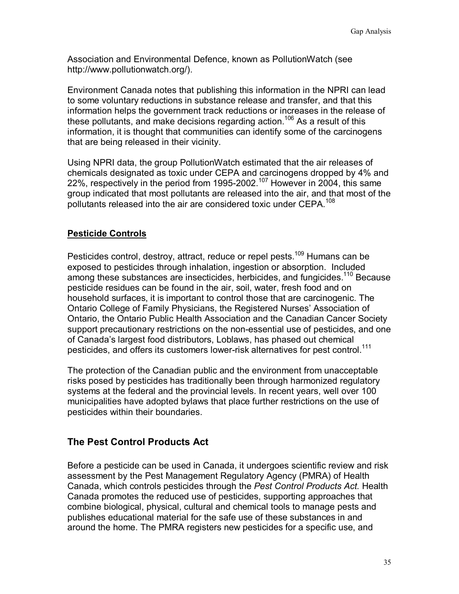Association and Environmental Defence, known as PollutionWatch (see http://www.pollutionwatch.org/).

Environment Canada notes that publishing this information in the NPRI can lead to some voluntary reductions in substance release and transfer, and that this information helps the government track reductions or increases in the release of these pollutants, and make decisions regarding action.<sup>106</sup> As a result of this information, it is thought that communities can identify some of the carcinogens that are being released in their vicinity.

Using NPRI data, the group PollutionWatch estimated that the air releases of chemicals designated as toxic under CEPA and carcinogens dropped by 4% and 22%, respectively in the period from 1995-2002.<sup>107</sup> However in 2004, this same group indicated that most pollutants are released into the air, and that most of the pollutants released into the air are considered toxic under CEPA.<sup>108</sup>

# **Pesticide Controls**

Pesticides control, destroy, attract, reduce or repel pests.<sup>109</sup> Humans can be exposed to pesticides through inhalation, ingestion or absorption. Included among these substances are insecticides, herbicides, and fungicides.<sup>110</sup> Because pesticide residues can be found in the air, soil, water, fresh food and on household surfaces, it is important to control those that are carcinogenic. The Ontario College of Family Physicians, the Registered Nurses' Association of Ontario, the Ontario Public Health Association and the Canadian Cancer Society support precautionary restrictions on the non-essential use of pesticides, and one of Canada's largest food distributors, Loblaws, has phased out chemical pesticides, and offers its customers lower-risk alternatives for pest control.<sup>111</sup>

The protection of the Canadian public and the environment from unacceptable risks posed by pesticides has traditionally been through harmonized regulatory systems at the federal and the provincial levels. In recent years, well over 100 municipalities have adopted bylaws that place further restrictions on the use of pesticides within their boundaries.

# **The Pest Control Products Act**

Before a pesticide can be used in Canada, it undergoes scientific review and risk assessment by the Pest Management Regulatory Agency (PMRA) of Health Canada, which controls pesticides through the *Pest Control Products Act.* Health Canada promotes the reduced use of pesticides, supporting approaches that combine biological, physical, cultural and chemical tools to manage pests and publishes educational material for the safe use of these substances in and around the home. The PMRA registers new pesticides for a specific use, and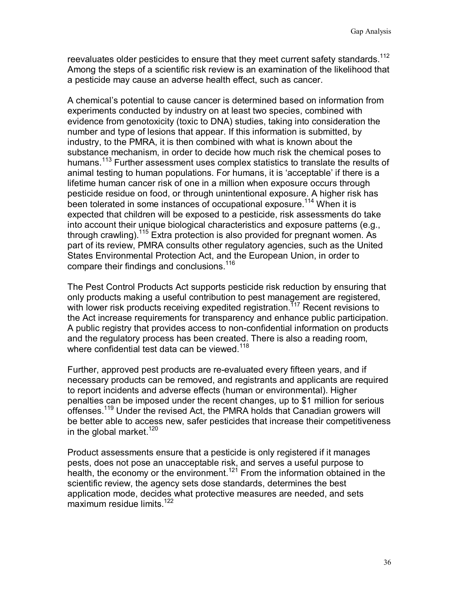reevaluates older pesticides to ensure that they meet current safety standards.<sup>112</sup> Among the steps of a scientific risk review is an examination of the likelihood that a pesticide may cause an adverse health effect, such as cancer.

A chemical's potential to cause cancer is determined based on information from experiments conducted by industry on at least two species, combined with evidence from genotoxicity (toxic to DNA) studies, taking into consideration the number and type of lesions that appear. If this information is submitted, by industry, to the PMRA, it is then combined with what is known about the substance mechanism, in order to decide how much risk the chemical poses to humans.<sup>113</sup> Further assessment uses complex statistics to translate the results of animal testing to human populations. For humans, it is 'acceptable' if there is a lifetime human cancer risk of one in a million when exposure occurs through pesticide residue on food, or through unintentional exposure. A higher risk has been tolerated in some instances of occupational exposure.<sup>114</sup> When it is expected that children will be exposed to a pesticide, risk assessments do take into account their unique biological characteristics and exposure patterns (e.g., through crawling).<sup>115</sup> Extra protection is also provided for pregnant women. As part of its review, PMRA consults other regulatory agencies, such as the United States Environmental Protection Act, and the European Union, in order to compare their findings and conclusions.<sup>116</sup>

The Pest Control Products Act supports pesticide risk reduction by ensuring that only products making a useful contribution to pest management are registered, with lower risk products receiving expedited registration.<sup>117</sup> Recent revisions to the Act increase requirements for transparency and enhance public participation. A public registry that provides access to non-confidential information on products and the regulatory process has been created. There is also a reading room, where confidential test data can be viewed.<sup>118</sup>

Further, approved pest products are re-evaluated every fifteen years, and if necessary products can be removed, and registrants and applicants are required to report incidents and adverse effects (human or environmental). Higher penalties can be imposed under the recent changes, up to \$1 million for serious offenses.<sup>119</sup> Under the revised Act, the PMRA holds that Canadian growers will be better able to access new, safer pesticides that increase their competitiveness in the global market.<sup>120</sup>

Product assessments ensure that a pesticide is only registered if it manages pests, does not pose an unacceptable risk, and serves a useful purpose to health, the economy or the environment.<sup>121</sup> From the information obtained in the scientific review, the agency sets dose standards, determines the best application mode, decides what protective measures are needed, and sets maximum residue limits.<sup>122</sup>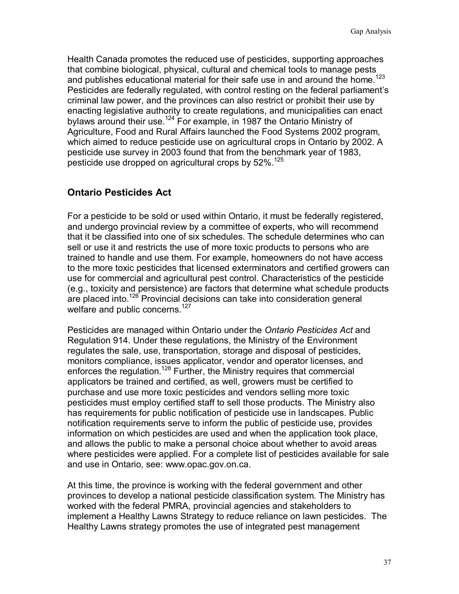Health Canada promotes the reduced use of pesticides, supporting approaches that combine biological, physical, cultural and chemical tools to manage pests and publishes educational material for their safe use in and around the home.<sup>123</sup> Pesticides are federally regulated, with control resting on the federal parliament's criminal law power, and the provinces can also restrict or prohibit their use by enacting legislative authority to create regulations, and municipalities can enact bylaws around their use.<sup>124</sup> For example, in 1987 the Ontario Ministry of Agriculture, Food and Rural Affairs launched the Food Systems 2002 program, which aimed to reduce pesticide use on agricultural crops in Ontario by 2002. A pesticide use survey in 2003 found that from the benchmark year of 1983, pesticide use dropped on agricultural crops by 52%.<sup>125</sup>

## **Ontario Pesticides Act**

For a pesticide to be sold or used within Ontario, it must be federally registered, and undergo provincial review by a committee of experts, who will recommend that it be classified into one of six schedules. The schedule determines who can sell or use it and restricts the use of more toxic products to persons who are trained to handle and use them. For example, homeowners do not have access to the more toxic pesticides that licensed exterminators and certified growers can use for commercial and agricultural pest control. Characteristics of the pesticide (e.g., toxicity and persistence) are factors that determine what schedule products are placed into.<sup>126</sup> Provincial decisions can take into consideration general welfare and public concerns.<sup>127</sup>

Pesticides are managed within Ontario under the *Ontario Pesticides Act* and Regulation 914. Under these regulations, the Ministry of the Environment regulates the sale, use, transportation, storage and disposal of pesticides, monitors compliance, issues applicator, vendor and operator licenses, and enforces the regulation.<sup>128</sup> Further, the Ministry requires that commercial applicators be trained and certified, as well, growers must be certified to purchase and use more toxic pesticides and vendors selling more toxic pesticides must employ certified staff to sell those products. The Ministry also has requirements for public notification of pesticide use in landscapes. Public notification requirements serve to inform the public of pesticide use, provides information on which pesticides are used and when the application took place, and allows the public to make a personal choice about whether to avoid areas where pesticides were applied. For a complete list of pesticides available for sale and use in Ontario, see: www.opac.gov.on.ca.

At this time, the province is working with the federal government and other provinces to develop a national pesticide classification system. The Ministry has worked with the federal PMRA, provincial agencies and stakeholders to implement a Healthy Lawns Strategy to reduce reliance on lawn pesticides. The Healthy Lawns strategy promotes the use of integrated pest management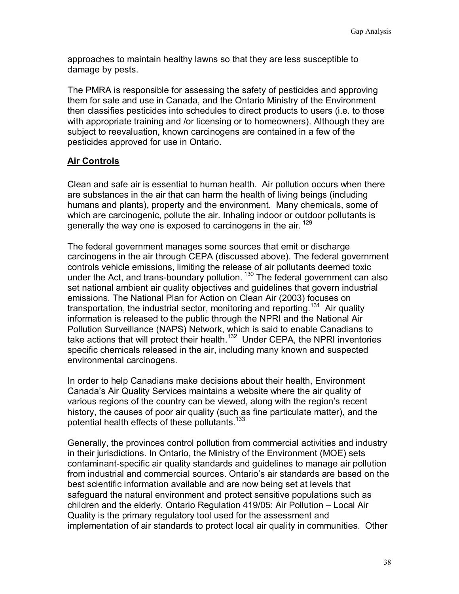approaches to maintain healthy lawns so that they are less susceptible to damage by pests.

The PMRA is responsible for assessing the safety of pesticides and approving them for sale and use in Canada, and the Ontario Ministry of the Environment then classifies pesticides into schedules to direct products to users (i.e. to those with appropriate training and /or licensing or to homeowners). Although they are subject to reevaluation, known carcinogens are contained in a few of the pesticides approved for use in Ontario.

## **Air Controls**

Clean and safe air is essential to human health. Air pollution occurs when there are substances in the air that can harm the health of living beings (including humans and plants), property and the environment. Many chemicals, some of which are carcinogenic, pollute the air. Inhaling indoor or outdoor pollutants is generally the way one is exposed to carcinogens in the air.<sup>129</sup>

The federal government manages some sources that emit or discharge carcinogens in the air through CEPA (discussed above). The federal government controls vehicle emissions, limiting the release of air pollutants deemed toxic under the Act, and trans-boundary pollution.  $130$  The federal government can also set national ambient air quality objectives and guidelines that govern industrial emissions. The National Plan for Action on Clean Air (2003) focuses on transportation, the industrial sector, monitoring and reporting.<sup>131</sup> Air quality information is released to the public through the NPRI and the National Air Pollution Surveillance (NAPS) Network, which is said to enable Canadians to take actions that will protect their health.<sup>132</sup> Under CEPA, the NPRI inventories specific chemicals released in the air, including many known and suspected environmental carcinogens.

In order to help Canadians make decisions about their health, Environment Canada's Air Quality Services maintains a website where the air quality of various regions of the country can be viewed, along with the region's recent history, the causes of poor air quality (such as fine particulate matter), and the potential health effects of these pollutants.<sup>133</sup>

Generally, the provinces control pollution from commercial activities and industry in their jurisdictions. In Ontario, the Ministry of the Environment (MOE) sets contaminant-specific air quality standards and guidelines to manage air pollution from industrial and commercial sources. Ontario's air standards are based on the best scientific information available and are now being set at levels that safeguard the natural environment and protect sensitive populations such as children and the elderly. Ontario Regulation 419/05: Air Pollution – Local Air Quality is the primary regulatory tool used for the assessment and implementation of air standards to protect local air quality in communities. Other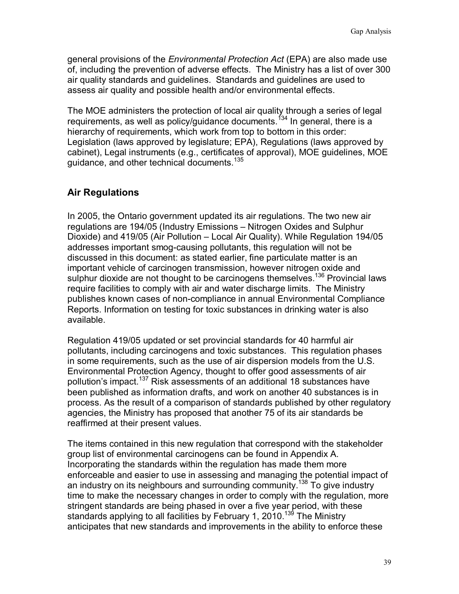general provisions of the *Environmental Protection Act* (EPA) are also made use of, including the prevention of adverse effects. The Ministry has a list of over 300 air quality standards and guidelines. Standards and guidelines are used to assess air quality and possible health and/or environmental effects.

The MOE administers the protection of local air quality through a series of legal requirements, as well as policy/quidance documents.<sup>134</sup> In general, there is a hierarchy of requirements, which work from top to bottom in this order: Legislation (laws approved by legislature; EPA), Regulations (laws approved by cabinet), Legal instruments (e.g., certificates of approval), MOE guidelines, MOE guidance, and other technical documents.<sup>135</sup>

## **Air Regulations**

In 2005, the Ontario government updated its air regulations. The two new air regulations are 194/05 (Industry Emissions – Nitrogen Oxides and Sulphur Dioxide) and 419/05 (Air Pollution – Local Air Quality). While Regulation 194/05 addresses important smog-causing pollutants, this regulation will not be discussed in this document: as stated earlier, fine particulate matter is an important vehicle of carcinogen transmission, however nitrogen oxide and sulphur dioxide are not thought to be carcinogens themselves.<sup>136</sup> Provincial laws require facilities to comply with air and water discharge limits. The Ministry publishes known cases of non-compliance in annual Environmental Compliance Reports. Information on testing for toxic substances in drinking water is also available.

Regulation 419/05 updated or set provincial standards for 40 harmful air pollutants, including carcinogens and toxic substances. This regulation phases in some requirements, such as the use of air dispersion models from the U.S. Environmental Protection Agency, thought to offer good assessments of air pollution's impact.<sup>137</sup> Risk assessments of an additional 18 substances have been published as information drafts, and work on another 40 substances is in process. As the result of a comparison of standards published by other regulatory agencies, the Ministry has proposed that another 75 of its air standards be reaffirmed at their present values.

The items contained in this new regulation that correspond with the stakeholder group list of environmental carcinogens can be found in Appendix A. Incorporating the standards within the regulation has made them more enforceable and easier to use in assessing and managing the potential impact of an industry on its neighbours and surrounding community.<sup>138</sup> To give industry time to make the necessary changes in order to comply with the regulation, more stringent standards are being phased in over a five year period, with these standards applying to all facilities by February 1, 2010.<sup>139</sup> The Ministry anticipates that new standards and improvements in the ability to enforce these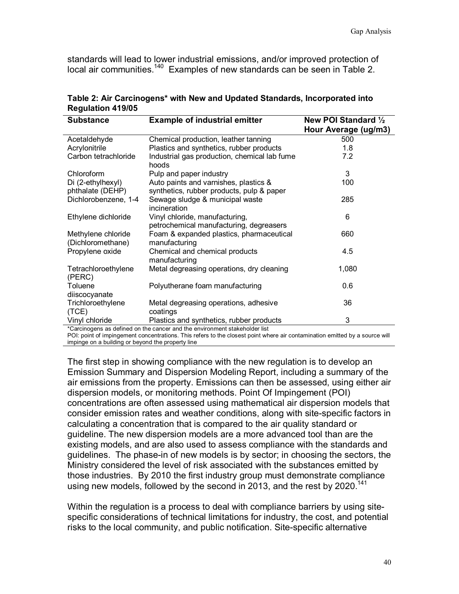standards will lead to lower industrial emissions, and/or improved protection of local air communities.<sup>140</sup> Examples of new standards can be seen in Table 2.

| <b>Substance</b>                        | <b>Example of industrial emitter</b>                                               | New POI Standard 1/2<br>Hour Average (ug/m3) |
|-----------------------------------------|------------------------------------------------------------------------------------|----------------------------------------------|
| Acetaldehyde                            | Chemical production, leather tanning                                               | 500                                          |
| Acrylonitrile                           | Plastics and synthetics, rubber products                                           | 1.8                                          |
| Carbon tetrachloride                    | Industrial gas production, chemical lab fume<br>hoods                              | 7.2                                          |
| Chloroform                              | Pulp and paper industry                                                            | 3                                            |
| Di (2-ethylhexyl)<br>phthalate (DEHP)   | Auto paints and varnishes, plastics &<br>synthetics, rubber products, pulp & paper | 100                                          |
| Dichlorobenzene, 1-4                    | Sewage sludge & municipal waste<br>incineration                                    | 285                                          |
| Ethylene dichloride                     | Vinyl chloride, manufacturing,<br>petrochemical manufacturing, degreasers          | 6                                            |
| Methylene chloride<br>(Dichloromethane) | Foam & expanded plastics, pharmaceutical<br>manufacturing                          | 660                                          |
| Propylene oxide                         | Chemical and chemical products<br>manufacturing                                    | 4.5                                          |
| Tetrachloroethylene<br>(PERC)           | Metal degreasing operations, dry cleaning                                          | 1,080                                        |
| Toluene                                 | Polyutherane foam manufacturing                                                    | 0.6                                          |
| diiscocyanate                           |                                                                                    |                                              |
| Trichloroethylene                       | Metal degreasing operations, adhesive                                              | 36                                           |
| (TCE)                                   | coatings                                                                           |                                              |
| Vinyl chloride                          | Plastics and synthetics, rubber products                                           | 3                                            |
|                                         | *Carcinogens as defined on the cancer and the environment stakeholder list         |                                              |

|                          | Table 2: Air Carcinogens* with New and Updated Standards, Incorporated into |
|--------------------------|-----------------------------------------------------------------------------|
| <b>Regulation 419/05</b> |                                                                             |

POI: point of impingement concentrations. This refers to the closest point where air contamination emitted by a source will impinge on a building or beyond the property line

The first step in showing compliance with the new regulation is to develop an Emission Summary and Dispersion Modeling Report, including a summary of the air emissions from the property. Emissions can then be assessed, using either air dispersion models, or monitoring methods. Point Of Impingement (POI) concentrations are often assessed using mathematical air dispersion models that consider emission rates and weather conditions, along with site-specific factors in calculating a concentration that is compared to the air quality standard or guideline. The new dispersion models are a more advanced tool than are the existing models, and are also used to assess compliance with the standards and guidelines. The phase-in of new models is by sector; in choosing the sectors, the Ministry considered the level of risk associated with the substances emitted by those industries. By 2010 the first industry group must demonstrate compliance using new models, followed by the second in 2013, and the rest by 2020.<sup>141</sup>

Within the regulation is a process to deal with compliance barriers by using sitespecific considerations of technical limitations for industry, the cost, and potential risks to the local community, and public notification. Site-specific alternative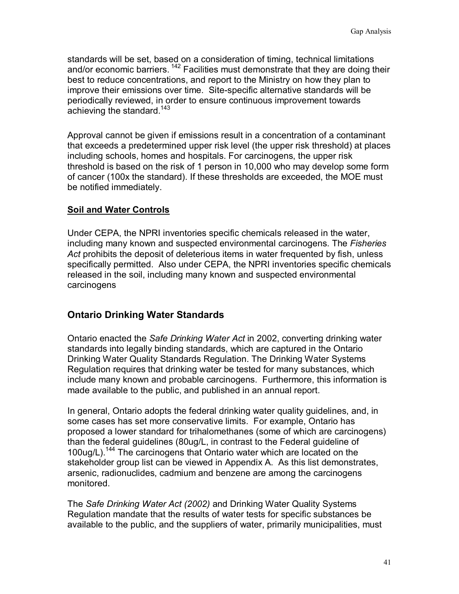standards will be set, based on a consideration of timing, technical limitations and/or economic barriers.  $142$  Facilities must demonstrate that they are doing their best to reduce concentrations, and report to the Ministry on how they plan to improve their emissions over time. Site-specific alternative standards will be periodically reviewed, in order to ensure continuous improvement towards achieving the standard.<sup>143</sup>

Approval cannot be given if emissions result in a concentration of a contaminant that exceeds a predetermined upper risk level (the upper risk threshold) at places including schools, homes and hospitals. For carcinogens, the upper risk threshold is based on the risk of 1 person in 10,000 who may develop some form of cancer (100x the standard). If these thresholds are exceeded, the MOE must be notified immediately.

## **Soil and Water Controls**

Under CEPA, the NPRI inventories specific chemicals released in the water, including many known and suspected environmental carcinogens. The *Fisheries Act* prohibits the deposit of deleterious items in water frequented by fish, unless specifically permitted. Also under CEPA, the NPRI inventories specific chemicals released in the soil, including many known and suspected environmental carcinogens

## **Ontario Drinking Water Standards**

Ontario enacted the *Safe Drinking Water Act* in 2002, converting drinking water standards into legally binding standards, which are captured in the Ontario Drinking Water Quality Standards Regulation. The Drinking Water Systems Regulation requires that drinking water be tested for many substances, which include many known and probable carcinogens. Furthermore, this information is made available to the public, and published in an annual report.

In general, Ontario adopts the federal drinking water quality guidelines, and, in some cases has set more conservative limits. For example, Ontario has proposed a lower standard for trihalomethanes (some of which are carcinogens) than the federal guidelines (80ug/L, in contrast to the Federal guideline of 100ug/L).144 The carcinogens that Ontario water which are located on the stakeholder group list can be viewed in Appendix A. As this list demonstrates, arsenic, radionuclides, cadmium and benzene are among the carcinogens monitored.

The *Safe Drinking Water Act (2002)* and Drinking Water Quality Systems Regulation mandate that the results of water tests for specific substances be available to the public, and the suppliers of water, primarily municipalities, must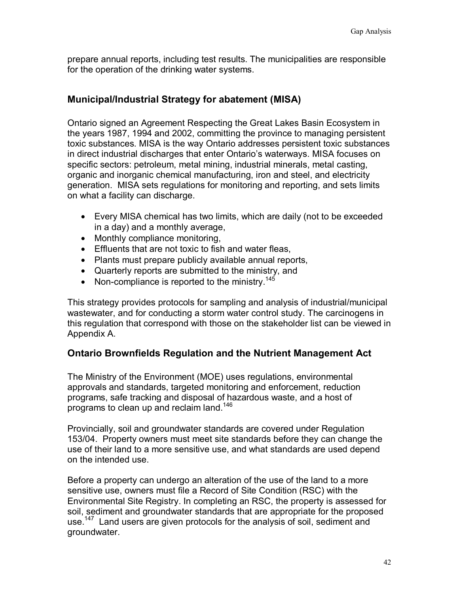prepare annual reports, including test results. The municipalities are responsible for the operation of the drinking water systems.

## **Municipal/Industrial Strategy for abatement (MISA)**

Ontario signed an Agreement Respecting the Great Lakes Basin Ecosystem in the years 1987, 1994 and 2002, committing the province to managing persistent toxic substances. MISA is the way Ontario addresses persistent toxic substances in direct industrial discharges that enter Ontario's waterways. MISA focuses on specific sectors: petroleum, metal mining, industrial minerals, metal casting, organic and inorganic chemical manufacturing, iron and steel, and electricity generation. MISA sets regulations for monitoring and reporting, and sets limits on what a facility can discharge.

- Every MISA chemical has two limits, which are daily (not to be exceeded in a day) and a monthly average,
- Monthly compliance monitoring,
- Effluents that are not toxic to fish and water fleas,
- Plants must prepare publicly available annual reports,
- Quarterly reports are submitted to the ministry, and
- Non-compliance is reported to the ministry.<sup>145</sup>

This strategy provides protocols for sampling and analysis of industrial/municipal wastewater, and for conducting a storm water control study. The carcinogens in this regulation that correspond with those on the stakeholder list can be viewed in Appendix A.

## **Ontario Brownfields Regulation and the Nutrient Management Act**

The Ministry of the Environment (MOE) uses regulations, environmental approvals and standards, targeted monitoring and enforcement, reduction programs, safe tracking and disposal of hazardous waste, and a host of programs to clean up and reclaim land.<sup>146</sup>

Provincially, soil and groundwater standards are covered under Regulation 153/04. Property owners must meet site standards before they can change the use of their land to a more sensitive use, and what standards are used depend on the intended use.

Before a property can undergo an alteration of the use of the land to a more sensitive use, owners must file a Record of Site Condition (RSC) with the Environmental Site Registry. In completing an RSC, the property is assessed for soil, sediment and groundwater standards that are appropriate for the proposed use.<sup>147</sup> Land users are given protocols for the analysis of soil, sediment and groundwater.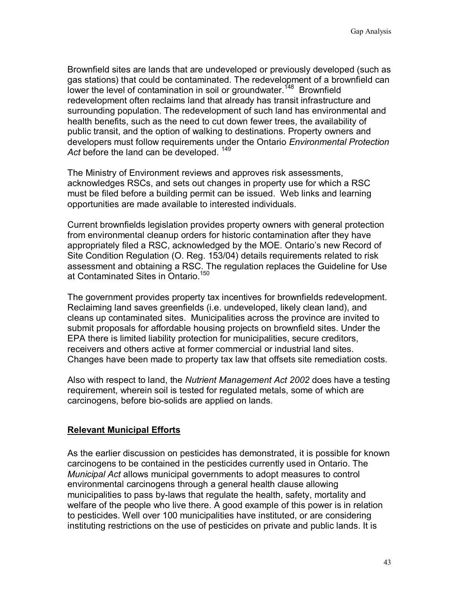Brownfield sites are lands that are undeveloped or previously developed (such as gas stations) that could be contaminated. The redevelopment of a brownfield can lower the level of contamination in soil or groundwater.<sup>148</sup> Brownfield redevelopment often reclaims land that already has transit infrastructure and surrounding population. The redevelopment of such land has environmental and health benefits, such as the need to cut down fewer trees, the availability of public transit, and the option of walking to destinations. Property owners and developers must follow requirements under the Ontario *Environmental Protection*  Act before the land can be developed. <sup>149</sup>

The Ministry of Environment reviews and approves risk assessments, acknowledges RSCs, and sets out changes in property use for which a RSC must be filed before a building permit can be issued. Web links and learning opportunities are made available to interested individuals.

Current brownfields legislation provides property owners with general protection from environmental cleanup orders for historic contamination after they have appropriately filed a RSC, acknowledged by the MOE. Ontario's new Record of Site Condition Regulation (O. Reg. 153/04) details requirements related to risk assessment and obtaining a RSC. The regulation replaces the Guideline for Use at Contaminated Sites in Ontario.<sup>150</sup>

The government provides property tax incentives for brownfields redevelopment. Reclaiming land saves greenfields (i.e. undeveloped, likely clean land), and cleans up contaminated sites. Municipalities across the province are invited to submit proposals for affordable housing projects on brownfield sites. Under the EPA there is limited liability protection for municipalities, secure creditors, receivers and others active at former commercial or industrial land sites. Changes have been made to property tax law that offsets site remediation costs.

Also with respect to land, the *Nutrient Management Act 2002* does have a testing requirement, wherein soil is tested for regulated metals, some of which are carcinogens, before bio-solids are applied on lands.

## **Relevant Municipal Efforts**

As the earlier discussion on pesticides has demonstrated, it is possible for known carcinogens to be contained in the pesticides currently used in Ontario. The *Municipal Act* allows municipal governments to adopt measures to control environmental carcinogens through a general health clause allowing municipalities to pass by-laws that regulate the health, safety, mortality and welfare of the people who live there. A good example of this power is in relation to pesticides. Well over 100 municipalities have instituted, or are considering instituting restrictions on the use of pesticides on private and public lands. It is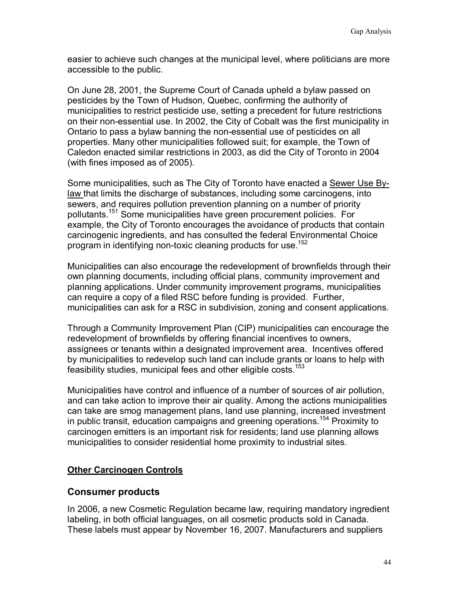easier to achieve such changes at the municipal level, where politicians are more accessible to the public.

On June 28, 2001, the Supreme Court of Canada upheld a bylaw passed on pesticides by the Town of Hudson, Quebec, confirming the authority of municipalities to restrict pesticide use, setting a precedent for future restrictions on their non-essential use. In 2002, the City of Cobalt was the first municipality in Ontario to pass a bylaw banning the non-essential use of pesticides on all properties. Many other municipalities followed suit; for example, the Town of Caledon enacted similar restrictions in 2003, as did the City of Toronto in 2004 (with fines imposed as of 2005).

Some municipalities, such as The City of Toronto have enacted a Sewer Use Bylaw that limits the discharge of substances, including some carcinogens, into sewers, and requires pollution prevention planning on a number of priority pollutants.151 Some municipalities have green procurement policies. For example, the City of Toronto encourages the avoidance of products that contain carcinogenic ingredients, and has consulted the federal Environmental Choice program in identifying non-toxic cleaning products for use.<sup>152</sup>

Municipalities can also encourage the redevelopment of brownfields through their own planning documents, including official plans, community improvement and planning applications. Under community improvement programs, municipalities can require a copy of a filed RSC before funding is provided. Further, municipalities can ask for a RSC in subdivision, zoning and consent applications.

Through a Community Improvement Plan (CIP) municipalities can encourage the redevelopment of brownfields by offering financial incentives to owners, assignees or tenants within a designated improvement area. Incentives offered by municipalities to redevelop such land can include grants or loans to help with feasibility studies, municipal fees and other eligible costs.<sup>153</sup>

Municipalities have control and influence of a number of sources of air pollution, and can take action to improve their air quality. Among the actions municipalities can take are smog management plans, land use planning, increased investment in public transit, education campaigns and greening operations.<sup>154</sup> Proximity to carcinogen emitters is an important risk for residents; land use planning allows municipalities to consider residential home proximity to industrial sites.

## **Other Carcinogen Controls**

## **Consumer products**

In 2006, a new Cosmetic Regulation became law, requiring mandatory ingredient labeling, in both official languages, on all cosmetic products sold in Canada. These labels must appear by November 16, 2007. Manufacturers and suppliers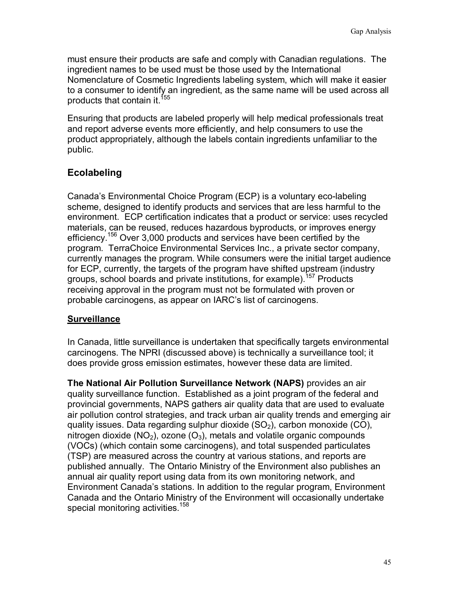must ensure their products are safe and comply with Canadian regulations. The ingredient names to be used must be those used by the International Nomenclature of Cosmetic Ingredients labeling system, which will make it easier to a consumer to identify an ingredient, as the same name will be used across all products that contain it.<sup>155</sup>

Ensuring that products are labeled properly will help medical professionals treat and report adverse events more efficiently, and help consumers to use the product appropriately, although the labels contain ingredients unfamiliar to the public.

# **Ecolabeling**

Canada's Environmental Choice Program (ECP) is a voluntary eco-labeling scheme, designed to identify products and services that are less harmful to the environment. ECP certification indicates that a product or service: uses recycled materials, can be reused, reduces hazardous byproducts, or improves energy efficiency.<sup>156</sup> Over 3,000 products and services have been certified by the program. TerraChoice Environmental Services Inc., a private sector company, currently manages the program. While consumers were the initial target audience for ECP, currently, the targets of the program have shifted upstream (industry groups, school boards and private institutions, for example).<sup>157</sup> Products receiving approval in the program must not be formulated with proven or probable carcinogens, as appear on IARC's list of carcinogens.

## **Surveillance**

In Canada, little surveillance is undertaken that specifically targets environmental carcinogens. The NPRI (discussed above) is technically a surveillance tool; it does provide gross emission estimates, however these data are limited.

**The National Air Pollution Surveillance Network (NAPS)** provides an air quality surveillance function. Established as a joint program of the federal and provincial governments, NAPS gathers air quality data that are used to evaluate air pollution control strategies, and track urban air quality trends and emerging air quality issues. Data regarding sulphur dioxide  $(SO<sub>2</sub>)$ , carbon monoxide  $(CO)$ , nitrogen dioxide ( $NO<sub>2</sub>$ ), ozone ( $O<sub>3</sub>$ ), metals and volatile organic compounds (VOCs) (which contain some carcinogens), and total suspended particulates (TSP) are measured across the country at various stations, and reports are published annually. The Ontario Ministry of the Environment also publishes an annual air quality report using data from its own monitoring network, and Environment Canada's stations. In addition to the regular program, Environment Canada and the Ontario Ministry of the Environment will occasionally undertake special monitoring activities.<sup>158</sup>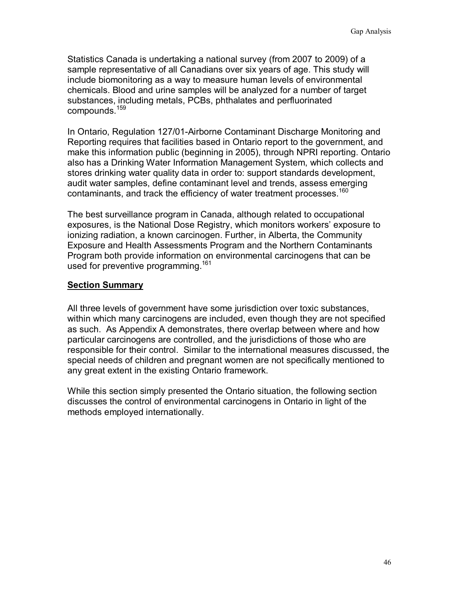Statistics Canada is undertaking a national survey (from 2007 to 2009) of a sample representative of all Canadians over six years of age. This study will include biomonitoring as a way to measure human levels of environmental chemicals. Blood and urine samples will be analyzed for a number of target substances, including metals, PCBs, phthalates and perfluorinated compounds.<sup>159</sup>

In Ontario, Regulation 127/01-Airborne Contaminant Discharge Monitoring and Reporting requires that facilities based in Ontario report to the government, and make this information public (beginning in 2005), through NPRI reporting. Ontario also has a Drinking Water Information Management System, which collects and stores drinking water quality data in order to: support standards development, audit water samples, define contaminant level and trends, assess emerging contaminants, and track the efficiency of water treatment processes.<sup>160</sup>

The best surveillance program in Canada, although related to occupational exposures, is the National Dose Registry, which monitors workers' exposure to ionizing radiation, a known carcinogen. Further, in Alberta, the Community Exposure and Health Assessments Program and the Northern Contaminants Program both provide information on environmental carcinogens that can be used for preventive programming.<sup>161</sup>

### **Section Summary**

All three levels of government have some jurisdiction over toxic substances, within which many carcinogens are included, even though they are not specified as such. As Appendix A demonstrates, there overlap between where and how particular carcinogens are controlled, and the jurisdictions of those who are responsible for their control. Similar to the international measures discussed, the special needs of children and pregnant women are not specifically mentioned to any great extent in the existing Ontario framework.

While this section simply presented the Ontario situation, the following section discusses the control of environmental carcinogens in Ontario in light of the methods employed internationally.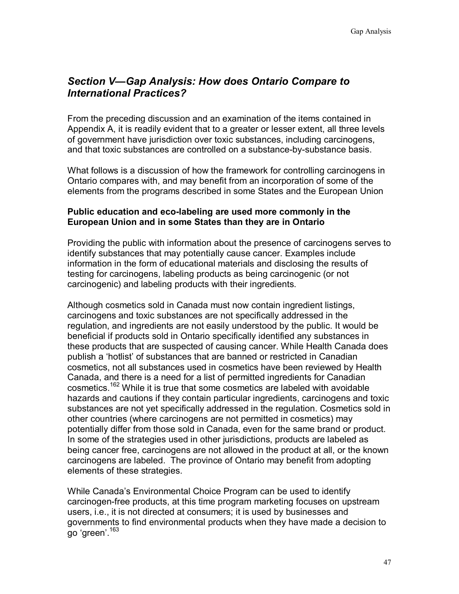# *Section V—Gap Analysis: How does Ontario Compare to International Practices?*

From the preceding discussion and an examination of the items contained in Appendix A, it is readily evident that to a greater or lesser extent, all three levels of government have jurisdiction over toxic substances, including carcinogens, and that toxic substances are controlled on a substance-by-substance basis.

What follows is a discussion of how the framework for controlling carcinogens in Ontario compares with, and may benefit from an incorporation of some of the elements from the programs described in some States and the European Union

#### **Public education and eco-labeling are used more commonly in the European Union and in some States than they are in Ontario**

Providing the public with information about the presence of carcinogens serves to identify substances that may potentially cause cancer. Examples include information in the form of educational materials and disclosing the results of testing for carcinogens, labeling products as being carcinogenic (or not carcinogenic) and labeling products with their ingredients.

Although cosmetics sold in Canada must now contain ingredient listings, carcinogens and toxic substances are not specifically addressed in the regulation, and ingredients are not easily understood by the public. It would be beneficial if products sold in Ontario specifically identified any substances in these products that are suspected of causing cancer. While Health Canada does publish a 'hotlist' of substances that are banned or restricted in Canadian cosmetics, not all substances used in cosmetics have been reviewed by Health Canada, and there is a need for a list of permitted ingredients for Canadian cosmetics.<sup>162</sup> While it is true that some cosmetics are labeled with avoidable hazards and cautions if they contain particular ingredients, carcinogens and toxic substances are not yet specifically addressed in the regulation. Cosmetics sold in other countries (where carcinogens are not permitted in cosmetics) may potentially differ from those sold in Canada, even for the same brand or product. In some of the strategies used in other jurisdictions, products are labeled as being cancer free, carcinogens are not allowed in the product at all, or the known carcinogens are labeled. The province of Ontario may benefit from adopting elements of these strategies.

While Canada's Environmental Choice Program can be used to identify carcinogen-free products, at this time program marketing focuses on upstream users, i.e., it is not directed at consumers; it is used by businesses and governments to find environmental products when they have made a decision to go 'green'.163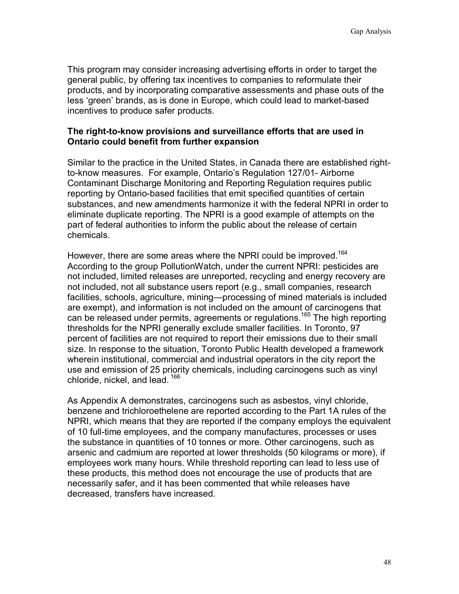This program may consider increasing advertising efforts in order to target the general public, by offering tax incentives to companies to reformulate their products, and by incorporating comparative assessments and phase outs of the less 'green' brands, as is done in Europe, which could lead to market-based incentives to produce safer products.

#### **The right-to-know provisions and surveillance efforts that are used in Ontario could benefit from further expansion**

Similar to the practice in the United States, in Canada there are established rightto-know measures. For example, Ontario's Regulation 127/01- Airborne Contaminant Discharge Monitoring and Reporting Regulation requires public reporting by Ontario-based facilities that emit specified quantities of certain substances, and new amendments harmonize it with the federal NPRI in order to eliminate duplicate reporting. The NPRI is a good example of attempts on the part of federal authorities to inform the public about the release of certain chemicals.

However, there are some areas where the NPRI could be improved.<sup>164</sup> According to the group PollutionWatch, under the current NPRI: pesticides are not included, limited releases are unreported, recycling and energy recovery are not included, not all substance users report (e.g., small companies, research facilities, schools, agriculture, mining—processing of mined materials is included are exempt), and information is not included on the amount of carcinogens that can be released under permits, agreements or regulations.165 The high reporting thresholds for the NPRI generally exclude smaller facilities. In Toronto, 97 percent of facilities are not required to report their emissions due to their small size. In response to the situation, Toronto Public Health developed a framework wherein institutional, commercial and industrial operators in the city report the use and emission of 25 priority chemicals, including carcinogens such as vinyl chloride, nickel, and lead.  $166$ 

As Appendix A demonstrates, carcinogens such as asbestos, vinyl chloride, benzene and trichloroethelene are reported according to the Part 1A rules of the NPRI, which means that they are reported if the company employs the equivalent of 10 full-time employees, and the company manufactures, processes or uses the substance in quantities of 10 tonnes or more. Other carcinogens, such as arsenic and cadmium are reported at lower thresholds (50 kilograms or more), if employees work many hours. While threshold reporting can lead to less use of these products, this method does not encourage the use of products that are necessarily safer, and it has been commented that while releases have decreased, transfers have increased.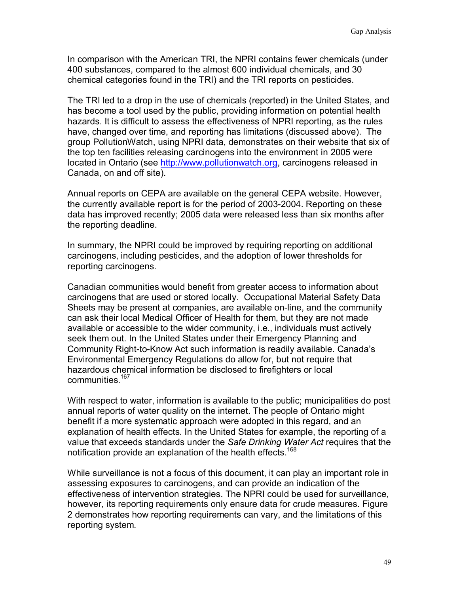In comparison with the American TRI, the NPRI contains fewer chemicals (under 400 substances, compared to the almost 600 individual chemicals, and 30 chemical categories found in the TRI) and the TRI reports on pesticides.

The TRI led to a drop in the use of chemicals (reported) in the United States, and has become a tool used by the public, providing information on potential health hazards. It is difficult to assess the effectiveness of NPRI reporting, as the rules have, changed over time, and reporting has limitations (discussed above). The group PollutionWatch, using NPRI data, demonstrates on their website that six of the top ten facilities releasing carcinogens into the environment in 2005 were located in Ontario (see http://www.pollutionwatch.org, carcinogens released in Canada, on and off site).

Annual reports on CEPA are available on the general CEPA website. However, the currently available report is for the period of 2003-2004. Reporting on these data has improved recently; 2005 data were released less than six months after the reporting deadline.

In summary, the NPRI could be improved by requiring reporting on additional carcinogens, including pesticides, and the adoption of lower thresholds for reporting carcinogens.

Canadian communities would benefit from greater access to information about carcinogens that are used or stored locally. Occupational Material Safety Data Sheets may be present at companies, are available on-line, and the community can ask their local Medical Officer of Health for them, but they are not made available or accessible to the wider community, i.e., individuals must actively seek them out. In the United States under their Emergency Planning and Community Right-to-Know Act such information is readily available. Canada's Environmental Emergency Regulations do allow for, but not require that hazardous chemical information be disclosed to firefighters or local communities.167

With respect to water, information is available to the public; municipalities do post annual reports of water quality on the internet. The people of Ontario might benefit if a more systematic approach were adopted in this regard, and an explanation of health effects. In the United States for example, the reporting of a value that exceeds standards under the *Safe Drinking Water Act* requires that the notification provide an explanation of the health effects.<sup>168</sup>

While surveillance is not a focus of this document, it can play an important role in assessing exposures to carcinogens, and can provide an indication of the effectiveness of intervention strategies. The NPRI could be used for surveillance, however, its reporting requirements only ensure data for crude measures. Figure 2 demonstrates how reporting requirements can vary, and the limitations of this reporting system.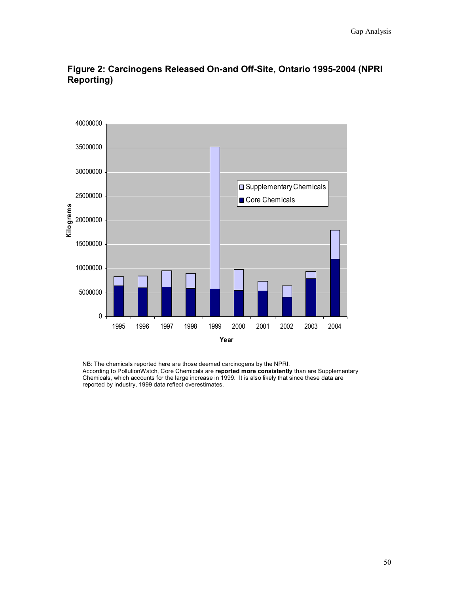

**Figure 2: Carcinogens Released On-and Off-Site, Ontario 1995-2004 (NPRI Reporting)**

NB: The chemicals reported here are those deemed carcinogens by the NPRI. According to PollutionWatch, Core Chemicals are **reported more consistently** than are Supplementary Chemicals, which accounts for the large increase in 1999. It is also likely that since these data are reported by industry, 1999 data reflect overestimates.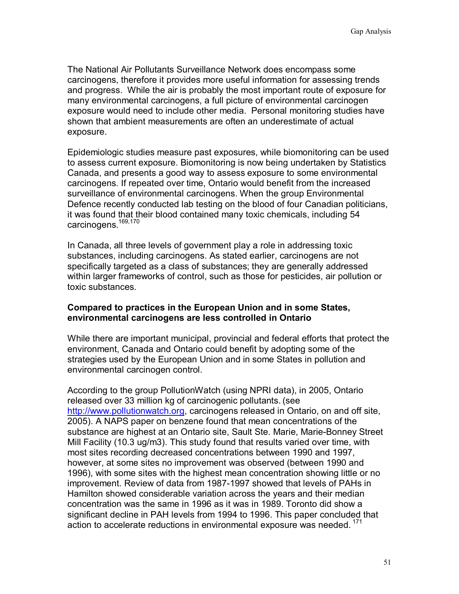The National Air Pollutants Surveillance Network does encompass some carcinogens, therefore it provides more useful information for assessing trends and progress. While the air is probably the most important route of exposure for many environmental carcinogens, a full picture of environmental carcinogen exposure would need to include other media. Personal monitoring studies have shown that ambient measurements are often an underestimate of actual exposure.

Epidemiologic studies measure past exposures, while biomonitoring can be used to assess current exposure. Biomonitoring is now being undertaken by Statistics Canada, and presents a good way to assess exposure to some environmental carcinogens. If repeated over time, Ontario would benefit from the increased surveillance of environmental carcinogens. When the group Environmental Defence recently conducted lab testing on the blood of four Canadian politicians, it was found that their blood contained many toxic chemicals, including 54 carcinogens.<sup>169,170</sup>

In Canada, all three levels of government play a role in addressing toxic substances, including carcinogens. As stated earlier, carcinogens are not specifically targeted as a class of substances; they are generally addressed within larger frameworks of control, such as those for pesticides, air pollution or toxic substances.

#### **Compared to practices in the European Union and in some States, environmental carcinogens are less controlled in Ontario**

While there are important municipal, provincial and federal efforts that protect the environment, Canada and Ontario could benefit by adopting some of the strategies used by the European Union and in some States in pollution and environmental carcinogen control.

According to the group PollutionWatch (using NPRI data), in 2005, Ontario released over 33 million kg of carcinogenic pollutants. (see http://www.pollutionwatch.org, carcinogens released in Ontario, on and off site, 2005). A NAPS paper on benzene found that mean concentrations of the substance are highest at an Ontario site, Sault Ste. Marie, Marie-Bonney Street Mill Facility (10.3 ug/m3). This study found that results varied over time, with most sites recording decreased concentrations between 1990 and 1997, however, at some sites no improvement was observed (between 1990 and 1996), with some sites with the highest mean concentration showing little or no improvement. Review of data from 1987-1997 showed that levels of PAHs in Hamilton showed considerable variation across the years and their median concentration was the same in 1996 as it was in 1989. Toronto did show a significant decline in PAH levels from 1994 to 1996. This paper concluded that action to accelerate reductions in environmental exposure was needed.<sup>171</sup>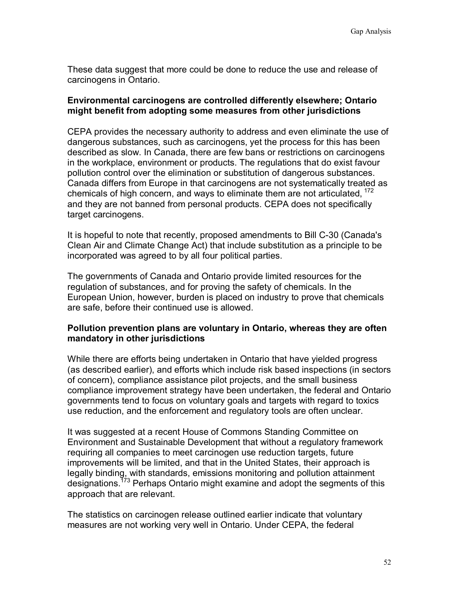These data suggest that more could be done to reduce the use and release of carcinogens in Ontario.

#### **Environmental carcinogens are controlled differently elsewhere; Ontario might benefit from adopting some measures from other jurisdictions**

CEPA provides the necessary authority to address and even eliminate the use of dangerous substances, such as carcinogens, yet the process for this has been described as slow. In Canada, there are few bans or restrictions on carcinogens in the workplace, environment or products. The regulations that do exist favour pollution control over the elimination or substitution of dangerous substances. Canada differs from Europe in that carcinogens are not systematically treated as chemicals of high concern, and ways to eliminate them are not articulated,  $172$ and they are not banned from personal products. CEPA does not specifically target carcinogens.

It is hopeful to note that recently, proposed amendments to Bill C-30 (Canada's Clean Air and Climate Change Act) that include substitution as a principle to be incorporated was agreed to by all four political parties.

The governments of Canada and Ontario provide limited resources for the regulation of substances, and for proving the safety of chemicals. In the European Union, however, burden is placed on industry to prove that chemicals are safe, before their continued use is allowed.

### **Pollution prevention plans are voluntary in Ontario, whereas they are often mandatory in other jurisdictions**

While there are efforts being undertaken in Ontario that have yielded progress (as described earlier), and efforts which include risk based inspections (in sectors of concern), compliance assistance pilot projects, and the small business compliance improvement strategy have been undertaken, the federal and Ontario governments tend to focus on voluntary goals and targets with regard to toxics use reduction, and the enforcement and regulatory tools are often unclear.

It was suggested at a recent House of Commons Standing Committee on Environment and Sustainable Development that without a regulatory framework requiring all companies to meet carcinogen use reduction targets, future improvements will be limited, and that in the United States, their approach is legally binding, with standards, emissions monitoring and pollution attainment designations.<sup>173</sup> Perhaps Ontario might examine and adopt the segments of this approach that are relevant.

The statistics on carcinogen release outlined earlier indicate that voluntary measures are not working very well in Ontario. Under CEPA, the federal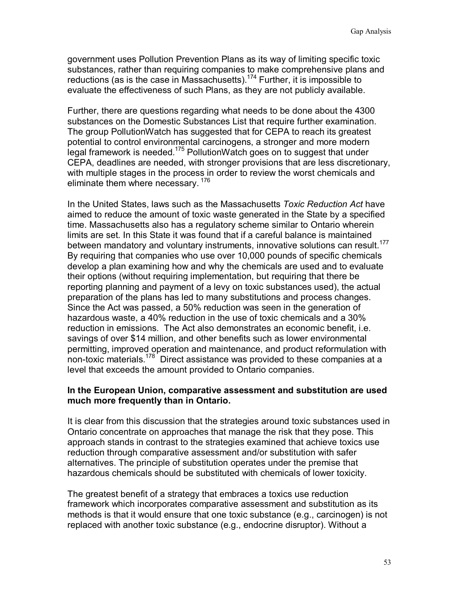government uses Pollution Prevention Plans as its way of limiting specific toxic substances, rather than requiring companies to make comprehensive plans and reductions (as is the case in Massachusetts).<sup>174</sup> Further, it is impossible to evaluate the effectiveness of such Plans, as they are not publicly available.

Further, there are questions regarding what needs to be done about the 4300 substances on the Domestic Substances List that require further examination. The group PollutionWatch has suggested that for CEPA to reach its greatest potential to control environmental carcinogens, a stronger and more modern legal framework is needed.175 PollutionWatch goes on to suggest that under CEPA, deadlines are needed, with stronger provisions that are less discretionary, with multiple stages in the process in order to review the worst chemicals and eliminate them where necessary. 176

In the United States, laws such as the Massachusetts *Toxic Reduction Act* have aimed to reduce the amount of toxic waste generated in the State by a specified time. Massachusetts also has a regulatory scheme similar to Ontario wherein limits are set. In this State it was found that if a careful balance is maintained between mandatory and voluntary instruments, innovative solutions can result.<sup>177</sup> By requiring that companies who use over 10,000 pounds of specific chemicals develop a plan examining how and why the chemicals are used and to evaluate their options (without requiring implementation, but requiring that there be reporting planning and payment of a levy on toxic substances used), the actual preparation of the plans has led to many substitutions and process changes. Since the Act was passed, a 50% reduction was seen in the generation of hazardous waste, a 40% reduction in the use of toxic chemicals and a 30% reduction in emissions. The Act also demonstrates an economic benefit, i.e. savings of over \$14 million, and other benefits such as lower environmental permitting, improved operation and maintenance, and product reformulation with non-toxic materials.<sup>178</sup> Direct assistance was provided to these companies at a level that exceeds the amount provided to Ontario companies.

#### **In the European Union, comparative assessment and substitution are used much more frequently than in Ontario.**

It is clear from this discussion that the strategies around toxic substances used in Ontario concentrate on approaches that manage the risk that they pose. This approach stands in contrast to the strategies examined that achieve toxics use reduction through comparative assessment and/or substitution with safer alternatives. The principle of substitution operates under the premise that hazardous chemicals should be substituted with chemicals of lower toxicity.

The greatest benefit of a strategy that embraces a toxics use reduction framework which incorporates comparative assessment and substitution as its methods is that it would ensure that one toxic substance (e.g., carcinogen) is not replaced with another toxic substance (e.g., endocrine disruptor). Without a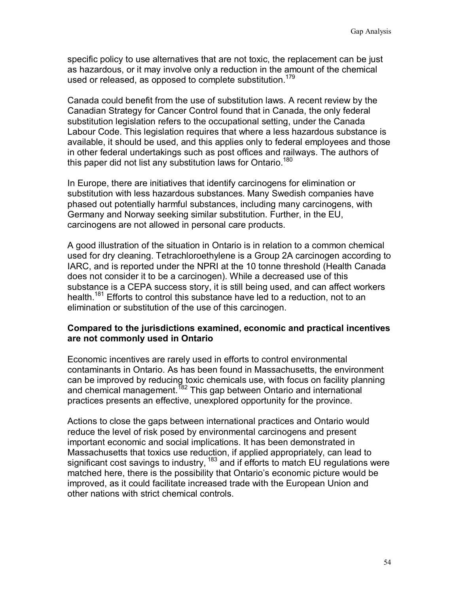specific policy to use alternatives that are not toxic, the replacement can be just as hazardous, or it may involve only a reduction in the amount of the chemical used or released, as opposed to complete substitution.<sup>179</sup>

Canada could benefit from the use of substitution laws. A recent review by the Canadian Strategy for Cancer Control found that in Canada, the only federal substitution legislation refers to the occupational setting, under the Canada Labour Code. This legislation requires that where a less hazardous substance is available, it should be used, and this applies only to federal employees and those in other federal undertakings such as post offices and railways. The authors of this paper did not list any substitution laws for Ontario.<sup>180</sup>

In Europe, there are initiatives that identify carcinogens for elimination or substitution with less hazardous substances. Many Swedish companies have phased out potentially harmful substances, including many carcinogens, with Germany and Norway seeking similar substitution. Further, in the EU, carcinogens are not allowed in personal care products.

A good illustration of the situation in Ontario is in relation to a common chemical used for dry cleaning. Tetrachloroethylene is a Group 2A carcinogen according to IARC, and is reported under the NPRI at the 10 tonne threshold (Health Canada does not consider it to be a carcinogen). While a decreased use of this substance is a CEPA success story, it is still being used, and can affect workers health.<sup>181</sup> Efforts to control this substance have led to a reduction, not to an elimination or substitution of the use of this carcinogen.

#### **Compared to the jurisdictions examined, economic and practical incentives are not commonly used in Ontario**

Economic incentives are rarely used in efforts to control environmental contaminants in Ontario. As has been found in Massachusetts, the environment can be improved by reducing toxic chemicals use, with focus on facility planning and chemical management.<sup>182</sup> This gap between Ontario and international practices presents an effective, unexplored opportunity for the province.

Actions to close the gaps between international practices and Ontario would reduce the level of risk posed by environmental carcinogens and present important economic and social implications. It has been demonstrated in Massachusetts that toxics use reduction, if applied appropriately, can lead to significant cost savings to industry, <sup>183</sup> and if efforts to match EU regulations were matched here, there is the possibility that Ontario's economic picture would be improved, as it could facilitate increased trade with the European Union and other nations with strict chemical controls.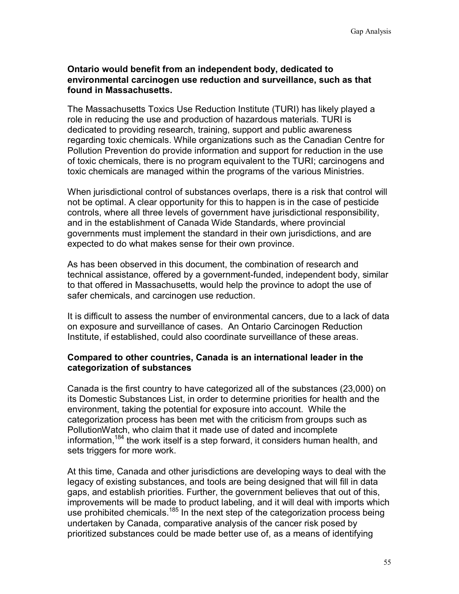#### **Ontario would benefit from an independent body, dedicated to environmental carcinogen use reduction and surveillance, such as that found in Massachusetts.**

The Massachusetts Toxics Use Reduction Institute (TURI) has likely played a role in reducing the use and production of hazardous materials. TURI is dedicated to providing research, training, support and public awareness regarding toxic chemicals. While organizations such as the Canadian Centre for Pollution Prevention do provide information and support for reduction in the use of toxic chemicals, there is no program equivalent to the TURI; carcinogens and toxic chemicals are managed within the programs of the various Ministries.

When jurisdictional control of substances overlaps, there is a risk that control will not be optimal. A clear opportunity for this to happen is in the case of pesticide controls, where all three levels of government have jurisdictional responsibility, and in the establishment of Canada Wide Standards, where provincial governments must implement the standard in their own jurisdictions, and are expected to do what makes sense for their own province.

As has been observed in this document, the combination of research and technical assistance, offered by a government-funded, independent body, similar to that offered in Massachusetts, would help the province to adopt the use of safer chemicals, and carcinogen use reduction.

It is difficult to assess the number of environmental cancers, due to a lack of data on exposure and surveillance of cases. An Ontario Carcinogen Reduction Institute, if established, could also coordinate surveillance of these areas.

### **Compared to other countries, Canada is an international leader in the categorization of substances**

Canada is the first country to have categorized all of the substances (23,000) on its Domestic Substances List, in order to determine priorities for health and the environment, taking the potential for exposure into account. While the categorization process has been met with the criticism from groups such as PollutionWatch, who claim that it made use of dated and incomplete information.<sup>184</sup> the work itself is a step forward, it considers human health, and sets triggers for more work.

At this time, Canada and other jurisdictions are developing ways to deal with the legacy of existing substances, and tools are being designed that will fill in data gaps, and establish priorities. Further, the government believes that out of this, improvements will be made to product labeling, and it will deal with imports which use prohibited chemicals.<sup>185</sup> In the next step of the categorization process being undertaken by Canada, comparative analysis of the cancer risk posed by prioritized substances could be made better use of, as a means of identifying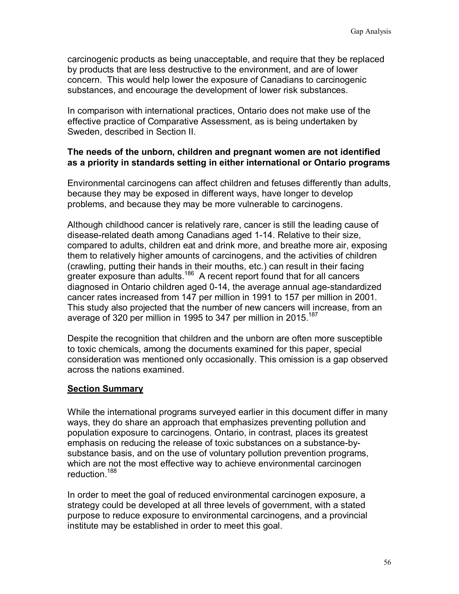carcinogenic products as being unacceptable, and require that they be replaced by products that are less destructive to the environment, and are of lower concern. This would help lower the exposure of Canadians to carcinogenic substances, and encourage the development of lower risk substances.

In comparison with international practices, Ontario does not make use of the effective practice of Comparative Assessment, as is being undertaken by Sweden, described in Section II.

#### **The needs of the unborn, children and pregnant women are not identified as a priority in standards setting in either international or Ontario programs**

Environmental carcinogens can affect children and fetuses differently than adults, because they may be exposed in different ways, have longer to develop problems, and because they may be more vulnerable to carcinogens.

Although childhood cancer is relatively rare, cancer is still the leading cause of disease-related death among Canadians aged 1-14. Relative to their size, compared to adults, children eat and drink more, and breathe more air, exposing them to relatively higher amounts of carcinogens, and the activities of children (crawling, putting their hands in their mouths, etc.) can result in their facing greater exposure than adults.<sup>186</sup> A recent report found that for all cancers diagnosed in Ontario children aged 0-14, the average annual age-standardized cancer rates increased from 147 per million in 1991 to 157 per million in 2001. This study also projected that the number of new cancers will increase, from an average of 320 per million in 1995 to 347 per million in 2015.<sup>187</sup>

Despite the recognition that children and the unborn are often more susceptible to toxic chemicals, among the documents examined for this paper, special consideration was mentioned only occasionally. This omission is a gap observed across the nations examined.

### **Section Summary**

While the international programs surveyed earlier in this document differ in many ways, they do share an approach that emphasizes preventing pollution and population exposure to carcinogens. Ontario, in contrast, places its greatest emphasis on reducing the release of toxic substances on a substance-bysubstance basis, and on the use of voluntary pollution prevention programs, which are not the most effective way to achieve environmental carcinogen reduction.<sup>188</sup>

In order to meet the goal of reduced environmental carcinogen exposure, a strategy could be developed at all three levels of government, with a stated purpose to reduce exposure to environmental carcinogens, and a provincial institute may be established in order to meet this goal.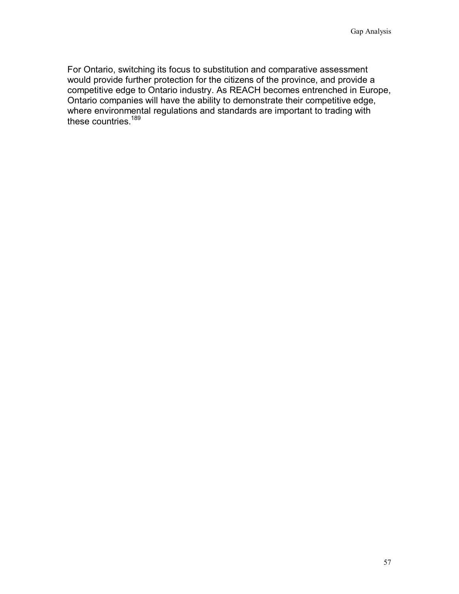For Ontario, switching its focus to substitution and comparative assessment would provide further protection for the citizens of the province, and provide a competitive edge to Ontario industry. As REACH becomes entrenched in Europe, Ontario companies will have the ability to demonstrate their competitive edge, where environmental regulations and standards are important to trading with these countries.<sup>189</sup>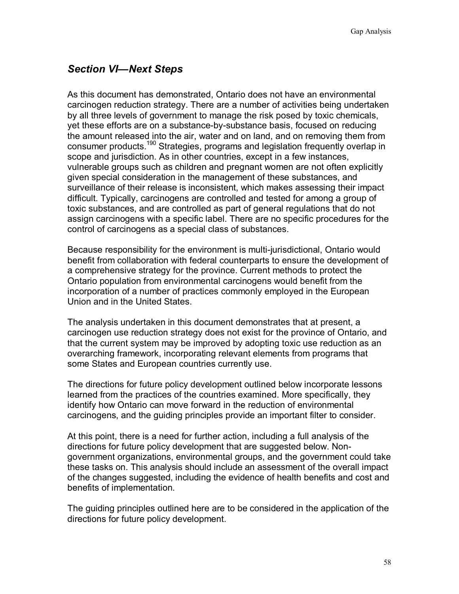# *Section VI—Next Steps*

As this document has demonstrated, Ontario does not have an environmental carcinogen reduction strategy. There are a number of activities being undertaken by all three levels of government to manage the risk posed by toxic chemicals, yet these efforts are on a substance-by-substance basis, focused on reducing the amount released into the air, water and on land, and on removing them from consumer products.<sup>190</sup> Strategies, programs and legislation frequently overlap in scope and jurisdiction. As in other countries, except in a few instances, vulnerable groups such as children and pregnant women are not often explicitly given special consideration in the management of these substances, and surveillance of their release is inconsistent, which makes assessing their impact difficult. Typically, carcinogens are controlled and tested for among a group of toxic substances, and are controlled as part of general regulations that do not assign carcinogens with a specific label. There are no specific procedures for the control of carcinogens as a special class of substances.

Because responsibility for the environment is multi-jurisdictional, Ontario would benefit from collaboration with federal counterparts to ensure the development of a comprehensive strategy for the province. Current methods to protect the Ontario population from environmental carcinogens would benefit from the incorporation of a number of practices commonly employed in the European Union and in the United States.

The analysis undertaken in this document demonstrates that at present, a carcinogen use reduction strategy does not exist for the province of Ontario, and that the current system may be improved by adopting toxic use reduction as an overarching framework, incorporating relevant elements from programs that some States and European countries currently use.

The directions for future policy development outlined below incorporate lessons learned from the practices of the countries examined. More specifically, they identify how Ontario can move forward in the reduction of environmental carcinogens, and the guiding principles provide an important filter to consider.

At this point, there is a need for further action, including a full analysis of the directions for future policy development that are suggested below. Nongovernment organizations, environmental groups, and the government could take these tasks on. This analysis should include an assessment of the overall impact of the changes suggested, including the evidence of health benefits and cost and benefits of implementation.

The guiding principles outlined here are to be considered in the application of the directions for future policy development.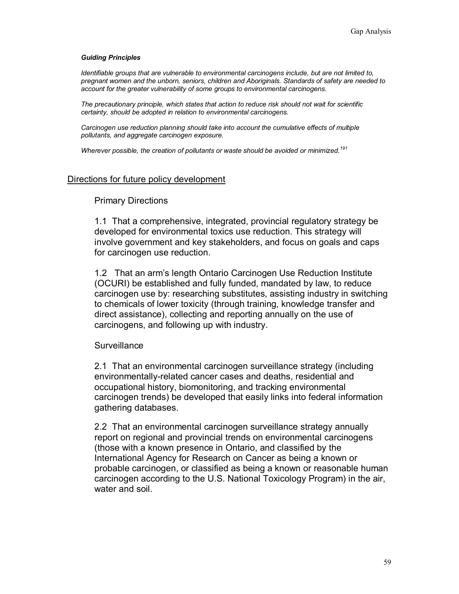#### *Guiding Principles*

*Identifiable groups that are vulnerable to environmental carcinogens include, but are not limited to, pregnant women and the unborn, seniors, children and Aboriginals. Standards of safety are needed to account for the greater vulnerability of some groups to environmental carcinogens.* 

*The precautionary principle, which states that action to reduce risk should not wait for scientific certainty, should be adopted in relation to environmental carcinogens.* 

*Carcinogen use reduction planning should take into account the cumulative effects of multiple pollutants, and aggregate carcinogen exposure.* 

*Wherever possible, the creation of pollutants or waste should be avoided or minimized.<sup>191</sup>*

#### Directions for future policy development

#### Primary Directions

1.1 That a comprehensive, integrated, provincial regulatory strategy be developed for environmental toxics use reduction. This strategy will involve government and key stakeholders, and focus on goals and caps for carcinogen use reduction.

1.2 That an arm's length Ontario Carcinogen Use Reduction Institute (OCURI) be established and fully funded, mandated by law, to reduce carcinogen use by: researching substitutes, assisting industry in switching to chemicals of lower toxicity (through training, knowledge transfer and direct assistance), collecting and reporting annually on the use of carcinogens, and following up with industry.

#### **Surveillance**

2.1 That an environmental carcinogen surveillance strategy (including environmentally-related cancer cases and deaths, residential and occupational history, biomonitoring, and tracking environmental carcinogen trends) be developed that easily links into federal information gathering databases.

2.2 That an environmental carcinogen surveillance strategy annually report on regional and provincial trends on environmental carcinogens (those with a known presence in Ontario, and classified by the International Agency for Research on Cancer as being a known or probable carcinogen, or classified as being a known or reasonable human carcinogen according to the U.S. National Toxicology Program) in the air, water and soil.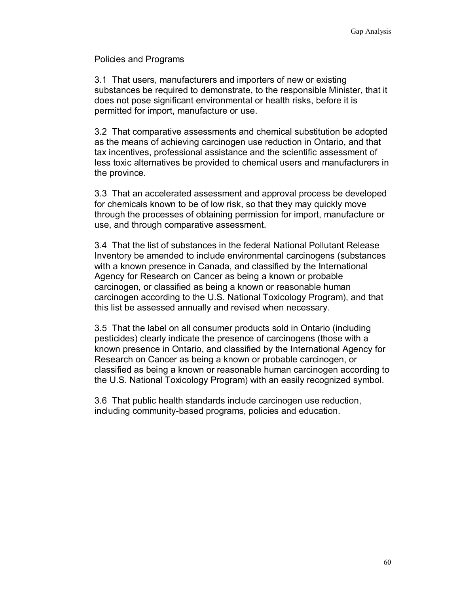Policies and Programs

3.1 That users, manufacturers and importers of new or existing substances be required to demonstrate, to the responsible Minister, that it does not pose significant environmental or health risks, before it is permitted for import, manufacture or use.

3.2 That comparative assessments and chemical substitution be adopted as the means of achieving carcinogen use reduction in Ontario, and that tax incentives, professional assistance and the scientific assessment of less toxic alternatives be provided to chemical users and manufacturers in the province.

3.3 That an accelerated assessment and approval process be developed for chemicals known to be of low risk, so that they may quickly move through the processes of obtaining permission for import, manufacture or use, and through comparative assessment.

3.4 That the list of substances in the federal National Pollutant Release Inventory be amended to include environmental carcinogens (substances with a known presence in Canada, and classified by the International Agency for Research on Cancer as being a known or probable carcinogen, or classified as being a known or reasonable human carcinogen according to the U.S. National Toxicology Program), and that this list be assessed annually and revised when necessary.

3.5 That the label on all consumer products sold in Ontario (including pesticides) clearly indicate the presence of carcinogens (those with a known presence in Ontario, and classified by the International Agency for Research on Cancer as being a known or probable carcinogen, or classified as being a known or reasonable human carcinogen according to the U.S. National Toxicology Program) with an easily recognized symbol.

3.6 That public health standards include carcinogen use reduction, including community-based programs, policies and education.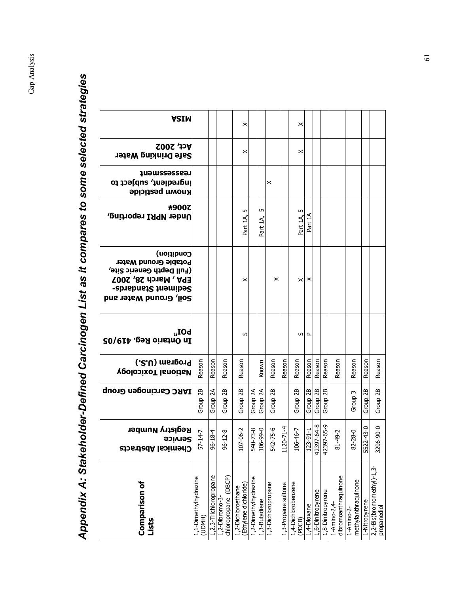| <b>ASIM</b>                                                                                                                                           |                                 |                        |                                           | ×                                           |                       |                                  |                       |                     | ×                             |                     |                     |                     |                                      |                                   |               |                                          |
|-------------------------------------------------------------------------------------------------------------------------------------------------------|---------------------------------|------------------------|-------------------------------------------|---------------------------------------------|-----------------------|----------------------------------|-----------------------|---------------------|-------------------------------|---------------------|---------------------|---------------------|--------------------------------------|-----------------------------------|---------------|------------------------------------------|
| <b>Act, 2002</b><br><b>Safe Drinking Water</b>                                                                                                        |                                 |                        |                                           | ×                                           |                       |                                  |                       |                     | ×                             |                     |                     |                     |                                      |                                   |               |                                          |
| teassessueuf<br>ingredient, subject to<br><b>Known pesticide</b>                                                                                      |                                 |                        |                                           |                                             |                       |                                  | ×                     |                     |                               |                     |                     |                     |                                      |                                   |               |                                          |
| <b>未900乙</b><br>Under NPRI reporting,                                                                                                                 |                                 |                        |                                           | LŊ<br>Part 1A                               |                       | m<br>Part 1A                     |                       |                     | m<br>Part 1A,                 | Part                |                     |                     |                                      |                                   |               |                                          |
| Condition)<br>Potable Ground Water<br>(Full Depth Generic Site,<br><b>EPA, March 28, 2007</b><br><b>Sediment Standards-</b><br>Soil, Ground Water and |                                 |                        |                                           | ×                                           |                       |                                  | $\boldsymbol{\times}$ |                     | ×                             | ×                   |                     |                     |                                      |                                   |               |                                          |
| $\textrm{LOI}_\upsilon$<br>In Ontario Reg. 419/05                                                                                                     |                                 |                        |                                           | S                                           |                       |                                  |                       |                     | w                             | ௨                   |                     |                     |                                      |                                   |               |                                          |
| (.2.U) msngonq<br><b>National Toxicology</b>                                                                                                          | Reason                          | Reason                 | Reason                                    | Reason                                      |                       | Known                            | Reason                | Reason              | Reason                        | Reason              | Reason              | Reason              | Reason                               | Reason                            | Reason        | Reason                                   |
| <b>IARC Carcinogen Group</b>                                                                                                                          | Group 2B                        | Group 2A               | Group <sub>2B</sub>                       | Group <sub>2B</sub>                         | Group $2^A$           | Group 2A                         | Group 2B              |                     | Group <sub>2B</sub>           | Group <sub>2B</sub> | Group <sub>2B</sub> | 28<br>Group         |                                      | Group 3                           | Group 2B      | Group <sub>2B</sub>                      |
| <b>Registry Number</b><br><b>Service</b><br><b>Chemical Abstracts</b>                                                                                 | $57 - 14 - 7$                   | 4<br>96-18             | $\infty$<br>96-12-                        | 107-06-2                                    | 540-73                | $\frac{\infty}{\cdot}$<br>106-99 | ٩<br>542-75           | 1120-71-4           | $106 - 46 - 7$                | 로<br>123-91         | 42397-64-8          | $5 - 3$<br>42397-6. | 81-49-2                              | 82-28-0                           | 5522-43-0     | 3296-90-0                                |
| <b>Comparison of</b><br>Lists                                                                                                                         | 1,1-Dimethylhydrazine<br>(UDMH) | 1,2,3-Trichloropropane | chloropropane (DBCP)<br>$1, 2$ -Dibromo-3 | (Ethylene dichloride)<br>1,2-Dichloroethane | 1,2-Dimethylhydrazine | 1,3-Butadiene                    | 1,3-Dichloropropene   | 1,3-Propane sultone | 1,4-Dichlorobenzene<br>(PDCB) | 1,4-Dioxane         | 1,6-Dinitropyrene   | 1,8-Dinitropyrene   | dibromoanthraquinone<br>1-Amino-2,4- | methylanthraquinone<br>1-Amino-2- | 1-Nitropyrene | 2,2-Bis(bromomethyl)-1,3-<br>propanediol |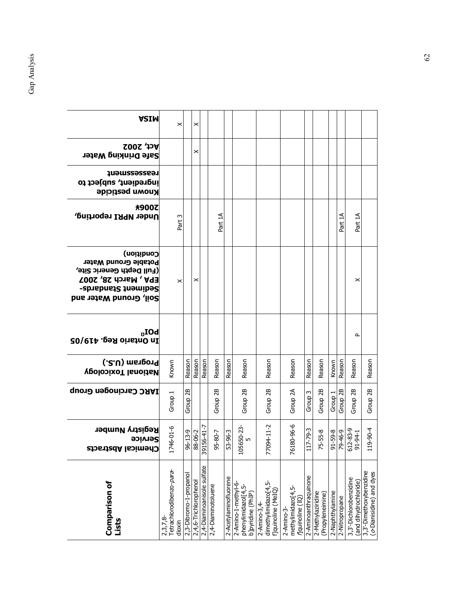| <b>ASIM</b>                                                                                                                                 | $\pmb{\times}$                                   |                        | ×                     |                            |                    |                       |                                                                              |                                                                  |                                                      |                       |                                       |                 |                     |                                                 |                                                     |
|---------------------------------------------------------------------------------------------------------------------------------------------|--------------------------------------------------|------------------------|-----------------------|----------------------------|--------------------|-----------------------|------------------------------------------------------------------------------|------------------------------------------------------------------|------------------------------------------------------|-----------------------|---------------------------------------|-----------------|---------------------|-------------------------------------------------|-----------------------------------------------------|
| <b>Act, 2002</b><br>Safe Drinking Water                                                                                                     |                                                  |                        | $\times$              |                            |                    |                       |                                                                              |                                                                  |                                                      |                       |                                       |                 |                     |                                                 |                                                     |
| teassessueu£<br>ingredient, subject to<br><b>Known pesticide</b>                                                                            |                                                  |                        |                       |                            |                    |                       |                                                                              |                                                                  |                                                      |                       |                                       |                 |                     |                                                 |                                                     |
| ★900乙<br>Under NPRI reporting,                                                                                                              | Part 3                                           |                        |                       |                            | Part 1A            |                       |                                                                              |                                                                  |                                                      |                       |                                       |                 | Part 1A             | Part 1A                                         |                                                     |
| Condition)<br>Potable Ground Water<br>(Full Depth Generic Site,<br><b>EPA, March 28, 2007</b><br>Sediment Standa-<br>Soil, Ground Water and | $\boldsymbol{\times}$                            |                        | ×                     |                            |                    |                       |                                                                              |                                                                  |                                                      |                       |                                       |                 |                     | ×                                               |                                                     |
| $_{\mathtt{U}}$ IOd<br>In Ontario Reg. 419/05                                                                                               |                                                  |                        |                       |                            |                    |                       |                                                                              |                                                                  |                                                      |                       |                                       |                 |                     | ௨                                               |                                                     |
| Program (U.S.)<br><b>Vedional Toxicology</b>                                                                                                | Known                                            | Reason                 | Reason                | Reason                     | Reason             | Reason                | Reason                                                                       | Reason                                                           | Reason                                               | Reason                | Reason                                | Known           | Reason              | Reason                                          | Reason                                              |
| <b>IARC Carcinogen Group</b>                                                                                                                | Group 1                                          | 2B<br>Group            |                       |                            | Group 2B           |                       | Group <sub>2B</sub>                                                          | Group <sub>2B</sub>                                              | Group <sub>2A</sub>                                  | Group <sub>3</sub>    | Group 2B                              | Group 1         | Group <sub>2B</sub> | 28<br>Group                                     | Group <sub>2B</sub>                                 |
| <b>Registry Number</b><br>Service<br><b>Chemical Abstracts</b>                                                                              | 1746-01-6                                        | $96 - 13 - 9$          | 88-06-2               | 156-41-7<br>391            | 95-80-7            | 5-96-5                | $105650 - 23 -$                                                              | 94-11-2<br>770                                                   | 80-96-6<br>761                                       | $7 - 79 - 3$<br>$\Xi$ | 75-55-8                               |                 | 0-34-67<br>8-65-16  | 612-83-9<br>91-94-1                             | $9 - 90 - 4$<br>ᄇ                                   |
| Comparison of<br>Lists                                                                                                                      | Tetrachlorodibenzo-para-<br>$2,3,7,8-$<br>dioxin | 2,3-Dibromo-1-propanol | 2,4,6-Trichlorophenol | 2,4-Diaminoanisole sulfate | 2,4-Diaminotoluene | 2-Acetylaminofluorene | 2-Amino-1-methyl-6-<br>phenylimidazol <sup>[4</sup> ,5-<br>b]pyridine (PhIP) | dimethylimidazo[4,5-<br>f]quinoline (MeIQ)<br>$2 -$ Amino $-3,4$ | methylimidazo[4,5-<br>flquinoline (IQ)<br>2-Amino-3- | 2-Aminoanthraquinone  | 2-Methylaziridine<br>(Propyleneimine) | 2-Naphthylamine | 2-Nitropropane      | 3,3'-Dichlorobenzidine<br>(and dihydrochloride) | 3,3'-Dimethoxybenzidine<br>(o-Dianisidine) and dyes |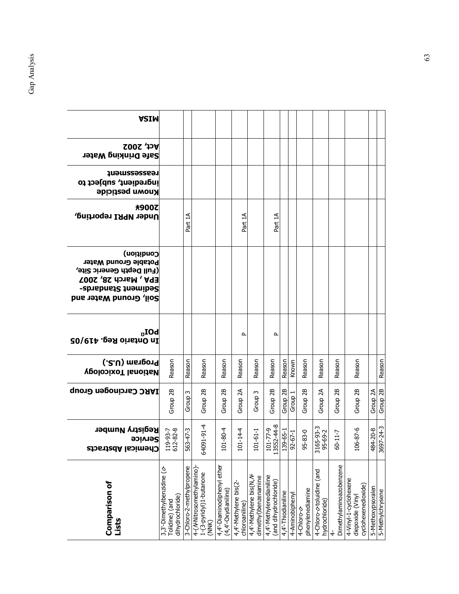| <b>ASIM</b>                                                                                                                                           |                                                                  |                          |                                                              |                                                   |                                         |                                                  |                                                  |                     |                 |                                |                                             |                         |                                                                  |                   |                  |
|-------------------------------------------------------------------------------------------------------------------------------------------------------|------------------------------------------------------------------|--------------------------|--------------------------------------------------------------|---------------------------------------------------|-----------------------------------------|--------------------------------------------------|--------------------------------------------------|---------------------|-----------------|--------------------------------|---------------------------------------------|-------------------------|------------------------------------------------------------------|-------------------|------------------|
| <b>Act, 2002</b><br>Safe Drinking Water                                                                                                               |                                                                  |                          |                                                              |                                                   |                                         |                                                  |                                                  |                     |                 |                                |                                             |                         |                                                                  |                   |                  |
| teassessueu£<br>ingredient, subject to<br>Known pesticide                                                                                             |                                                                  |                          |                                                              |                                                   |                                         |                                                  |                                                  |                     |                 |                                |                                             |                         |                                                                  |                   |                  |
| <b>未900乙</b><br>Under NPRI reporting,                                                                                                                 |                                                                  | Part 1A                  |                                                              |                                                   | Part 1A                                 |                                                  | Part 1A                                          |                     |                 |                                |                                             |                         |                                                                  |                   |                  |
| Condition)<br>Potable Ground Water<br>(Full Depth Generic Site,<br><b>EPA, March 28, 2007</b><br><b>Sediment Standards-</b><br>Soil, Ground Water and |                                                                  |                          |                                                              |                                                   |                                         |                                                  |                                                  |                     |                 |                                |                                             |                         |                                                                  |                   |                  |
| $\rm \bf{b} O I_{\sigma}$<br>In Ontario Reg. 419/05                                                                                                   |                                                                  |                          |                                                              |                                                   | Δ                                       |                                                  | ௨                                                |                     |                 |                                |                                             |                         |                                                                  |                   |                  |
| Program (U.S.)<br><b>VeolopixoT lanoitaV</b>                                                                                                          | Reason                                                           | Reason                   | Reason                                                       | Reason                                            | Reason                                  | Reason                                           | Reason                                           | Reason              | Known           | Reason                         | Reason                                      | Reason                  | Reason                                                           |                   | Reason           |
| <b>IARC Carcinogen Group</b>                                                                                                                          | Group 2B                                                         | Group <sub>3</sub>       | Group <sub>2B</sub>                                          | Group <sub>2B</sub>                               | Group <sub>2A</sub>                     | Group <sub>3</sub>                               | Group 2B                                         | Group <sub>2B</sub> | Group 1         | Group <sub>2B</sub>            | Group <sub>2A</sub>                         | Group <sub>2B</sub>     | Group 2B                                                         | Group 2A          | Group 2B         |
| <b>Registry Number</b><br><b>Service</b><br><b>CNemical Adstracts</b>                                                                                 | 119-93-7<br>612-82-8                                             | 563-47-3                 | 64091-91-4                                                   | $01 - 80 - 4$                                     | $01 - 14 - 4$                           | $01 - 61 - 1$                                    | 13552-44-8<br>$-27 - 101$                        | $139 - 65 - 1$      | $92 - 67 - 1$   | 95-83-0                        | 3165-93-3<br>$95 - 69 - 2$                  | $60 - 11 - 7$           | $106 - 87 - 6$                                                   | 84-20-8           | 3697-24-3        |
| <b>Comparison of</b><br>Lists                                                                                                                         | 3,3'-Dimethylbenzidine (o-<br>dihydrochloride)<br>Tolidine) (and | 3-Chloro-2-methylpropene | 4-(/KNitrosomethylamino)<br>1-(3-pyridyl)1-butanone<br>(NNK) | 4,4'-Diaminodiphenyl ether<br>(4,4'-Oxydianiline) | 4,4'-Methylene bis(2-<br>chloroaniline) | 4,4'-Methylene bis(N, /V<br>dimethyl)benzenamine | 4,4'-Methylenedianiline<br>(and dihydrochloride) | 4,4'-Thiodianiline  | 4-Aminobiphenyl | phenylenediamine<br>4-Chloro-0 | 4-Chloro-o-toluidine (and<br>hydrochloride) | Dimethylaminoazobenzene | 4-Vinyl-1-cyclohexene<br>cyclohexenedioxide)<br>diepoxide (Vinyl | 5-Methoxypsoralen | 5-Methylchrysene |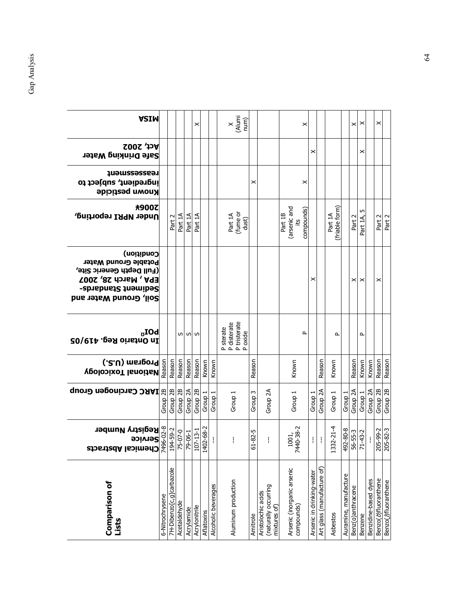| <b>ASIM</b>                                                                                                                                    |                 |                          |                     |                     | ×                   |            |                     | $X$<br>(Alumi<br>num)                               |                    |                                                            | ×                                           |                           |                                                |                           |                       | $\boldsymbol{\times}$   | ×                  |                      | ×                    |                      |
|------------------------------------------------------------------------------------------------------------------------------------------------|-----------------|--------------------------|---------------------|---------------------|---------------------|------------|---------------------|-----------------------------------------------------|--------------------|------------------------------------------------------------|---------------------------------------------|---------------------------|------------------------------------------------|---------------------------|-----------------------|-------------------------|--------------------|----------------------|----------------------|----------------------|
| <b>Act, 2002</b><br>Safe Drinking Water                                                                                                        |                 |                          |                     |                     |                     |            |                     |                                                     |                    |                                                            |                                             | ×                         |                                                |                           |                       |                         | ×                  |                      |                      |                      |
| <b>Teassessment</b><br>ingredient, subject to<br><b>Known pesticide</b>                                                                        |                 |                          |                     |                     |                     |            |                     |                                                     | ×                  |                                                            | ×                                           |                           |                                                |                           |                       |                         |                    |                      |                      |                      |
| 未900乙<br>Under NPRI reporting,                                                                                                                 |                 | Part 2                   | Part 1A             | Part 1A             | Part 1A             |            |                     | (fume or<br>dust)<br>Part 1A                        |                    |                                                            | (arsenic and<br>compounds)<br>Part 1B<br>£i |                           |                                                | (friable form)<br>Part 1A |                       | Part 2                  | Part 1A,           |                      | Part 2<br>Part 2     |                      |
| Condition)<br>Potable Ground Water<br>(Full Depth Generic Site,<br><b>EPA, March 28, 2007</b><br>Sediment Standards-<br>Soil, Ground Water and |                 |                          |                     |                     |                     |            |                     |                                                     |                    |                                                            |                                             | ×                         |                                                |                           |                       | ×                       | ×                  |                      | ×                    |                      |
| $\rm \mathbf{b}$ OI $_{\rm \mathbf{u}}$<br>In Ontario Reg. 419/05                                                                              |                 |                          |                     | ທ ທ ທ               |                     |            |                     | P sterate<br>P disterate<br>P tristerate<br>P oxide |                    |                                                            | $\sim$                                      |                           |                                                | ௨                         |                       |                         | ≏                  |                      |                      |                      |
| (.2.U) msnponq<br>စ္တိ <b>ြက္ (၂၁၁)</b><br>စို့ Mational Toxicology                                                                            |                 | Reason                   | Reason              | Reason              | Reason              | Known      | Known               |                                                     | Reason             |                                                            | Known                                       |                           | Reason                                         | Known                     |                       | Reason                  | Known              | Known                | Reason               | Reason               |
|                                                                                                                                                |                 | Group <sub>2B</sub>      | Group <sub>2B</sub> | Group <sub>2A</sub> | Group <sub>2B</sub> | Group 1    | Group 1             | Group 1                                             | Group <sub>3</sub> | Group <sub>2A</sub>                                        | Group 1                                     | Group <sub>1</sub>        | Group <sub>2A</sub>                            | Group <sub>1</sub>        | Group <sub>1</sub>    | Group 2A                | Group <sub>1</sub> | Group <sub>2A</sub>  | Group 2B             | Group 2B             |
| <sup>s</sup><br><sup>So</sup> Service<br>Soervice<br>Registry Number<br>Registry Number                                                        |                 | 194-59-2                 | 75-07-0             | 79-06-1             | $107 - 13 - 1$      | 1402-68-2  | ł.                  | ł                                                   | $61 - 82 - 5$      | ł                                                          | 7440-38-2<br>1001                           | ł,                        | $\mathbf{I}% _{0}\left( \mathbf{I}_{1}\right)$ | 1332-21-4                 | 492-80-8              | $rac{56-55-3}{71-43-2}$ |                    | ł                    | 205-99-2<br>205-82-3 |                      |
| <b>Comparison of</b><br>Lists                                                                                                                  | 6-Nitrochrysene | 7H-Dibenzo[c,g]carbazole | Acetaldehyde        | Acrylamide          | Acrylonitrile       | Aflatoxins | Alcoholic beverages | Aluminum production                                 | Amitrole           | (naturally occurring<br>Aristolochic acids<br>mixtures of) | Arsenic (inorganic arsenic<br>compounds)    | Arsenic in drinking-water | Art glass (manufacture of)                     | Asbestos                  | Auramine, manufacture | Benz(a)anthracene       | Benzene            | Benzidine-based dyes | Benzo(b)fluoranthene | Benzo(j)fluoranthene |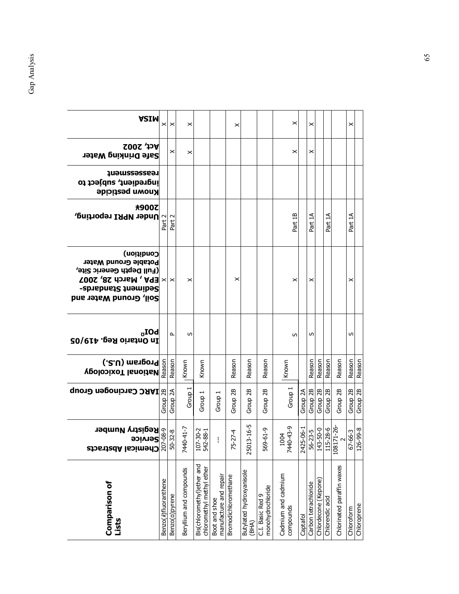| <b>ASIM</b>                                                                                                                                                   | ×                    | $\times$            | ×                       |                                                         |                                         | ×                    |                                   |                                       | ×                                |           | ×                    |                      |                     |                            | $\boldsymbol{\times}$              |             |
|---------------------------------------------------------------------------------------------------------------------------------------------------------------|----------------------|---------------------|-------------------------|---------------------------------------------------------|-----------------------------------------|----------------------|-----------------------------------|---------------------------------------|----------------------------------|-----------|----------------------|----------------------|---------------------|----------------------------|------------------------------------|-------------|
| <b>Act, 2002</b><br>Safe Drinking Water                                                                                                                       |                      | ×                   | ×                       |                                                         |                                         |                      |                                   |                                       | ×                                |           | ×                    |                      |                     |                            |                                    |             |
| reasesseueuf<br>ingredient, subject to<br><b>Known pesticide</b>                                                                                              |                      |                     |                         |                                                         |                                         |                      |                                   |                                       |                                  |           |                      |                      |                     |                            |                                    |             |
| $\left \frac{\omega}{\omega}\right $ upka reporting,<br> -<br> 2                                                                                              |                      | Part 2              |                         |                                                         |                                         |                      |                                   |                                       | Part 1B                          |           | Part 1A              |                      | Part 1A             |                            | Part 1A                            |             |
| Condition)<br>Potable Ground Water<br>(Full Depth Generic Site,<br>$ X  \times$   EPA, March 28, 2007<br><b>Sediment Standards-</b><br>Soil, Ground Water and |                      |                     | ×                       |                                                         |                                         | ×                    |                                   |                                       | ×                                |           | ×                    |                      |                     |                            | ×                                  |             |
| $_{\mathtt{U}}$ IOd<br>In Ontario Reg. 419/05                                                                                                                 |                      | ≏                   | S                       |                                                         |                                         |                      |                                   |                                       | S                                |           | S                    |                      |                     |                            | S                                  |             |
| Program (U.S.)<br>% VeolooixoT lanoitaN<br>© S.U) ms1po1q<br>© Perograp                                                                                       |                      | Reason              | Known                   | Known                                                   |                                         | Reason               | Reason                            | Reason                                | Known                            |           | Reason               | Reason               | Reason              | Reason                     | Reason                             | Reason      |
|                                                                                                                                                               |                      | Group <sub>2A</sub> | Group <sub>1</sub>      | Group <sub>1</sub>                                      | Group 1                                 | Group 2B             | Group 2B                          | Group 2B                              | Group 1                          | Group 2A  |                      | Group 2B             | Group <sub>2B</sub> | Group 2B                   | Group 2B                           |             |
| c <b>Registry Number</b><br>⊜ Service<br>⊙ Service<br><b>Chemical Abstracts</b>                                                                               | ຊ                    | $50 - 32 - 8$       | 7440-41-7               | $7 - 30 - 2$<br>$42 - 88 - 1$<br>음 R                    | ł                                       | $75 - 27 - 4$        | $13 - 16 - 5$<br>250              | $-19-6i$<br>ပိုင                      | 7440-43-9<br>1004                | 2425-06-1 | $56 - 23 - 5$        | 143-50-0             | $-8 - 5$<br>Η       | 108171-26<br>$\sim$        | $\frac{67 - 66 - 3}{126 - 99 - 8}$ |             |
| <b>Comparison of</b><br>Lists                                                                                                                                 | Benzo(k)fluoranthene | Benzo(a)pyrene      | Beryllium and compounds | Bis(chloromethyl)ether and<br>chloromethyl methyl ether | manufacture and repair<br>Boot and shoe | Bromodichloromethane | Butylated hydroxyanisole<br>(BHA) | monohydrochloride<br>C.I. Basic Red 9 | Cadmium and cadmium<br>compounds | Captafol  | Carbon tetrachloride | Chlordecone (Kepone) | Chlorendic acid     | Chlorinated paraffin waxes | Chloroform                         | Chloroprene |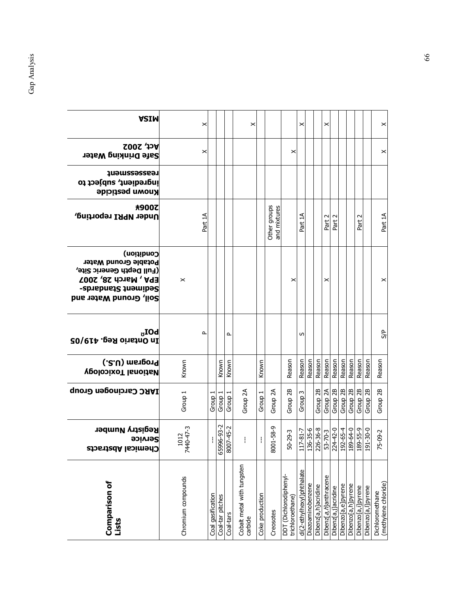| <b>Comparison of</b><br>Lists              | <b>Registry Number</b><br>Service<br><b>Chemical Abstracts</b> | <b>IARC Carcinogen Group</b> | Program (U.S.)<br><b>VeolopixoT lanoitaM</b> | $\rm_{\sigma}$ IOd<br>In Ontario Reg. 419/05 | Condition)<br>Potable Ground Water<br>(Full Depth Generic Site,<br><b>EPA, March 28, 2007</b><br>Sediment Standards-<br>Soil, Ground Water and | ★900乙<br>Under NPRI reporting, | reassessueuf<br>ingredient, subject to<br><b>Known pesticide</b> | <b>Act, 2002</b><br>Safe Drinking Water | <b>ASIM</b>           |
|--------------------------------------------|----------------------------------------------------------------|------------------------------|----------------------------------------------|----------------------------------------------|------------------------------------------------------------------------------------------------------------------------------------------------|--------------------------------|------------------------------------------------------------------|-----------------------------------------|-----------------------|
| Chromium compounds                         | 1012<br>7440-47-3                                              | Group 1                      | Known                                        |                                              | $\pmb{\times}$                                                                                                                                 |                                |                                                                  |                                         |                       |
|                                            |                                                                |                              |                                              | $\Delta$                                     |                                                                                                                                                | Part 1A                        |                                                                  | ×                                       | ×                     |
| Coal gasification                          | ł                                                              | Group 1                      |                                              |                                              |                                                                                                                                                |                                |                                                                  |                                         |                       |
| Coal-tar pitches                           | 65996-93-2                                                     | Group 1                      | Known                                        |                                              |                                                                                                                                                |                                |                                                                  |                                         |                       |
| Coal-tars                                  | $07 - 45 - 2$<br>8                                             | Group 1                      | Known                                        | $\mathbf{r}$                                 |                                                                                                                                                |                                |                                                                  |                                         |                       |
| Cobalt metal with tungsten<br>carbide      | ł                                                              | Group <sub>2A</sub>          |                                              |                                              |                                                                                                                                                |                                |                                                                  |                                         | ×                     |
| Coke production                            | ł                                                              | Group 1                      | Known                                        |                                              |                                                                                                                                                |                                |                                                                  |                                         |                       |
| Creosotes                                  | $01 - 58 - 9$<br>8                                             | Group $2A$                   |                                              |                                              |                                                                                                                                                | Other groups<br>and mixtures   |                                                                  |                                         |                       |
| DDT (Dichlorodiphenyl-<br>trichloroethane) | $0 - 29 - 3$<br>m                                              | Group <sub>2B</sub>          | Reason                                       |                                              | ×                                                                                                                                              |                                |                                                                  | $\times$                                |                       |
| di(2-ethylhexyl)phthalate                  | 117-81-7                                                       | Group                        | Reason                                       | S                                            |                                                                                                                                                | ₹<br>Part                      |                                                                  |                                         | ×                     |
| Diazoaminobenzene                          |                                                                |                              | Reason                                       |                                              |                                                                                                                                                |                                |                                                                  |                                         |                       |
| Dibenz[a,h]acridine                        | 136-35-6<br>226-36-8                                           | Group <sub>2B</sub>          | Reason                                       |                                              |                                                                                                                                                |                                |                                                                  |                                         |                       |
| Dibenz[a, h]anthracene                     |                                                                | Group 2A                     | Reason                                       |                                              | ×                                                                                                                                              | $\sim$<br>Part                 |                                                                  |                                         | ×                     |
| Dibenz[a,j]acridine                        | $\frac{53-70-3}{224-42-0}$                                     | Group <sub>2B</sub>          | Reason                                       |                                              |                                                                                                                                                | $\sim$<br>Part                 |                                                                  |                                         |                       |
| Dibenzo[a,e]pyrene                         |                                                                | Group <sub>2B</sub>          | Reason                                       |                                              |                                                                                                                                                |                                |                                                                  |                                         |                       |
| Dibenzo[a,h]pyrene                         | 0-02-161<br>6-55-681<br>0- <del>19</del> -681                  | Group <sub>2B</sub>          | Reason                                       |                                              |                                                                                                                                                |                                |                                                                  |                                         |                       |
| Dibenzo[a,i]pyrene                         |                                                                | Group 2B                     | Reason                                       |                                              |                                                                                                                                                | $\sim$<br>Part                 |                                                                  |                                         |                       |
| Dibenzo[a,l]pyrene                         |                                                                | Group <sub>2B</sub>          | Reason                                       |                                              |                                                                                                                                                |                                |                                                                  |                                         |                       |
| (methylene chloride)<br>Dichloromethane    | $5 - 09 - 2$                                                   | Group 2B                     | Reason                                       | S/P                                          | ×                                                                                                                                              | Part 1A                        |                                                                  | $\boldsymbol{\times}$                   | $\boldsymbol{\times}$ |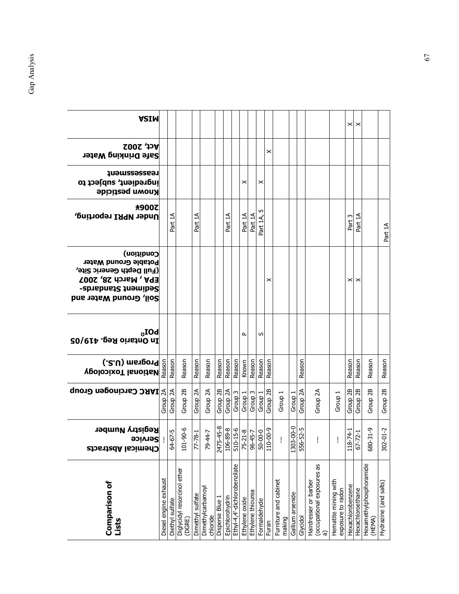| <b>ASIM</b>                                                                                                                                    |                       |                     |                                       |                     |                               |                     |                 |                              |                |                    |                    |          |                                 |                    |                     |                                                          |                                           | ×                   | ×                   |                                   |                       |
|------------------------------------------------------------------------------------------------------------------------------------------------|-----------------------|---------------------|---------------------------------------|---------------------|-------------------------------|---------------------|-----------------|------------------------------|----------------|--------------------|--------------------|----------|---------------------------------|--------------------|---------------------|----------------------------------------------------------|-------------------------------------------|---------------------|---------------------|-----------------------------------|-----------------------|
| <b>Act, 2002</b><br><b>Safe Drinking Water</b>                                                                                                 |                       |                     |                                       |                     |                               |                     |                 |                              |                |                    |                    | ×        |                                 |                    |                     |                                                          |                                           |                     |                     |                                   |                       |
| teassessment<br>ingredient, subject to<br><b>Known pesticide</b>                                                                               |                       |                     |                                       |                     |                               |                     |                 |                              | ×              |                    | ×                  |          |                                 |                    |                     |                                                          |                                           |                     |                     |                                   |                       |
| <b>未900乙</b><br>Under NPRI reporting,                                                                                                          |                       | Part 1A             |                                       | Part 1A             |                               |                     | Part 1A         |                              | Part 1A        | Part 1A            | m<br>Part 1A,      |          |                                 |                    |                     |                                                          |                                           | Part 3              | ₹<br>Part           |                                   | Part 1A               |
| Condition)<br>Potable Ground Water<br>(Full Depth Generic Site,<br><b>EPA, March 28, 2007</b><br>Sediment Standards-<br>Soil, Ground Water and |                       |                     |                                       |                     |                               |                     |                 |                              |                |                    |                    | ×        |                                 |                    |                     |                                                          |                                           | ×                   | ×                   |                                   |                       |
| $\rm \mathbf{b}$ OI $_{\rm \mathbf{u}}$<br>In Ontario Reg. 419/05                                                                              |                       |                     |                                       |                     |                               |                     |                 |                              | Δ              |                    | w                  |          |                                 |                    |                     |                                                          |                                           |                     |                     |                                   |                       |
| ြို <b>  Rational Toxicology</b><br> မို့   Wational Toxicology                                                                                |                       | Reason              | Reason                                | Reason              | Reason                        | Reason              | Reason          | Reason                       | Known          | Reason             | Reason             | Reason   |                                 |                    | Reason              |                                                          |                                           | Reason              | Reason              | Reason                            | Reason                |
| <b>S LARC Carcinogen Group</b>                                                                                                                 |                       | Group <sub>2A</sub> | Group 2B                              | Group <sub>2A</sub> | Group 2A                      | Group <sub>2B</sub> | Group 2A        | Group <sub>3</sub>           | Group 1        | Group <sub>3</sub> | Group <sub>1</sub> | Group 2B | Group 1                         | Group              | Group <sub>2A</sub> | Group 2A                                                 | Group <sub>1</sub>                        | Group <sub>2B</sub> | Group <sub>2B</sub> | Group <sub>2B</sub>               | Group 2B              |
| <b>Registry Number</b><br><b>Service</b><br><b>Chemical Abstracts</b>                                                                          |                       | $64 - 67 - 5$       | 101-90-6                              | 77-8-1              | 79-44-7                       | 2475-45-8           | 106-89-8        | 510-15-6                     | $75 - 21 - 8$  | $96 - 45 - 7$      | $50 - 00 - 0$      | 110-00-9 |                                 | $03 - 00 - 0$<br>Ω | 556-52-5            | I                                                        |                                           | $18 - 74 - 1$       | $67 - 72 - 1$       | 680-31-9                          | $302 - 01 - 2$        |
| <b>Comparison of</b><br>Lists                                                                                                                  | Diesel engine exhaust | Diethyl sulfate     | Diglycidyl resorcinol ether<br>(DGRE) | Dimethy sulfate     | Dimethylcarbamoyl<br>chloride | Disperse Blue 1     | Epichlorohydrin | Ethyl-4,4'-dichlorobenzilate | Ethylene oxide | Ethylene thiourea  | Formaldehyde       | Furan    | Furniture and cabinet<br>making | Gallium arsenide   | Glycidol            | (occupational exposures as<br>Hairdresser or barber<br>ଟ | Hematite mining with<br>exposure to radon | Hexachlorobenzene   | Hexachloroethane    | Hexamethylphosphoramide<br>(HEMA) | Hydrazine (and salts) |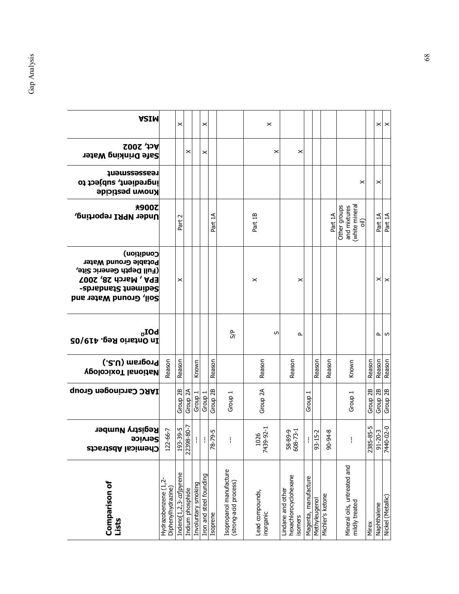| <b>Comparison of</b><br>Lists                         | <b>Registry Number</b><br><b>Service</b><br><b>Shemical Abstrac</b> | <b>IARC Carcinogen Group</b> | Program (U.S.)<br><b>Vectional Toxicology</b> | $\rm_{\sigma}$ IOd<br>In Ontario Reg. 419/05 | Condition)<br>Potable Ground Water<br>(Full Depth Generic Site,<br><b>EPA, March 28, 2007</b><br>Sediment Standards-<br>Soil, Ground Water and | <b>未900乙</b><br>Under NPRI reporting,                            | <b>Teassessment</b><br>ingredient, subject to<br><b>Known pesticide</b> | <b>Act, 2002</b><br><b>Safe Drinking Water</b> | <b>ASIM</b>       |
|-------------------------------------------------------|---------------------------------------------------------------------|------------------------------|-----------------------------------------------|----------------------------------------------|------------------------------------------------------------------------------------------------------------------------------------------------|------------------------------------------------------------------|-------------------------------------------------------------------------|------------------------------------------------|-------------------|
| Hydrazobenzene (1,2-<br>Diphenylhydrazine)            | $.22 - 66 - 7$                                                      |                              | Reason                                        |                                              |                                                                                                                                                |                                                                  |                                                                         |                                                |                   |
| Indeno[1,2,3-cd]pyrene                                | 93-39-5                                                             | Group <sub>2B</sub>          | Reason                                        |                                              | ×                                                                                                                                              | $\sim$<br>Part                                                   |                                                                         |                                                | ×                 |
| Indium phosphide                                      | 22398-80-7                                                          | Group <sub>2A</sub>          |                                               |                                              |                                                                                                                                                |                                                                  |                                                                         | ×                                              |                   |
| Involuntary smoking                                   | $\mathbb{F}$                                                        | Group 1                      | Known                                         |                                              |                                                                                                                                                |                                                                  |                                                                         |                                                |                   |
| Iron and steel founding                               |                                                                     | Group 1                      |                                               |                                              |                                                                                                                                                |                                                                  |                                                                         | ×                                              | ×                 |
| Isoprene                                              | $8 - 79 - 5$                                                        | Group <sub>2B</sub>          | Reason                                        |                                              |                                                                                                                                                | Part 1A                                                          |                                                                         |                                                |                   |
| Isopropanol manufacture<br>(strong-acid process)      | ł                                                                   | Group 1                      |                                               | 5P                                           |                                                                                                                                                |                                                                  |                                                                         |                                                |                   |
| Lead compounds,<br>inorganic                          | 139-92-1<br>1026<br>Σ                                               | Group <sub>2A</sub>          | Reason                                        | S                                            | ×                                                                                                                                              | Part 1B                                                          |                                                                         | ×                                              | ×                 |
| hexachlorocyclohexane<br>Lindane and other<br>isomers | 58-89-9<br>608-73-1                                                 |                              | Reason                                        | $\Delta$                                     | ×                                                                                                                                              |                                                                  |                                                                         | ×                                              |                   |
| Magenta, manufacture                                  | ł                                                                   | Group                        |                                               |                                              |                                                                                                                                                |                                                                  |                                                                         |                                                |                   |
| Methyleugenol                                         | $33 - 15 - 2$                                                       |                              | Reason                                        |                                              |                                                                                                                                                |                                                                  |                                                                         |                                                |                   |
| Michler's ketone                                      | $9 - 94 - 8$                                                        |                              | Reason                                        |                                              |                                                                                                                                                | Part 1A                                                          |                                                                         |                                                |                   |
| Mineral oils, untreated and<br>mildly treated         | ł                                                                   | Group 1                      | Known                                         |                                              |                                                                                                                                                | (white mineral<br>Other groups<br>and mixtures<br>$\overline{o}$ | ×                                                                       |                                                |                   |
| Mirex                                                 | 2385-85-5                                                           | Group <sub>2B</sub>          | Reason                                        |                                              |                                                                                                                                                |                                                                  |                                                                         |                                                |                   |
| Naphthalene                                           | $91 - 20 - 3$                                                       | Group 2B                     | Reason                                        |                                              |                                                                                                                                                | Part 1A                                                          | ×                                                                       |                                                |                   |
| Nickel (Metallic)                                     | 7440-02-0                                                           | Group <sub>2B</sub>          | Reason                                        | പ ഗ                                          | $\times$ $\times$                                                                                                                              | Part 1A                                                          |                                                                         |                                                | $\times$ $\times$ |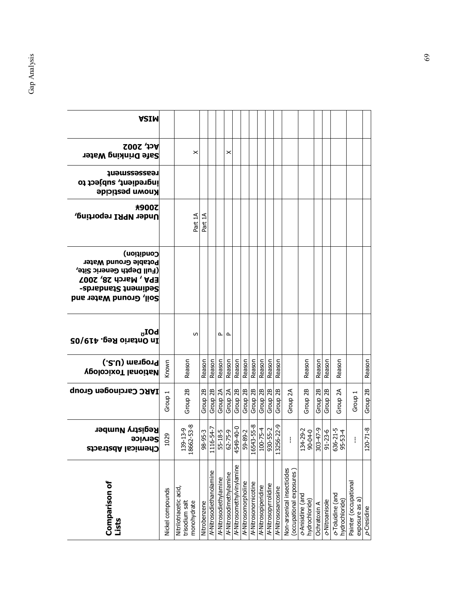| <b>ASIM</b>                                                                                                                                    |                    |                                                         |                     |                          |                                   |                            |                           |                                              |                                  |                          |                         |                            |                                                       |                                    |              |                               |                                    |                                         |                |
|------------------------------------------------------------------------------------------------------------------------------------------------|--------------------|---------------------------------------------------------|---------------------|--------------------------|-----------------------------------|----------------------------|---------------------------|----------------------------------------------|----------------------------------|--------------------------|-------------------------|----------------------------|-------------------------------------------------------|------------------------------------|--------------|-------------------------------|------------------------------------|-----------------------------------------|----------------|
| <b>Act, 2002</b><br><b>Safe Drinking Water</b>                                                                                                 |                    | ×                                                       |                     |                          |                                   | $\times$                   |                           |                                              |                                  |                          |                         |                            |                                                       |                                    |              |                               |                                    |                                         |                |
| teassessueu£<br>ingredient, subject to<br><b>Known pesticide</b>                                                                               |                    |                                                         |                     |                          |                                   |                            |                           |                                              |                                  |                          |                         |                            |                                                       |                                    |              |                               |                                    |                                         |                |
| ★900乙<br>Under NPRI reporting,                                                                                                                 |                    | Part 1A                                                 | Part 1A             |                          |                                   |                            |                           |                                              |                                  |                          |                         |                            |                                                       |                                    |              |                               |                                    |                                         |                |
| Condition)<br>Potable Ground Water<br>(Full Depth Generic Site,<br><b>EPA, March 28, 2007</b><br>Sediment Standards-<br>Soil, Ground Water and |                    |                                                         |                     |                          |                                   |                            |                           |                                              |                                  |                          |                         |                            |                                                       |                                    |              |                               |                                    |                                         |                |
| $\textrm{LOI}_\mathrm{U}$<br>In Ontario Reg. 419/05                                                                                            |                    | S                                                       |                     |                          | ௨                                 | ௨                          |                           |                                              |                                  |                          |                         |                            |                                                       |                                    |              |                               |                                    |                                         |                |
| (.2.U) msngonq<br><b>National Toxicology</b>                                                                                                   | Known              | Reason                                                  | Reason              | Reason                   | Reason                            | Reason                     | Reason                    | Reason                                       | Reason                           | Reason                   | Reason                  | Reason                     |                                                       | Reason                             | Reason       | Reason                        | Reason                             |                                         | Reason         |
| IARC Carcinogen Group                                                                                                                          | Group <sub>1</sub> | Group <sub>2B</sub>                                     | Group <sub>2B</sub> | Group <sub>2B</sub>      | Group 2A                          | Group 2A                   | Group 2B                  | Group 2B<br>Group 2B<br>Group 2B<br>Group 2B |                                  |                          |                         | Group <sub>2B</sub>        | Group <sub>2A</sub>                                   | Group 2B                           |              | $\frac{Group\ 2B}{Group\ 2B}$ | Group <sub>2A</sub>                | Group 1                                 | Group 2B       |
| <b>Registry Number</b><br><b>Service</b><br><b>Chemical Abstracts</b>                                                                          | .029               | 139-13-9<br>18662-53-8                                  | 98-95-3             | $16 - 54 - 7$<br>日       | 5-18-5<br>62-75-9                 |                            | 4549-40-0                 | 59-89-2                                      | 16543-55-8                       |                          | 100-75-4<br>930-55-2    | 13256-22-9                 | ł                                                     | 134-29-2<br>90-04-0                |              | $\frac{303-47-9}{91-23-6}$    | 636-21-5<br>95-53-4                |                                         | $120 - 71 - 8$ |
| Comparison of<br>Lists                                                                                                                         | Nickel compounds   | Nitrilotriacetic acid,<br>monohydrate<br>trisodium salt | Nitrobenzene        | /V-Nitrosodiethanolamine | <b>/<br/>KNitrosodiethylamine</b> | /<br>WNitrosodimethylamine | /KNitrosomethylvinylamine | /<br>WNitrosomorpholine                      | <b>/<br/>WNitrosonornicotine</b> | /<br>/ Nitrosopiperidine | /<br>Mitrosopyrrolidine | <b>//-Nitrososarcosine</b> | Non-arsenical insecticides<br>(occupational exposures | o-Anisidine (and<br>hydrochloride) | Ochratoxin A | o-Nitroanisole                | o-Toluidine (and<br>hydrochloride) | Painter (occupational<br>exposure as a) | $p$ Cresidine  |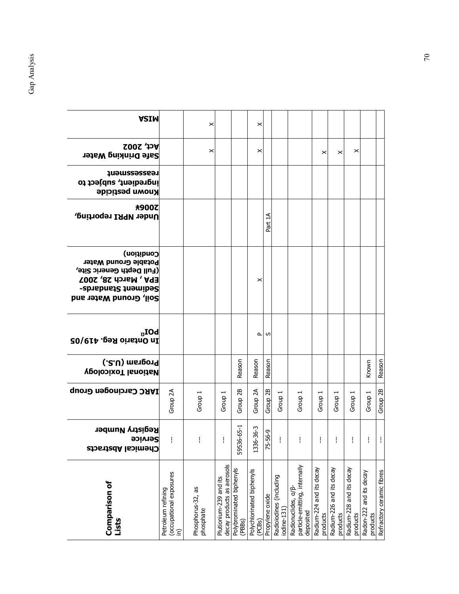| <b>ASIM</b>                                                                                                                                           |                                                                  | ×                              |                                                      |                                    | ×                                   |                     |                                        |                                                                   |                                      |                                      |                                      |                                     |                           |
|-------------------------------------------------------------------------------------------------------------------------------------------------------|------------------------------------------------------------------|--------------------------------|------------------------------------------------------|------------------------------------|-------------------------------------|---------------------|----------------------------------------|-------------------------------------------------------------------|--------------------------------------|--------------------------------------|--------------------------------------|-------------------------------------|---------------------------|
| $ACo$ , 2002<br><b>Safe Drinking Water</b>                                                                                                            |                                                                  | ×                              |                                                      |                                    | ×                                   |                     |                                        |                                                                   | ×                                    | ×                                    | ×                                    |                                     |                           |
| teassesseueu<br>ingredient, subject to<br><b>Known pesticide</b>                                                                                      |                                                                  |                                |                                                      |                                    |                                     |                     |                                        |                                                                   |                                      |                                      |                                      |                                     |                           |
| <b>未900乙</b><br>Under NPRI reporting,                                                                                                                 |                                                                  |                                |                                                      |                                    |                                     | Part 1A             |                                        |                                                                   |                                      |                                      |                                      |                                     |                           |
| Condition)<br>Potable Ground Water<br>(Full Depth Generic Site,<br><b>EPA, March 28, 2007</b><br><b>Sediment Standards-</b><br>Soil, Ground Water and |                                                                  |                                |                                                      |                                    | ×                                   |                     |                                        |                                                                   |                                      |                                      |                                      |                                     |                           |
| $\textrm{LOI}_\mathrm{U}$<br>In Ontario Reg. 419/05                                                                                                   |                                                                  |                                |                                                      |                                    | $\mathbf{r}$                        | S                   |                                        |                                                                   |                                      |                                      |                                      |                                     |                           |
| (.2.U) msnpo19<br><b>VgolopixoT lanoitaV</b>                                                                                                          |                                                                  |                                |                                                      | Reason                             | Reason                              | Reason              |                                        |                                                                   |                                      |                                      |                                      | Known                               | Reason                    |
| <b>IARC Carcinogen Group</b>                                                                                                                          | Group 2A                                                         | Group 1                        | Group 1                                              | Group <sub>2B</sub>                | Group <sub>2A</sub>                 | Group <sub>2B</sub> | Group 1                                | Group 1                                                           | Group 1                              | Group                                | Group:                               | Group 1                             | Group <sub>2B</sub>       |
| <b>Registry Number</b><br><b>Service</b><br>רווהשורפו אספננפכנפ                                                                                       | $\frac{1}{2}$                                                    | ł                              | ł                                                    | 536-65-1<br>59                     | 1336-36-3                           | 75-56-9             | ł                                      | ł                                                                 | ł                                    | ł                                    | ł                                    | ł                                   | Ť.                        |
| <b>Comparison of</b><br>Lists                                                                                                                         | (occupational exposures<br>Petroleum refining<br>$\widehat{\Xi}$ | Phosphorus-32, as<br>phosphate | decay products as aerosols<br>Plutionium-239 and its | Polybrominated biphenyls<br>(PBBs) | Polychlorinated biphenyls<br>(PCBs) | Propylene oxide     | Radioiodines (including<br>iodine-131) | particle-emitting, internally<br>Radionuclides, a/B-<br>deposited | Radium-224 and its decay<br>products | Radium-226 and its decay<br>products | Radium-228 and its decay<br>products | Radon-222 and its decay<br>products | Refractory ceramic fibres |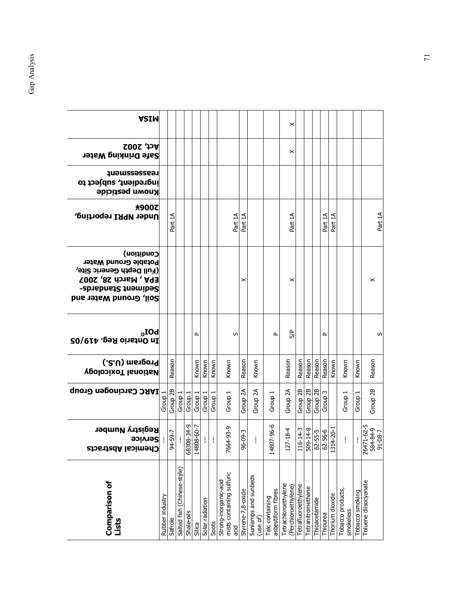| <b>ASIM</b>                                                                                                                                    |                 |               |                             |            |                    |                 |         |                                                           |                   |                                  |                                       | ×                                          |                     |                     |               |                    |                 |                                |                 |                                  |
|------------------------------------------------------------------------------------------------------------------------------------------------|-----------------|---------------|-----------------------------|------------|--------------------|-----------------|---------|-----------------------------------------------------------|-------------------|----------------------------------|---------------------------------------|--------------------------------------------|---------------------|---------------------|---------------|--------------------|-----------------|--------------------------------|-----------------|----------------------------------|
| <b>Act, 2002</b><br><b>Safe Drinking Water</b>                                                                                                 |                 |               |                             |            |                    |                 |         |                                                           |                   |                                  |                                       | ×                                          |                     |                     |               |                    |                 |                                |                 |                                  |
| <b>Teassessanent</b><br>ingredient, subject to<br><b>Known pesticide</b>                                                                       |                 |               |                             |            |                    |                 |         |                                                           |                   |                                  |                                       |                                            |                     |                     |               |                    |                 |                                |                 |                                  |
| <b>未900乙</b><br>Under NPRI reporting,                                                                                                          |                 | Part 1A       |                             |            |                    |                 |         | Part 1A                                                   | Part 1A           |                                  |                                       | Part 1A                                    |                     |                     |               | Part 1A            | Part 1A         |                                |                 | Part 1A                          |
| Condition)<br>Potable Ground Water<br>(Full Depth Generic Site,<br><b>EPA, March 28, 2007</b><br>Sediment Standards-<br>Soil, Ground Water and |                 |               |                             |            |                    |                 |         |                                                           | ×                 |                                  |                                       | ×                                          |                     |                     |               |                    |                 |                                |                 | ×                                |
| $\rm_{\sigma}$ IOd<br>In Ontario Reg. 419/05                                                                                                   |                 |               |                             |            | ௨                  |                 |         | w                                                         |                   |                                  | $\sim$                                | S/P                                        |                     |                     |               | ௳                  |                 |                                |                 | S                                |
| (.2.U) msnponq<br><b>Vedional Toxicology</b>                                                                                                   |                 | Reason        |                             |            | Known              | Known           | Known   | Known                                                     | Reason            | Known                            |                                       | Reason                                     | Reason              | Reason              | Reason        | Reason             | Known           | Known                          | Known           | Reason                           |
| <b>IARC Carcinogen Group</b>                                                                                                                   | Group           | Group 2B      | Group <sub>1</sub>          | Group 1    | Group <sub>1</sub> | Group           | Group 1 | Group 1                                                   | Group 2A          | Group 2A                         | Group 1                               | Group 2A                                   | Group <sub>2B</sub> | Group <sub>2B</sub> | Group 2B      | Group <sub>3</sub> |                 | Group 1                        | Group 1         | Group 2B                         |
| <b>Registry Number</b><br><b>Service</b><br><b>Shemical Abstrac</b>                                                                            | -11             | $94 - 59 - 7$ |                             | 68308-34-9 | 14808-60-7         |                 | ÷       | $6 - 56 - 96$<br>۴                                        | 96-09-3           | ŧ                                | 14807-96-6                            | $127 - 18 - 4$                             | 116-14-3            | $509 - 14 - 8$      | $62 - 55 - 5$ | $62 - 56 - 6$      | 1314-20-        | $\mathbf{I}$                   | ł               | 4-80-16<br>594-84-85<br>5-29-17. |
| <b>Comparison of</b><br>Lists                                                                                                                  | Rubber industry | Safrole       | Salted fish (Chinese-style) | Shale-oils | Silica             | Solar radiation | Soots   | mists containing sulfuric<br>Strong-inorganic-acid<br>ppe | Styrene-7,8-oxide | Sunlamps and sunbeds<br>(use of) | asbestiform fibres<br>Talc containing | Tetrachloroethylene<br>(Perchloroethylene) | Tetrafluoroethylene | Tetranitromethane   | Thioacetamide | Thiourea           | Thorium dioxide | Tobacco products,<br>smokeless | Tobacco smoking | Toluene diisocyanate             |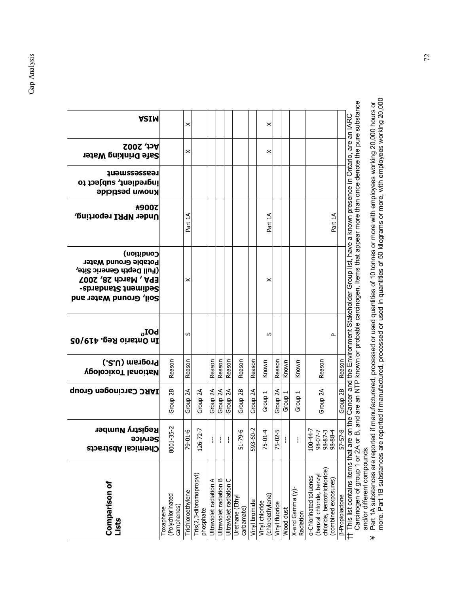| this list contains items that are on the Cancer and the Environment Stakeholder Group list, have a known presence in Ontario, are an IARC<br>×<br>×<br>×<br>×<br>Part 1A<br>Part 1A<br>Part 1A<br>×<br>×<br>S<br>S<br>௨<br>Reason<br>Reason<br>Reason<br>Reason<br>Reason<br>Reason<br>Reason<br>Known<br>Reason<br>Reason<br>Reason<br>Known<br>Known<br>Group <sub>2B</sub><br>Group <sub>2B</sub><br>Group <sub>2A</sub><br>Group <sub>2A</sub><br>Group 2A<br>Group 2A<br>Group <sub>2B</sub><br>Group 2A<br>Group 2A<br>Group 2A<br>Group 2A<br>Group <sub>1</sub><br>Group 1<br>Group 1<br>$35 - 2$<br>72-7<br>60-2<br>$700-44-7$<br>98-07-7<br>98-87-3<br>98-88-4<br>79-01-6<br>9-6<br>$5 - 2$<br>$75 - 01 - 4$<br>$\frac{2-5}{2}$<br>ł<br>$\mathbf{I}$<br>ļ.<br>ł<br>8001-<br>51-7<br>75-0<br>$57-5$<br>$593 -$<br>$126 -$<br>chloride, benzotrichloride)<br>Tris(2,3-dibromopropyl)<br>(benzal chloride, benzyl<br><b>a-Chlorinated toluenes</b><br>Ultraviolet radiation B<br>Ultraviolet radiation C<br>combined exposures<br>⋖<br>Ultraviolet radiation<br>$X$ -and Gamma $(y)$ -<br>Trichloroethylene<br>(chloroethylene)<br>(Polychlorinated<br><b>B-Propiolactone</b><br>Urethane (Ethyl<br>Vinyl bromide<br>Vinyl chloride<br>Vinyl fluoride<br>camphenes)<br>Toxaphene<br>carbamate)<br>phosphate<br>Wood dust<br>Radiation | <b>Comparison of</b><br>Lists | <b>Registry Number</b><br><b>90iv192</b><br>Chemical Abstracts | IARC Carcinogen Group | (.2.U) msnponq<br><b>VeolopixoT lanoitaM</b> | $\textrm{LOI}_\mathrm{U}$<br>In Ontario Reg. 419/05 | Condition)<br>Potable Ground Water<br>(Full Depth Generic Site,<br><b>EPA, March 28, 2007</b><br><b>Sediment Standards-</b><br>Soil, Ground Water and | <b>未900乙</b><br>Under NPRI reporting, | <b>Teassessment</b><br>ingredient, subject to<br><b>Known pesticide</b> | <b>Act, 2002</b><br>Safe Drinking Water | <b>ASIM</b> |
|----------------------------------------------------------------------------------------------------------------------------------------------------------------------------------------------------------------------------------------------------------------------------------------------------------------------------------------------------------------------------------------------------------------------------------------------------------------------------------------------------------------------------------------------------------------------------------------------------------------------------------------------------------------------------------------------------------------------------------------------------------------------------------------------------------------------------------------------------------------------------------------------------------------------------------------------------------------------------------------------------------------------------------------------------------------------------------------------------------------------------------------------------------------------------------------------------------------------------------------------------------------------------------------------------------------------------------------------|-------------------------------|----------------------------------------------------------------|-----------------------|----------------------------------------------|-----------------------------------------------------|-------------------------------------------------------------------------------------------------------------------------------------------------------|---------------------------------------|-------------------------------------------------------------------------|-----------------------------------------|-------------|
|                                                                                                                                                                                                                                                                                                                                                                                                                                                                                                                                                                                                                                                                                                                                                                                                                                                                                                                                                                                                                                                                                                                                                                                                                                                                                                                                              |                               |                                                                |                       |                                              |                                                     |                                                                                                                                                       |                                       |                                                                         |                                         |             |
|                                                                                                                                                                                                                                                                                                                                                                                                                                                                                                                                                                                                                                                                                                                                                                                                                                                                                                                                                                                                                                                                                                                                                                                                                                                                                                                                              |                               |                                                                |                       |                                              |                                                     |                                                                                                                                                       |                                       |                                                                         |                                         |             |
|                                                                                                                                                                                                                                                                                                                                                                                                                                                                                                                                                                                                                                                                                                                                                                                                                                                                                                                                                                                                                                                                                                                                                                                                                                                                                                                                              |                               |                                                                |                       |                                              |                                                     |                                                                                                                                                       |                                       |                                                                         |                                         |             |
|                                                                                                                                                                                                                                                                                                                                                                                                                                                                                                                                                                                                                                                                                                                                                                                                                                                                                                                                                                                                                                                                                                                                                                                                                                                                                                                                              |                               |                                                                |                       |                                              |                                                     |                                                                                                                                                       |                                       |                                                                         |                                         |             |
|                                                                                                                                                                                                                                                                                                                                                                                                                                                                                                                                                                                                                                                                                                                                                                                                                                                                                                                                                                                                                                                                                                                                                                                                                                                                                                                                              |                               |                                                                |                       |                                              |                                                     |                                                                                                                                                       |                                       |                                                                         |                                         |             |
|                                                                                                                                                                                                                                                                                                                                                                                                                                                                                                                                                                                                                                                                                                                                                                                                                                                                                                                                                                                                                                                                                                                                                                                                                                                                                                                                              |                               |                                                                |                       |                                              |                                                     |                                                                                                                                                       |                                       |                                                                         |                                         |             |
|                                                                                                                                                                                                                                                                                                                                                                                                                                                                                                                                                                                                                                                                                                                                                                                                                                                                                                                                                                                                                                                                                                                                                                                                                                                                                                                                              |                               |                                                                |                       |                                              |                                                     |                                                                                                                                                       |                                       |                                                                         |                                         |             |
|                                                                                                                                                                                                                                                                                                                                                                                                                                                                                                                                                                                                                                                                                                                                                                                                                                                                                                                                                                                                                                                                                                                                                                                                                                                                                                                                              |                               |                                                                |                       |                                              |                                                     |                                                                                                                                                       |                                       |                                                                         |                                         |             |
|                                                                                                                                                                                                                                                                                                                                                                                                                                                                                                                                                                                                                                                                                                                                                                                                                                                                                                                                                                                                                                                                                                                                                                                                                                                                                                                                              |                               |                                                                |                       |                                              |                                                     |                                                                                                                                                       |                                       |                                                                         |                                         |             |
|                                                                                                                                                                                                                                                                                                                                                                                                                                                                                                                                                                                                                                                                                                                                                                                                                                                                                                                                                                                                                                                                                                                                                                                                                                                                                                                                              |                               |                                                                |                       |                                              |                                                     |                                                                                                                                                       |                                       |                                                                         |                                         |             |
|                                                                                                                                                                                                                                                                                                                                                                                                                                                                                                                                                                                                                                                                                                                                                                                                                                                                                                                                                                                                                                                                                                                                                                                                                                                                                                                                              |                               |                                                                |                       |                                              |                                                     |                                                                                                                                                       |                                       |                                                                         |                                         |             |
|                                                                                                                                                                                                                                                                                                                                                                                                                                                                                                                                                                                                                                                                                                                                                                                                                                                                                                                                                                                                                                                                                                                                                                                                                                                                                                                                              |                               |                                                                |                       |                                              |                                                     |                                                                                                                                                       |                                       |                                                                         |                                         |             |
|                                                                                                                                                                                                                                                                                                                                                                                                                                                                                                                                                                                                                                                                                                                                                                                                                                                                                                                                                                                                                                                                                                                                                                                                                                                                                                                                              |                               |                                                                |                       |                                              |                                                     |                                                                                                                                                       |                                       |                                                                         |                                         |             |
|                                                                                                                                                                                                                                                                                                                                                                                                                                                                                                                                                                                                                                                                                                                                                                                                                                                                                                                                                                                                                                                                                                                                                                                                                                                                                                                                              |                               |                                                                |                       |                                              |                                                     |                                                                                                                                                       |                                       |                                                                         |                                         |             |
|                                                                                                                                                                                                                                                                                                                                                                                                                                                                                                                                                                                                                                                                                                                                                                                                                                                                                                                                                                                                                                                                                                                                                                                                                                                                                                                                              |                               |                                                                |                       |                                              |                                                     |                                                                                                                                                       |                                       |                                                                         |                                         |             |

Carcinogen of group 1 or 2A or B, and are an NTP known or probable carcinogen. Items that appear more than once denote the pure substance<br>and/or different compounds.<br>Part 1A substances are reported if manufacturered, proce Carcinogen of group 1 or 2A or B, and are an NTP known or probable carcinogen. Items that appear more than once denote the pure substance †† This list contains items that are on the Cancer and the Environment Stakeholder Group list, have a known presence in Ontario, are an IARC and/or different compounds.

 more. Part 1B substances are reported if manufactured, processed or used in quantities of 50 kilograms or more, with employees working 20,000 ¥ Part 1A substances are reported if manufacturered, processed or used quantities of 10 tonnes or more with employees working 20,000 hours or  $*$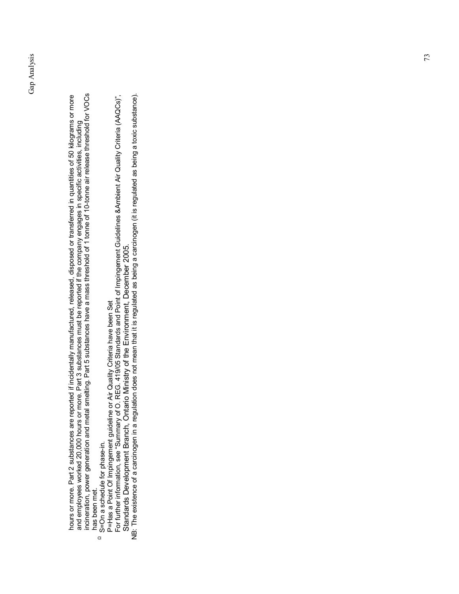hours or more. Part 2 substances are reported if incidentally manufactured, released, disposed or transferred in quantities of 50 kilograms or more<br>and employees worked 20,000 hours or more. Part 3 substances must be repor incineration, power generation and metal smelting. Part 5 substances have a mass threshold of 1 tonne of 10-tonne air release threshold for VOCs hours or more. Part 2 substances are reported if incidentally manufactured, released, disposed or transferred in quantities of 50 kilograms or more and employees worked 20,000 hours or more. Part 3 substances must be reported if the company engages in specific activities, including has been met. has been met.

- $\Omega$  S=On a schedule for phase-in. S=On a schedule for phase-in.
- P=Has a Point Of Impingement guideline or Air Quality Criteria have been Set
- For further information, see "Summary of O. REG. 419/05 Standards and Point of Impingement Guidelines &Ambient Air Quality Criteria (AAQCs)", P=Has a Point Of Impingement guideline or Air Quality Criteria have been Set<br>For further information, see "Summary of O. REG. 419/05 Standards and Point of Impingement Guidelines &Ambient Air Quality Criteria (AAQCs)", Standards Development Branch, Ontario Ministry of the Environment, December 2005. Standards Development Branch, Ontario Ministry of the Environment, December 2005.

NB: The existence of a carcinogen in a regulation does not mean that it is regulated as being a carcinogen (it is regulated as being a toxic substance). NB: The existence of a carcinogen in a regulation does not mean that it is regulated as being a carcinogen (it is regulated as being a toxic substance).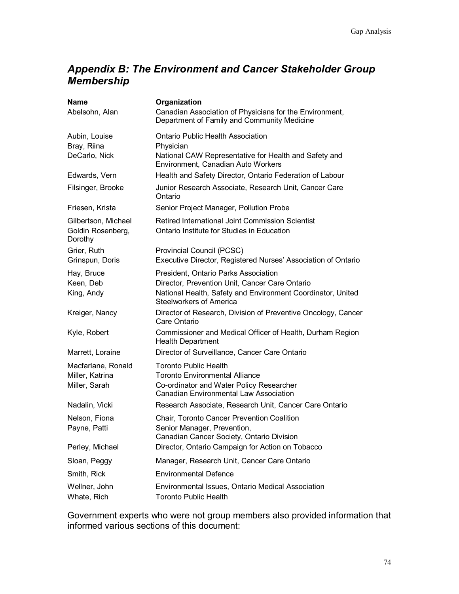## *Appendix B: The Environment and Cancer Stakeholder Group Membership*

| <b>Name</b>                                         | Organization                                                                                           |
|-----------------------------------------------------|--------------------------------------------------------------------------------------------------------|
| Abelsohn, Alan                                      | Canadian Association of Physicians for the Environment,<br>Department of Family and Community Medicine |
| Aubin, Louise                                       | <b>Ontario Public Health Association</b>                                                               |
| Bray, Riina                                         | Physician                                                                                              |
| DeCarlo, Nick                                       | National CAW Representative for Health and Safety and<br>Environment, Canadian Auto Workers            |
| Edwards, Vern                                       | Health and Safety Director, Ontario Federation of Labour                                               |
| Filsinger, Brooke                                   | Junior Research Associate, Research Unit, Cancer Care<br>Ontario                                       |
| Friesen, Krista                                     | Senior Project Manager, Pollution Probe                                                                |
| Gilbertson, Michael<br>Goldin Rosenberg,<br>Dorothy | Retired International Joint Commission Scientist<br>Ontario Institute for Studies in Education         |
|                                                     |                                                                                                        |
| Grier, Ruth<br>Grinspun, Doris                      | Provincial Council (PCSC)<br>Executive Director, Registered Nurses' Association of Ontario             |
| Hay, Bruce                                          | President, Ontario Parks Association                                                                   |
| Keen, Deb                                           | Director, Prevention Unit, Cancer Care Ontario                                                         |
| King, Andy                                          | National Health, Safety and Environment Coordinator, United<br><b>Steelworkers of America</b>          |
| Kreiger, Nancy                                      | Director of Research, Division of Preventive Oncology, Cancer<br>Care Ontario                          |
| Kyle, Robert                                        | Commissioner and Medical Officer of Health, Durham Region<br><b>Health Department</b>                  |
| Marrett, Loraine                                    | Director of Surveillance, Cancer Care Ontario                                                          |
| Macfarlane, Ronald                                  | <b>Toronto Public Health</b>                                                                           |
| Miller, Katrina                                     | <b>Toronto Environmental Alliance</b>                                                                  |
| Miller, Sarah                                       | Co-ordinator and Water Policy Researcher<br><b>Canadian Environmental Law Association</b>              |
| Nadalin, Vicki                                      | Research Associate, Research Unit, Cancer Care Ontario                                                 |
| Nelson, Fiona                                       | Chair, Toronto Cancer Prevention Coalition                                                             |
| Payne, Patti                                        | Senior Manager, Prevention,                                                                            |
|                                                     | Canadian Cancer Society, Ontario Division                                                              |
| Perley, Michael                                     | Director, Ontario Campaign for Action on Tobacco                                                       |
| Sloan, Peggy                                        | Manager, Research Unit, Cancer Care Ontario                                                            |
| Smith, Rick                                         | <b>Environmental Defence</b>                                                                           |
| Wellner, John                                       | Environmental Issues, Ontario Medical Association                                                      |
| Whate, Rich                                         | <b>Toronto Public Health</b>                                                                           |

Government experts who were not group members also provided information that informed various sections of this document: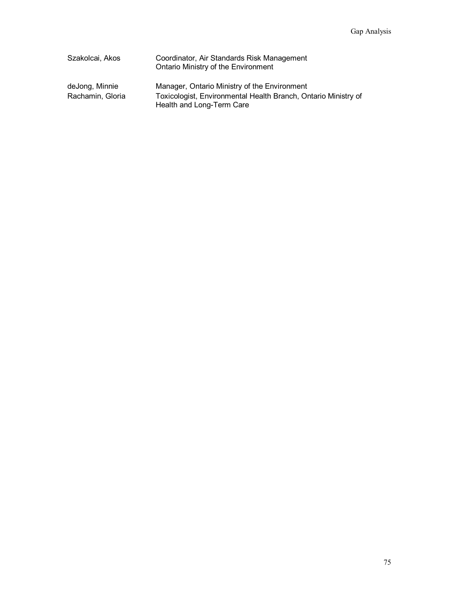| Szakolcai, Akos                    | Coordinator, Air Standards Risk Management<br>Ontario Ministry of the Environment                                                           |
|------------------------------------|---------------------------------------------------------------------------------------------------------------------------------------------|
| deJong, Minnie<br>Rachamin, Gloria | Manager, Ontario Ministry of the Environment<br>Toxicologist, Environmental Health Branch, Ontario Ministry of<br>Health and Long-Term Care |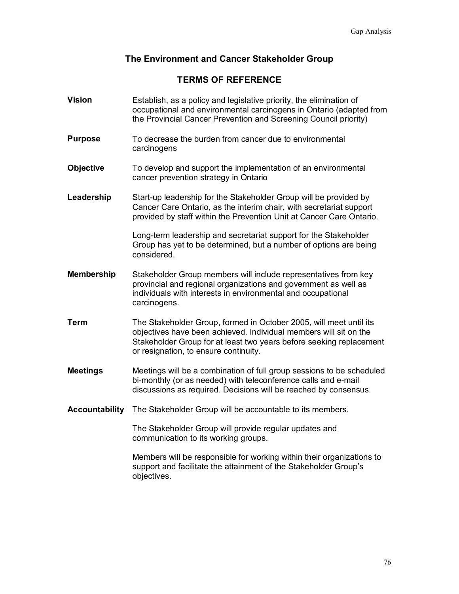#### **The Environment and Cancer Stakeholder Group**

#### **TERMS OF REFERENCE**

**Vision** Establish, as a policy and legislative priority, the elimination of occupational and environmental carcinogens in Ontario (adapted from the Provincial Cancer Prevention and Screening Council priority) **Purpose** To decrease the burden from cancer due to environmental carcinogens **Objective** To develop and support the implementation of an environmental cancer prevention strategy in Ontario **Leadership** Start-up leadership for the Stakeholder Group will be provided by Cancer Care Ontario, as the interim chair, with secretariat support provided by staff within the Prevention Unit at Cancer Care Ontario. Long-term leadership and secretariat support for the Stakeholder Group has yet to be determined, but a number of options are being considered. **Membership** Stakeholder Group members will include representatives from key provincial and regional organizations and government as well as individuals with interests in environmental and occupational carcinogens. **Term** The Stakeholder Group, formed in October 2005, will meet until its objectives have been achieved. Individual members will sit on the Stakeholder Group for at least two years before seeking replacement or resignation, to ensure continuity. **Meetings** Meetings will be a combination of full group sessions to be scheduled bi-monthly (or as needed) with teleconference calls and e-mail discussions as required. Decisions will be reached by consensus. **Accountability** The Stakeholder Group will be accountable to its members. The Stakeholder Group will provide regular updates and communication to its working groups. Members will be responsible for working within their organizations to support and facilitate the attainment of the Stakeholder Group's objectives.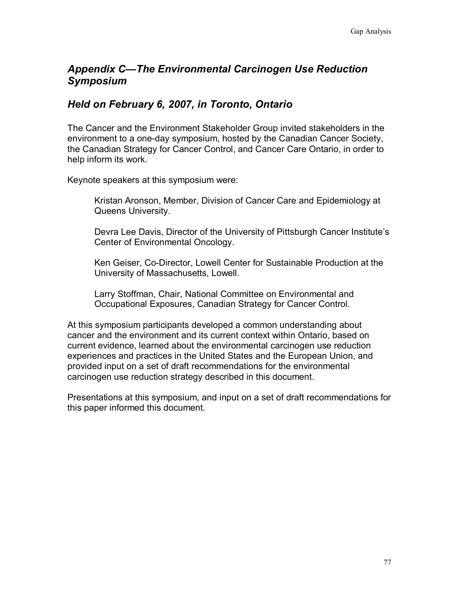## *Appendix C—The Environmental Carcinogen Use Reduction Symposium*

### *Held on February 6, 2007, in Toronto, Ontario*

The Cancer and the Environment Stakeholder Group invited stakeholders in the environment to a one-day symposium, hosted by the Canadian Cancer Society, the Canadian Strategy for Cancer Control, and Cancer Care Ontario, in order to help inform its work.

Keynote speakers at this symposium were:

Kristan Aronson, Member, Division of Cancer Care and Epidemiology at Queens University.

Devra Lee Davis, Director of the University of Pittsburgh Cancer Institute's Center of Environmental Oncology.

Ken Geiser, Co-Director, Lowell Center for Sustainable Production at the University of Massachusetts, Lowell.

Larry Stoffman, Chair, National Committee on Environmental and Occupational Exposures, Canadian Strategy for Cancer Control.

At this symposium participants developed a common understanding about cancer and the environment and its current context within Ontario, based on current evidence, learned about the environmental carcinogen use reduction experiences and practices in the United States and the European Union, and provided input on a set of draft recommendations for the environmental carcinogen use reduction strategy described in this document.

Presentations at this symposium, and input on a set of draft recommendations for this paper informed this document.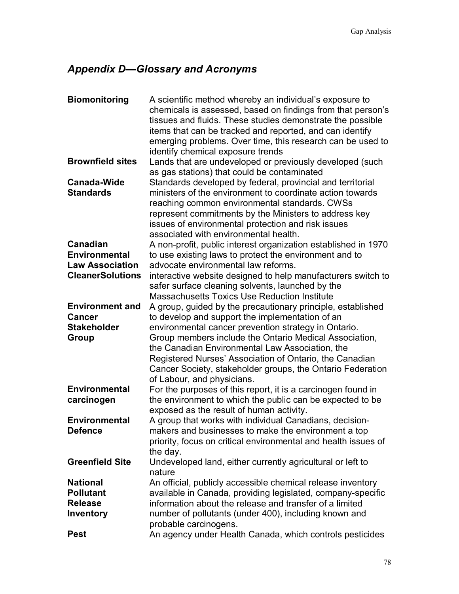# *Appendix D—Glossary and Acronyms*

| <b>Biomonitoring</b>                   | A scientific method whereby an individual's exposure to<br>chemicals is assessed, based on findings from that person's<br>tissues and fluids. These studies demonstrate the possible<br>items that can be tracked and reported, and can identify<br>emerging problems. Over time, this research can be used to<br>identify chemical exposure trends |
|----------------------------------------|-----------------------------------------------------------------------------------------------------------------------------------------------------------------------------------------------------------------------------------------------------------------------------------------------------------------------------------------------------|
| <b>Brownfield sites</b>                | Lands that are undeveloped or previously developed (such<br>as gas stations) that could be contaminated                                                                                                                                                                                                                                             |
| <b>Canada-Wide</b><br><b>Standards</b> | Standards developed by federal, provincial and territorial<br>ministers of the environment to coordinate action towards<br>reaching common environmental standards. CWSs<br>represent commitments by the Ministers to address key<br>issues of environmental protection and risk issues<br>associated with environmental health.                    |
| Canadian                               | A non-profit, public interest organization established in 1970                                                                                                                                                                                                                                                                                      |
| <b>Environmental</b>                   | to use existing laws to protect the environment and to                                                                                                                                                                                                                                                                                              |
| <b>Law Association</b>                 | advocate environmental law reforms.                                                                                                                                                                                                                                                                                                                 |
| <b>CleanerSolutions</b>                | interactive website designed to help manufacturers switch to<br>safer surface cleaning solvents, launched by the                                                                                                                                                                                                                                    |
|                                        | <b>Massachusetts Toxics Use Reduction Institute</b>                                                                                                                                                                                                                                                                                                 |
| <b>Environment and</b>                 | A group, guided by the precautionary principle, established                                                                                                                                                                                                                                                                                         |
| <b>Cancer</b>                          | to develop and support the implementation of an                                                                                                                                                                                                                                                                                                     |
| <b>Stakeholder</b>                     | environmental cancer prevention strategy in Ontario.                                                                                                                                                                                                                                                                                                |
| <b>Group</b>                           | Group members include the Ontario Medical Association,                                                                                                                                                                                                                                                                                              |
|                                        | the Canadian Environmental Law Association, the                                                                                                                                                                                                                                                                                                     |
|                                        | Registered Nurses' Association of Ontario, the Canadian<br>Cancer Society, stakeholder groups, the Ontario Federation                                                                                                                                                                                                                               |
| <b>Environmental</b>                   | of Labour, and physicians.                                                                                                                                                                                                                                                                                                                          |
| carcinogen                             | For the purposes of this report, it is a carcinogen found in<br>the environment to which the public can be expected to be                                                                                                                                                                                                                           |
| <b>Environmental</b>                   | exposed as the result of human activity.<br>A group that works with individual Canadians, decision-                                                                                                                                                                                                                                                 |
| <b>Defence</b>                         | makers and businesses to make the environment a top                                                                                                                                                                                                                                                                                                 |
|                                        | priority, focus on critical environmental and health issues of<br>the day.                                                                                                                                                                                                                                                                          |
| <b>Greenfield Site</b>                 | Undeveloped land, either currently agricultural or left to                                                                                                                                                                                                                                                                                          |
| <b>National</b>                        | nature<br>An official, publicly accessible chemical release inventory                                                                                                                                                                                                                                                                               |
| <b>Pollutant</b>                       | available in Canada, providing legislated, company-specific                                                                                                                                                                                                                                                                                         |
| <b>Release</b>                         | information about the release and transfer of a limited                                                                                                                                                                                                                                                                                             |
| <b>Inventory</b>                       | number of pollutants (under 400), including known and                                                                                                                                                                                                                                                                                               |
|                                        | probable carcinogens.                                                                                                                                                                                                                                                                                                                               |
| <b>Pest</b>                            | An agency under Health Canada, which controls pesticides                                                                                                                                                                                                                                                                                            |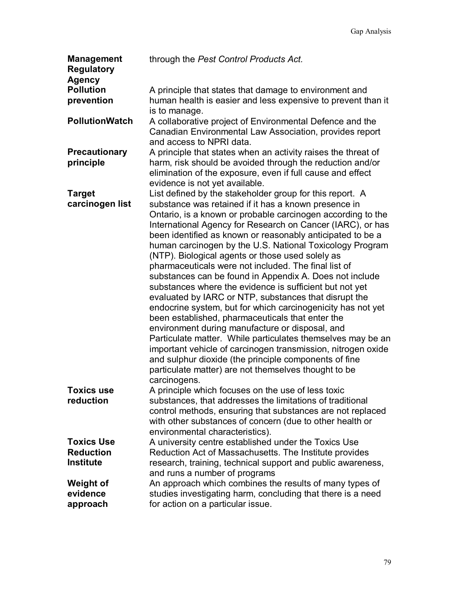| <b>Management</b><br><b>Regulatory</b><br><b>Agency</b> | through the Pest Control Products Act.                                                                                                                                                                                                                                                                                                                                                                                                                                                                                                                                                                                                                                                                                                                                                                                                                                                                                                                                                                                                       |
|---------------------------------------------------------|----------------------------------------------------------------------------------------------------------------------------------------------------------------------------------------------------------------------------------------------------------------------------------------------------------------------------------------------------------------------------------------------------------------------------------------------------------------------------------------------------------------------------------------------------------------------------------------------------------------------------------------------------------------------------------------------------------------------------------------------------------------------------------------------------------------------------------------------------------------------------------------------------------------------------------------------------------------------------------------------------------------------------------------------|
| <b>Pollution</b>                                        | A principle that states that damage to environment and                                                                                                                                                                                                                                                                                                                                                                                                                                                                                                                                                                                                                                                                                                                                                                                                                                                                                                                                                                                       |
| prevention                                              | human health is easier and less expensive to prevent than it<br>is to manage.                                                                                                                                                                                                                                                                                                                                                                                                                                                                                                                                                                                                                                                                                                                                                                                                                                                                                                                                                                |
| <b>PollutionWatch</b>                                   | A collaborative project of Environmental Defence and the<br>Canadian Environmental Law Association, provides report<br>and access to NPRI data.                                                                                                                                                                                                                                                                                                                                                                                                                                                                                                                                                                                                                                                                                                                                                                                                                                                                                              |
| <b>Precautionary</b>                                    | A principle that states when an activity raises the threat of                                                                                                                                                                                                                                                                                                                                                                                                                                                                                                                                                                                                                                                                                                                                                                                                                                                                                                                                                                                |
| principle                                               | harm, risk should be avoided through the reduction and/or<br>elimination of the exposure, even if full cause and effect<br>evidence is not yet available.                                                                                                                                                                                                                                                                                                                                                                                                                                                                                                                                                                                                                                                                                                                                                                                                                                                                                    |
| <b>Target</b>                                           | List defined by the stakeholder group for this report. A                                                                                                                                                                                                                                                                                                                                                                                                                                                                                                                                                                                                                                                                                                                                                                                                                                                                                                                                                                                     |
| carcinogen list                                         | substance was retained if it has a known presence in<br>Ontario, is a known or probable carcinogen according to the<br>International Agency for Research on Cancer (IARC), or has<br>been identified as known or reasonably anticipated to be a<br>human carcinogen by the U.S. National Toxicology Program<br>(NTP). Biological agents or those used solely as<br>pharmaceuticals were not included. The final list of<br>substances can be found in Appendix A. Does not include<br>substances where the evidence is sufficient but not yet<br>evaluated by IARC or NTP, substances that disrupt the<br>endocrine system, but for which carcinogenicity has not yet<br>been established, pharmaceuticals that enter the<br>environment during manufacture or disposal, and<br>Particulate matter. While particulates themselves may be an<br>important vehicle of carcinogen transmission, nitrogen oxide<br>and sulphur dioxide (the principle components of fine<br>particulate matter) are not themselves thought to be<br>carcinogens. |
| Toxics use                                              | A principle which focuses on the use of less toxic                                                                                                                                                                                                                                                                                                                                                                                                                                                                                                                                                                                                                                                                                                                                                                                                                                                                                                                                                                                           |
| reduction                                               | substances, that addresses the limitations of traditional<br>control methods, ensuring that substances are not replaced<br>with other substances of concern (due to other health or<br>environmental characteristics).                                                                                                                                                                                                                                                                                                                                                                                                                                                                                                                                                                                                                                                                                                                                                                                                                       |
| <b>Toxics Use</b>                                       | A university centre established under the Toxics Use                                                                                                                                                                                                                                                                                                                                                                                                                                                                                                                                                                                                                                                                                                                                                                                                                                                                                                                                                                                         |
| <b>Reduction</b>                                        | Reduction Act of Massachusetts. The Institute provides                                                                                                                                                                                                                                                                                                                                                                                                                                                                                                                                                                                                                                                                                                                                                                                                                                                                                                                                                                                       |
| <b>Institute</b>                                        | research, training, technical support and public awareness,<br>and runs a number of programs                                                                                                                                                                                                                                                                                                                                                                                                                                                                                                                                                                                                                                                                                                                                                                                                                                                                                                                                                 |
| <b>Weight of</b>                                        | An approach which combines the results of many types of                                                                                                                                                                                                                                                                                                                                                                                                                                                                                                                                                                                                                                                                                                                                                                                                                                                                                                                                                                                      |
| evidence                                                | studies investigating harm, concluding that there is a need                                                                                                                                                                                                                                                                                                                                                                                                                                                                                                                                                                                                                                                                                                                                                                                                                                                                                                                                                                                  |
| approach                                                | for action on a particular issue.                                                                                                                                                                                                                                                                                                                                                                                                                                                                                                                                                                                                                                                                                                                                                                                                                                                                                                                                                                                                            |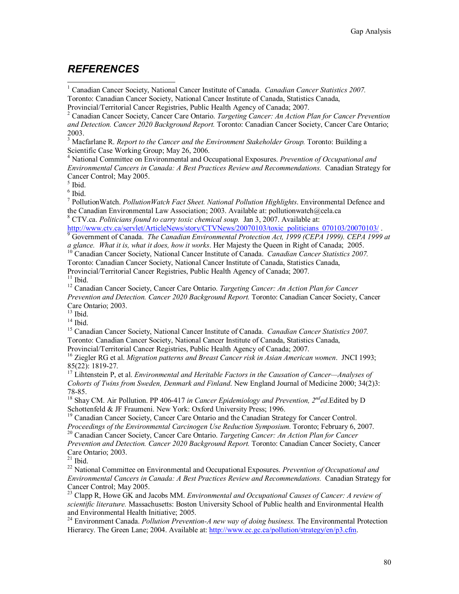### *REFERENCES*

<sup>1</sup> Canadian Cancer Society, National Cancer Institute of Canada. *Canadian Cancer Statistics 2007*. Toronto: Canadian Cancer Society, National Cancer Institute of Canada, Statistics Canada, Provincial/Territorial Cancer Registries, Public Health Agency of Canada; 2007.

2 Canadian Cancer Society, Cancer Care Ontario. *Targeting Cancer: An Action Plan for Cancer Prevention and Detection. Cancer 2020 Background Report.* Toronto: Canadian Cancer Society, Cancer Care Ontario; 2003.

<sup>3</sup> Macfarlane R. *Report to the Cancer and the Environment Stakeholder Group*. Toronto: Building a Scientific Case Working Group; May 26, 2006.

4 National Committee on Environmental and Occupational Exposures. *Prevention of Occupational and Environmental Cancers in Canada: A Best Practices Review and Recommendations.* Canadian Strategy for Cancer Control; May 2005.

5 Ibid.

 $\overline{a}$ 

6 Ibid.

7 PollutionWatch. *PollutionWatch Fact Sheet. National Pollution Highlights*. Environmental Defence and the Canadian Environmental Law Association; 2003. Available at: pollutionwatch@cela.ca

8 CTV.ca. *Politicians found to carry toxic chemical soup.* Jan 3, 2007. Available at: http://www.ctv.ca/servlet/ArticleNews/story/CTVNews/20070103/toxic\_politicians\_070103/20070103/ .

Government of Canada. *The Canadian Environmental Protection Act, 1999 (CEPA 1999). CEPA 1999 at* 

*a glance. What it is, what it does, how it works.* Her Majesty the Queen in Right of Canada; 2005.<br><sup>10</sup> Canadian Cancer Society, National Cancer Institute of Canada. *Canadian Cancer Statistics 2007*.

Toronto: Canadian Cancer Society, National Cancer Institute of Canada, Statistics Canada,

Provincial/Territorial Cancer Registries, Public Health Agency of Canada; 2007.

 $11$  Ibid.

12 Canadian Cancer Society, Cancer Care Ontario. *Targeting Cancer: An Action Plan for Cancer Prevention and Detection. Cancer 2020 Background Report.* Toronto: Canadian Cancer Society, Cancer Care Ontario; 2003.

 $13$  Ibid.

 $14$  Ibid.

15 Canadian Cancer Society, National Cancer Institute of Canada. *Canadian Cancer Statistics 2007.*  Toronto: Canadian Cancer Society, National Cancer Institute of Canada, Statistics Canada,

Provincial/Territorial Cancer Registries, Public Health Agency of Canada; 2007.

16 Ziegler RG et al. *Migration patterns and Breast Cancer risk in Asian American women*. JNCI 1993; 85(22): 1819-27.

17 Lihtenstein P, et al. *Environmental and Heritable Factors in the Causation of Cancer—Analyses of Cohorts of Twins from Sweden, Denmark and Finland*. New England Journal of Medicine 2000; 34(2)3: 78-85.

18 Shay CM. Air Pollution. PP 406-417 *in Cancer Epidemiology and Prevention, 2nded*.Edited by D Schottenfeld & JF Fraumeni. New York: Oxford University Press; 1996.

<sup>19</sup> Canadian Cancer Society, Cancer Care Ontario and the Canadian Strategy for Cancer Control.<br>*Proceedings of the Environmental Carcinogen Use Reduction Symposium*. Toronto; February 6, 2007.

<sup>20</sup> Canadian Cancer Society, Cancer Care Ontario. Targeting Cancer: An Action Plan for Cancer

*Prevention and Detection. Cancer 2020 Background Report.* Toronto: Canadian Cancer Society, Cancer Care Ontario; 2003.

 $21$  Ibid.

22 National Committee on Environmental and Occupational Exposures. *Prevention of Occupational and Environmental Cancers in Canada: A Best Practices Review and Recommendations.* Canadian Strategy for Cancer Control; May 2005.

<sup>23</sup> Clapp R, Howe GK and Jacobs MM. *Environmental and Occupational Causes of Cancer: A review of scientific literature.* Massachusetts: Boston University School of Public health and Environmental Health and Environmental Health Initiative; 2005.

24 Environment Canada. *Pollution Prevention-A new way of doing business.* The Environmental Protection Hierarcy. The Green Lane; 2004. Available at: http://www.ec.gc.ca/pollution/strategy/en/p3.cfm.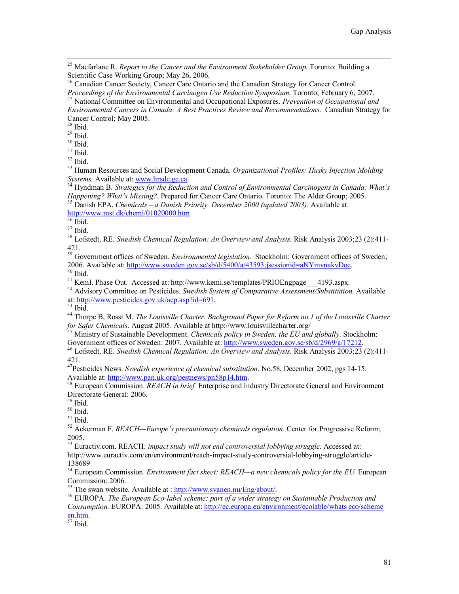$^{28}$  Ibid.

 $29$  Ibid.

 $30$  Ibid.

 $31$  Ibid.

 $32$  Ibid.

33 Human Resources and Social Development Canada. *Organizational Profiles: Husky Injection Molding* 

*Systems.* Available at: www.hrsdc.gc.ca.<br><sup>34</sup> Hyndman B. *Strategies for the Reduction and Control of Environmental Carcinogens in Canada: What's <i>Happening? What's Missing?*. Prepared for Cancer Care Ontario. Toronto: Th

 $37$  Ibid.

38 Lofstedt, RE*. Swedish Chemical Regulation: An Overview and Analysis.* Risk Analysis 2003;23 (2):411- 421.

<sup>39</sup> Government offices of Sweden. *Environmental legislation*. Stockholm: Government offices of Sweden; 2006. Available at: http://www.sweden.gov.se/sb/d/5400/a/43593;jsessionid=aNYmvnakvDoe.<br><sup>40</sup> Ibid.<br><sup>41</sup> KemI. Phase Out. Accessed at: http://www.kemi.se/templates/PRIOEngpage 4193.aspx.

<sup>41</sup> KemI. Phase Out. Accessed at: http://www.kemi.se/templates/PRIOEngpage\_\_\_4193.aspx. 42 Advisory Committee on Pesticides. *Swedish System of Comparative Assessment/Substitution*. Available

at: http://www.pesticides.gov.uk/acp.asp?id=691.<br><sup>43</sup> Ibid.

<sup>44</sup> Thorpe B, Rossi M. *The Louisville Charter. Background Paper for Reform no.1 of the Louisville Charter for Safer Chemicals. August 2005. Available at http://www.louisvillecharter.org/* 

<sup>45</sup> Ministry of Sustainable Development. *Chemicals policy in Sweden, the EU and globally*. Stockholm:<br>Government offices of Sweden: 2007. Available at: http://www.sweden.gov.se/sb/d/2969/a/17212.

<sup>46</sup> Lofstedt, RE. Swedish Chemical Regulation: An Overview and Analysis. Risk Analysis 2003;23 (2):411-421.

47Pesticides News. *Swedish experience of chemical substitution*. No.58, December 2002, pgs 14-15. Available at: http://www.pan.uk.org/pestnews/pn58p14.htm.<br><sup>48</sup> European Commission. *REACH in brief.* Enterprise and Industry Directorate General and Environment

Directorate General: 2006.<br><sup>49</sup> Ibid.

 $50$  Ibid.

 $51$  Ibid.

52 Ackerman F. *REACH—Europe's precautionary chemicals regulation*. Center for Progressive Reform; 2005.

53 Euractiv.com. REACH*: impact study will not end controversial lobbying struggle*. Accessed at: http://www.euractiv.com/en/environment/reach-impact-study-controversial-lobbying-struggle/article-

138689

54 European Commission. *Environment fact sheet: REACH—a new chemicals policy for the EU.* European Commission: 2006.<br><sup>55</sup> The swan website. Available at : <u>http://www.svanen.nu/Eng/about/</u>.

<sup>56</sup> EUROPA. *The European Eco-label scheme: part of a wider strategy on Sustainable Production and Consumption.* EUROPA: 2005. Available at: http://ec.europa.eu/environment/ecolable/whats eco/scheme  $\frac{\text{en.htm}}{57}$  Ibid.

 <sup>25</sup> Macfarlane R. *Report to the Cancer and the Environment Stakeholder Group.* Toronto: Building a Scientific Case Working Group; May 26, 2006.

<sup>&</sup>lt;sup>26</sup> Canadian Cancer Society, Cancer Care Ontario and the Canadian Strategy for Cancer Control. *Proceedings of the Environmental Carcinogen Use Reduction Symposium.* Toronto; February 6, 2007.<br><sup>27</sup> National Committee on Environmental and Occupational Exposures. *Prevention of Occupational and* 

*Environmental Cancers in Canada: A Best Practices Review and Recommendations.* Canadian Strategy for Cancer Control; May 2005.

<sup>&</sup>lt;sup>35</sup> Danish EPA. *Chemicals – a Danish Priority. December 2000 (updated 2003)*. Available at: http://www.mst.dk/chemi/01020000.htm<br><sup>36</sup> Ibid.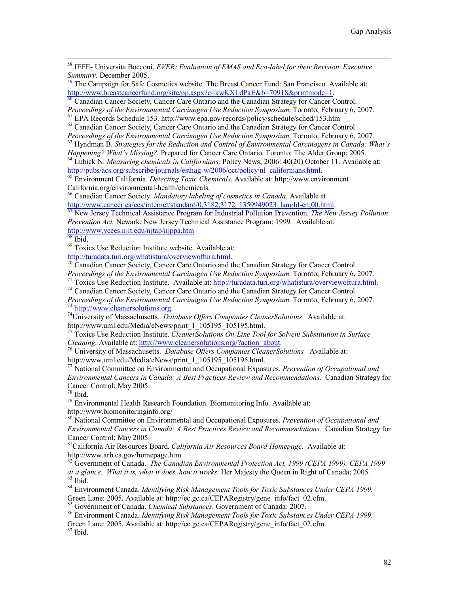58 IEFE- Universita Bocconi. *EVER: Evaluation of EMAS and Eco-label for their Revision. Executive* 

*Summary.* December 2005.<br><sup>59</sup> The Campaign for Safe Cosmetics website. The Breast Cancer Fund: San Francisco. Available at:<br>http://www.breastcancerfund.org/site/pp.aspx?c=kwKXLdPaE&b=70918&printmode=1.

 $\frac{60}{60}$  Canadian Cancer Society, Cancer Care Ontario and the Canadian Strategy for Cancer Control.<br>Proceedings of the Environmental Carcinogen Use Reduction Symposium. Toronto; February 6, 2007.

<sup>61</sup> EPA Records Schedule 153. http://www.epa.gov/records/policy/schedule/sched/153.htm

 $62$  Canadian Cancer Society, Cancer Care Ontario and the Canadian Strategy for Cancer Control.<br>Proceedings of the Environmental Carcinogen Use Reduction Symposium. Toronto; February 6, 2007.

<sup>63</sup> Hyndman B. *Strategies for the Reduction and Control of Environmental Carcinogens in Canada: What's Happening? What's Missing?. Prepared for Cancer Care Ontario. Toronto: The Alder Group; 2005.* <sup>64</sup> Lubick N. *Measuring chemicals in Californians*. Policy News; 2006: 40(20) October 11. Available at:

http://pubs/acs.org/subscribe/journals/esthag-w/2006/oct/policy/nl\_californians.html. 65 Environment California. *Detecting Toxic Chemicals*. Available at: http://www.environment California.org/environmental-health/chemicals.

66 Canadian Cancer Society. *Mandatory labeling of cosmetics in Canada.* Available at

http://www.cancer.ca/ccs/internet/standard/0,3182,3172\_1359949023\_langId-en,00.html.<br><sup>67</sup> New Jersey Technical Assistance Program for Industrial Pollution Prevention. *The New Jersey Pollution Prevention Act.* Newark; New Jersey Technical Assistance Program: 1999*.* Available at: http://www.ycees.njit.edu/njtap/njppa.htm 68 Ibid.

<sup>69</sup> Toxics Use Reduction Institute website. Available at:<br>http://turadata.turi.org/whatistura/overviewoftura.html.

 $\frac{1}{70}$  Canadian Cancer Society, Cancer Care Ontario and the Canadian Strategy for Cancer Control. *Proceedings of the Environmental Carcinogen Use Reduction Symposium.* Toronto; February 6, 2007.<br><sup>71</sup> Toxics Use Reduction Institute. Available at: http://turadata.turi.org/whatistura/overviewoftura.html.<br><sup>72</sup> Canadian Ca

*Proceedings of the Environmental Carcinogen Use Reduction Symposium.* Toronto; February 6, 2007.<br><sup>73</sup> http://www.cleanersolutions.org.<br><sup>74</sup> University of Massachusetts. *Database Offers Companies CleanerSolutions* Availab

<sup>75</sup> Toxics Use Reduction Institute. *CleanerSolutions On-Line Tool for Solvent Substitution in Surface Cleaning.* Available at: http://www.cleanersolutions.org/?action=about.

<sup>76</sup> University of Massachusetts. *Database Offers Companies CleanerSolutions* Available at:<br>http://www.uml.edu/Media/eNews/print 1 105195 105195.html.

 $\frac{1}{\sqrt{10}}$  National Committee on Environmental and Occupational Exposures. *Prevention of Occupational and Environmental Cancers in Canada: A Best Practices Review and Recommendations.* Canadian Strategy for Cancer Control; May 2005.

78 Ibid.

79 Environmental Health Research Foundation. Biomonitoring Info. Available at: http://www.biomonitoringinfo.org/

80 National Committee on Environmental and Occupational Exposures. *Prevention of Occupational and Environmental Cancers in Canada: A Best Practices Review and Recommendations.* Canadian Strategy for Cancer Control; May 2005.

81California Air Resources Board. *California Air Resources Board Homepage*. Available at: http://www.arb.ca.gov/homepage.htm

82 Government of Canada. *The Canadian Environmental Protection Act, 1999 (CEPA 1999). CEPA 1999 at a glance. What it is, what it does, how it works.* Her Majesty the Queen in Right of Canada; 2005.<br><sup>83</sup> Ibid.

84 Environment Canada. *Identifying Risk Management Tools for Toxic Substances Under CEPA 1999.* Green Lane: 2005. Available at: http://ec.gc.ca/CEPARegistry/gene\_info/fact\_02.cfm.<br><sup>85</sup> Government of Canada. *Chemical Substances*. Government of Canada: 2007.

<sup>86</sup> Environment Canada. *Identifying Risk Management Tools for Toxic Substances Under CEPA 1999*.

Green Lane: 2005. Available at: http://ec.gc.ca/CEPARegistry/gene\_info/fact\_02.cfm.

87 Ibid.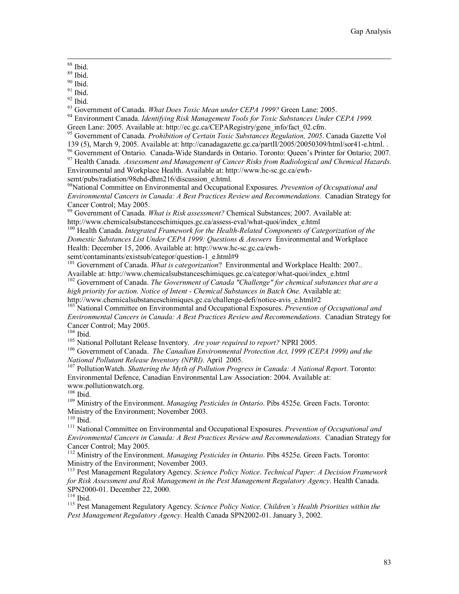88 Ibid.

 $89$  Ibid.

<sup>90</sup> Ibid.

 $91$  Ibid.

<sup>92</sup> Ibid.<br><sup>93</sup> Government of Canada. *What Does Toxic Mean under CEPA 1999?* Green Lane: 2005.

<sup>94</sup> Environment Canada. *Identifying Risk Management Tools for Toxic Substances Under CEPA 1999*. Green Lane: 2005. Available at: http://ec.gc.ca/CEPARegistry/gene\_info/fact\_02.cfm.

95 Government of Canada*. Prohibition of Certain Toxic Substances Regulation, 2005*. Canada Gazette Vol 139 (5), March 9, 2005. Available at: http://canadagazette.gc.ca/partII/2005/20050309/html/sor41-e.html. .

96 Government of Ontario. Canada-Wide Standards in Ontario. Toronto: Queen's Printer for Ontario; 2007.

97 Health Canada. *Assessment and Management of Cancer Risks from Radiological and Chemical Hazards*. Environmental and Workplace Health. Available at: http://www.hc-sc.gc.ca/ewh-

semt/pubs/radiation/98ehd-dhm216/discussion\_e.html.

98National Committee on Environmental and Occupational Exposures. *Prevention of Occupational and Environmental Cancers in Canada: A Best Practices Review and Recommendations.* Canadian Strategy for Cancer Control; May 2005.

99 Government of Canada*. What is Risk assessment?* Chemical Substances; 2007. Available at: http://www.chemicalsubstanceschimiques.gc.ca/assess-eval/what-quoi/index\_e.html

100 Health Canada. *Integrated Framework for the Health-Related Components of Categorization of the Domestic Substances List Under CEPA 1999: Questions & Answers* Environmental and Workplace Health: December 15, 2006. Available at: http://www.hc-sc.gc.ca/ewhsemt/contaminants/existsub/categor/question-1\_e.html#9

<sup>101</sup> Government of Canada. *What is categorization*? Environmental and Workplace Health: 2007.. Available at: http://www.chemicalsubstanceschimiques.gc.ca/categor/what-quoi/index\_e.html

102 Government of Canada. *The Government of Canada "Challenge" for chemical substances that are a high priority for action. Notice of Intent - Chemical Substances in Batch One.* Available at:

http://www.chemicalsubstanceschimiques.gc.ca/challenge-defi/notice-avis\_e.html#2

103 National Committee on Environmental and Occupational Exposures. *Prevention of Occupational and Environmental Cancers in Canada: A Best Practices Review and Recommendations.* Canadian Strategy for Cancer Control; May 2005.<br><sup>104</sup> Ibid.

<sup>105</sup> National Pollutant Release Inventory. *Are your required to report?* NPRI 2005.<br><sup>106</sup> Government of Canada. *The Canadian Environmental Protection Act, 1999 (CEPA 1999) and the National Pollutant Release Inventory (N* 

<sup>107</sup> Pollution Watch. *Shattering the Myth of Pollution Progress in Canada: A National Report*. Toronto: Environmental Defence, Canadian Environmental Law Association: 2004. Available at: www.pollutionwatch.org.<br><sup>108</sup> Ibid.

<sup>109</sup> Ministry of the Environment. *Managing Pesticides in Ontario*. Pibs 4525e. Green Facts. Toronto: Ministry of the Environment; November 2003.<br><sup>110</sup> Ibid.

<sup>111</sup> National Committee on Environmental and Occupational Exposures. Prevention of Occupational and *Environmental Cancers in Canada: A Best Practices Review and Recommendations.* Canadian Strategy for Cancer Control; May 2005.

112 Ministry of the Environment. *Managing Pesticides in Ontario*. Pibs 4525e. Green Facts. Toronto: Ministry of the Environment; November 2003.

113 Pest Management Regulatory Agency. *Science Policy Notice*. *Technical Paper: A Decision Framework for Risk Assessment and Risk Management in the Pest Management Regulatory Agency*. Health Canada.

<sup>115</sup> Pest Management Regulatory Agency. *Science Policy Notice. Children's Health Priorities within the Pest Management Regulatory Agency.* Health Canada SPN2002-01. January 3, 2002.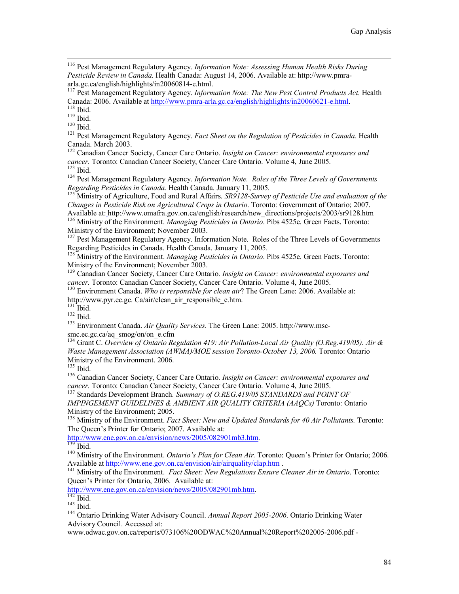116 Pest Management Regulatory Agency. *Information Note: Assessing Human Health Risks During Pesticide Review in Canada.* Health Canada: August 14, 2006. Available at: http://www.pmraarla.gc.ca/english/highlights/in20060814-e.html.

117 Pest Management Regulatory Agency. *Information Note: The New Pest Control Products Act*. Health Canada: 2006. Available at http://www.pmra-arla.gc.ca/english/highlights/in20060621-e.html.<br><sup>118</sup> Ibid.<br><sup>119</sup> Ibid.<br><sup>119</sup> Ibid.<br><sup>121</sup> Pest Management Regulatory Agency. *Fact Sheet on the Regulation of Pesticides in Canada* 

Canada. March 2003.

122 Canadian Cancer Society, Cancer Care Ontario. *Insight on Cancer: environmental exposures and cancer.* Toronto: Canadian Cancer Society, Cancer Care Ontario. Volume 4, June 2005.<br>
<sup>123</sup> Pest Management Regulatory Agency. *Information Note. Roles of the Three Levels of Governments*<br> *Regarding Pesticides in Canada.* 

<sup>125</sup> Ministry of Agriculture, Food and Rural Affairs. *SR9128-Survey of Pesticide Use and evaluation of the Changes in Pesticide Risk on Agricultural Crops in Ontario*. Toronto: Government of Ontario; 2007.<br>Available at: http://www.omafra.gov.on.ca/english/research/new directions/projects/2003/sr9128.htm

<sup>126</sup> Ministry of the Environment. *Managing Pesticides in Ontario*. Pibs 4525e. Green Facts. Toronto: Ministry of the Environment; November 2003.

<sup>127</sup> Pest Management Regulatory Agency. Information Note. Roles of the Three Levels of Governments Regarding Pesticides in Canada. Health Canada. January 11, 2005.

128 Ministry of the Environment. *Managing Pesticides in Ontario*. Pibs 4525e. Green Facts. Toronto: Ministry of the Environment; November 2003.

129 Canadian Cancer Society, Cancer Care Ontario. *Insight on Cancer: environmental exposures and cancer.* Toronto: Canadian Cancer Society, Cancer Care Ontario. Volume 4, June 2005.<br><sup>130</sup> Environment Canada. *Who is responsible for clean air*? The Green Lane: 2006. Available at:

http://www.pyr.ec.gc. Ca/air/clean\_air\_responsible\_e.htm.

<sup>132</sup> Ibid.<br><sup>133</sup> Environment Canada. *Air Quality Services*. The Green Lane: 2005. http://www.mscsmc.ec.gc.ca/aq\_smog/on/on\_e.cfm

134 Grant C. *Overview of Ontario Regulation 419: Air Pollution-Local Air Quality (O.Reg.419/05). Air & Waste Management Association (AWMA)/MOE session Toronto-October 13, 2006.* Toronto: Ontario Ministry of the Environment. 2006.<br><sup>135</sup> Ibid.

<sup>136</sup> Canadian Cancer Society, Cancer Care Ontario. *Insight on Cancer: environmental exposures and cancer*. Toronto: Canadian Cancer Society, Cancer Care Ontario. Volume 4, June 2005.

<sup>137</sup> Standards Development Branch. Summary of O.REG.419/05 STANDARDS and POINT OF *IMPINGEMENT GUIDELINES & AMBIENT AIR QUALITY CRITERIA (AAQCs)* Toronto: Ontario Ministry of the Environment; 2005.

<sup>138</sup> Ministry of the Environment. *Fact Sheet: New and Updated Standards for 40 Air Pollutants*. Toronto: The Queen's Printer for Ontario; 2007. Available at:<br>http://www.ene.gov.on.ca/envision/news/2005/082901mb3.htm.

http://www.ene.gov.on.ca/envision/air/airquality/clap.html<br>Available at http://www.ene.gov.on.ca/envision/air/airquality/clap.htm

<sup>141</sup> Ministry of the Environment. *Fact Sheet: New Regulations Ensure Cleaner Air in Ontario*. Toronto: Queen's Printer for Ontario, 2006. Available at:

http://www.ene.gov.on.ca/envision/news/2005/082901mb.htm.<br><sup>142</sup> Ibid. <sup>143</sup> Ontario Drinking Water Advisory Council. *Annual Report 2005-2006*. Ontario Drinking Water Advisory Council. Accessed at:

www.odwac.gov.on.ca/reports/073106%20ODWAC%20Annual%20Report%202005-2006.pdf -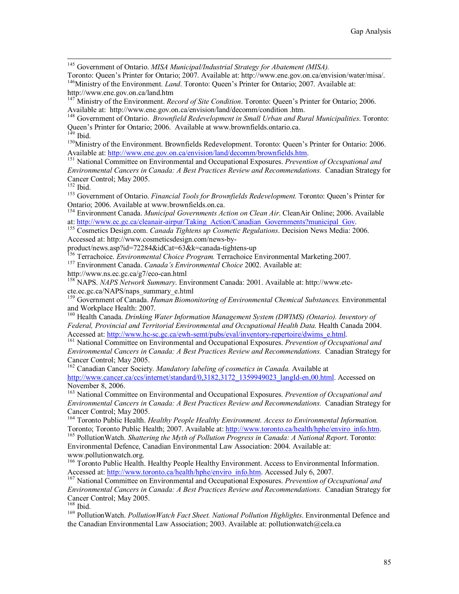<sup>145</sup> Government of Ontario. *MISA Municipal/Industrial Strategy for Abatement (MISA)*.<br>Toronto: Queen's Printer for Ontario: 2007. Available at: http://www.ene.gov.on.ca/envision/water/misa/.

<sup>146</sup>Ministry of the Environment. *Land*. Toronto: Queen's Printer for Ontario; 2007. Available at: http://www.ene.gov.on.ca/land.htm

147 Ministry of the Environment. *Record of Site Condition*. Toronto: Queen's Printer for Ontario; 2006. Available at: http://www.ene.gov.on.ca/envision/land/decomm/condition .htm.

148 Government of Ontario. *Brownfield Redevelopment in Small Urban and Rural Municipalities*. Toronto: Queen's Printer for Ontario; 2006. Available at www.brownfields.ontario.ca. <sup>149</sup> Ibid.

<sup>150</sup> Ministry of the Environment. Brownfields Redevelopment. Toronto: Queen's Printer for Ontario: 2006.<br>Available at: http://www.ene.gov.on.ca/envision/land/decomm/brownfields.htm.

<sup>151</sup> National Committee on Environmental and Occupational Exposures. *Prevention of Occupational and Environmental Cancers in Canada: A Best Practices Review and Recommendations.* Canadian Strategy for Cancer Control; May 2005.<br><sup>152</sup> Ibid.

<sup>153</sup> Government of Ontario. *Financial Tools for Brownfields Redevelopment*. Toronto: Queen's Printer for Ontario; 2006. Available at www.brownfields.on.ca.

<sup>154</sup> Environment Canada. *Municipal Governments Action on Clean Air*. CleanAir Online; 2006. Available at: http://www.ec.gc.ca/cleanair-airpur/Taking\_Action/Canadian\_Governments?municipal\_Gov.

<sup>155</sup> Cosmetics Design.com. *Canada Tightens up Cosmetic Regulations*. Decision News Media: 2006. Accessed at: http://www.cosmeticsdesign.com/news-by-

product/news.asp?id=72284&idCat=63&k=canada-tightens-up

156 Terrachoice. *Environmental Choice Program.* Terrachoice Environmental Marketing.2007. 157 Environment Canada. *Canada's Environmental Choice* 2002. Available at:

http://www.ns.ec.gc.ca/g7/eco-can.html

158 NAPS. *NAPS Network Summary*. Environment Canada: 2001. Available at: http://www.etccte.ec.gc.ca/NAPS/naps\_summary\_e.html

159 Government of Canada. *Human Biomonitoring of Environmental Chemical Substances.* Environmental and Workplace Health: 2007.

160 Health Canada. *Drinking Water Information Management System (DWIMS) (Ontario). Inventory of Federal, Provincial and Territorial Environmental and Occupational Health Data.* Health Canada 2004.<br>Accessed at: http://www.hc-sc.gc.ca/ewh-semt/pubs/eval/inventory-repertoire/dwims e.html.

<sup>161</sup> National Committee on Environmental and Occupational Exposures. *Prevention of Occupational and Environmental Cancers in Canada: A Best Practices Review and Recommendations.* Canadian Strategy for Cancer Control; May 2005.

162 Canadian Cancer Society. *Mandatory labeling of cosmetics in Canada.* Available at http://www.cancer.ca/ccs/internet/standard/0,3182,3172\_1359949023\_langId-en,00.html. Accessed on November 8, 2006.

163 National Committee on Environmental and Occupational Exposures. *Prevention of Occupational and Environmental Cancers in Canada: A Best Practices Review and Recommendations.* Canadian Strategy for Cancer Control; May 2005.

<sup>164</sup> Toronto Public Health. *Healthy People Healthy Environment. Access to Environmental Information.*<br>Toronto: Toronto Public Health; 2007. Available at: http://www.toronto.ca/health/hphe/enviro info.htm.

<sup>165</sup> Pollution Watch. Shattering the Myth of Pollution Progress in Canada: A National Report. Toronto: Environmental Defence, Canadian Environmental Law Association: 2004. Available at: www.pollutionwatch.org.

<sup>166</sup> Toronto Public Health. Healthy People Healthy Environment. Access to Environmental Information. Accessed at: http://www.toronto.ca/health/hphe/enviro\_info.htm. Accessed July 6, 2007.<br><sup>167</sup> National Committee on Environmental and Occupational Exposures. *Prevention of Occupational and* 

*Environmental Cancers in Canada: A Best Practices Review and Recommendations.* Canadian Strategy for Cancer Control; May 2005.<br><sup>168</sup> Ibid.

<sup>169</sup> PollutionWatch. *PollutionWatch Fact Sheet. National Pollution Highlights*. Environmental Defence and the Canadian Environmental Law Association; 2003. Available at: pollutionwatch@cela.ca